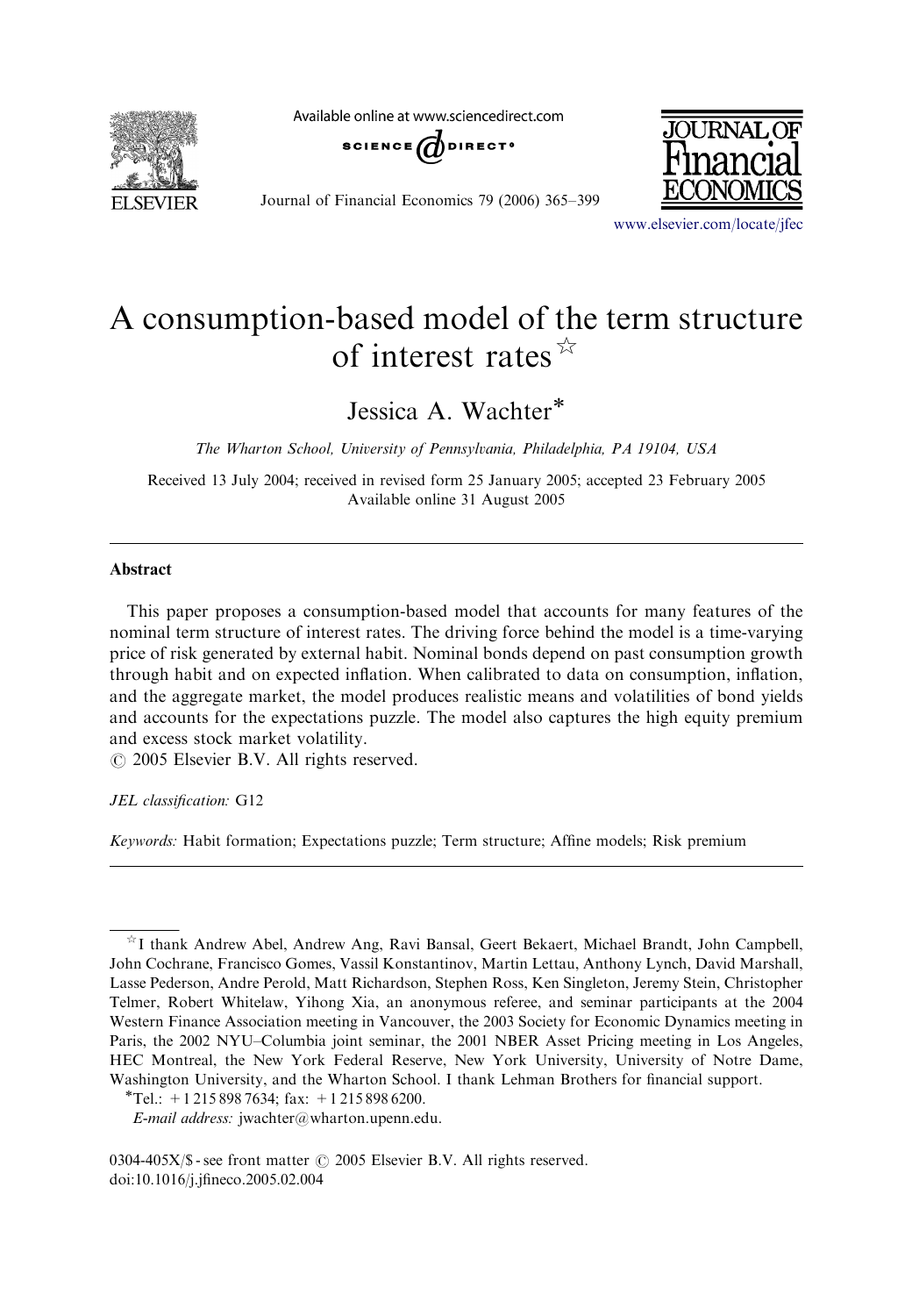

Available online at www.sciencedirect.com



Journal of Financial Economics 79 (2006) 365–399



<www.elsevier.com/locate/jfec>

# A consumption-based model of the term structure of interest rates  $\mathbb{X}$

Jessica A. Wachter

The Wharton School, University of Pennsylvania, Philadelphia, PA 19104, USA

Received 13 July 2004; received in revised form 25 January 2005; accepted 23 February 2005 Available online 31 August 2005

#### Abstract

This paper proposes a consumption-based model that accounts for many features of the nominal term structure of interest rates. The driving force behind the model is a time-varying price of risk generated by external habit. Nominal bonds depend on past consumption growth through habit and on expected inflation. When calibrated to data on consumption, inflation, and the aggregate market, the model produces realistic means and volatilities of bond yields and accounts for the expectations puzzle. The model also captures the high equity premium and excess stock market volatility.

 $\odot$  2005 Elsevier B.V. All rights reserved.

JEL classification: G12

Keywords: Habit formation; Expectations puzzle; Term structure; Affine models; Risk premium

 $\hat{X}$ I thank Andrew Abel, Andrew Ang, Ravi Bansal, Geert Bekaert, Michael Brandt, John Campbell, John Cochrane, Francisco Gomes, Vassil Konstantinov, Martin Lettau, Anthony Lynch, David Marshall, Lasse Pederson, Andre Perold, Matt Richardson, Stephen Ross, Ken Singleton, Jeremy Stein, Christopher Telmer, Robert Whitelaw, Yihong Xia, an anonymous referee, and seminar participants at the 2004 Western Finance Association meeting in Vancouver, the 2003 Society for Economic Dynamics meeting in Paris, the 2002 NYU–Columbia joint seminar, the 2001 NBER Asset Pricing meeting in Los Angeles, HEC Montreal, the New York Federal Reserve, New York University, University of Notre Dame, Washington University, and the Wharton School. I thank Lehman Brothers for financial support.<br>
\*Tel.: +1 215 898 7634; fax: +1 215 898 6200.

E-mail address: jwachter@wharton.upenn.edu.

 $0304-405X/\$  - see front matter  $\odot$  2005 Elsevier B.V. All rights reserved. doi:10.1016/j.jfineco.2005.02.004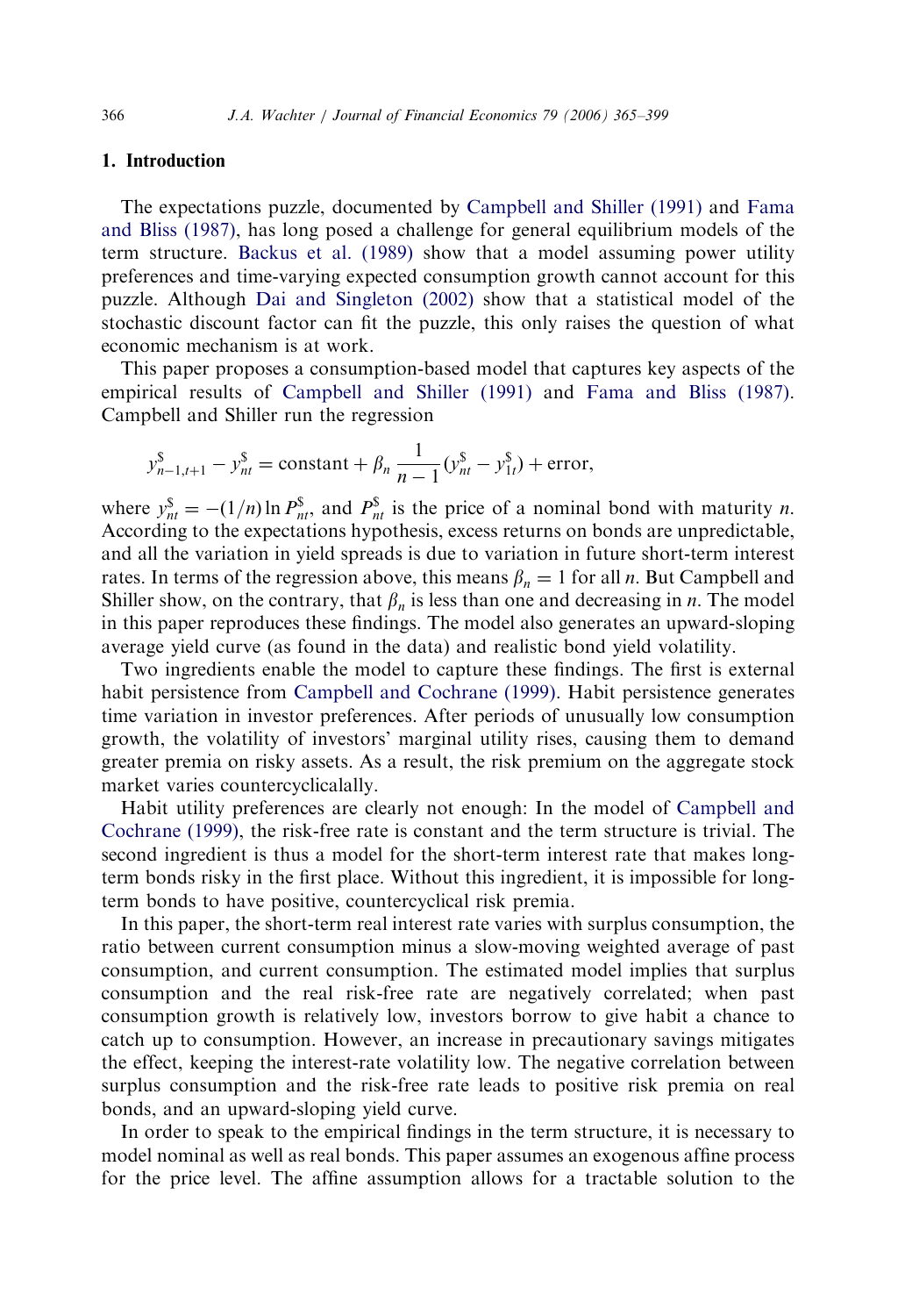# 1. Introduction

The expectations puzzle, documented by [Campbell and Shiller \(1991\)](#page-33-0) and [Fama](#page-34-0) [and Bliss \(1987\),](#page-34-0) has long posed a challenge for general equilibrium models of the term structure. [Backus et al. \(1989\)](#page-33-0) show that a model assuming power utility preferences and time-varying expected consumption growth cannot account for this puzzle. Although [Dai and Singleton \(2002\)](#page-34-0) show that a statistical model of the stochastic discount factor can fit the puzzle, this only raises the question of what economic mechanism is at work.

This paper proposes a consumption-based model that captures key aspects of the empirical results of [Campbell and Shiller \(1991\)](#page-33-0) and [Fama and Bliss \(1987\)](#page-34-0). Campbell and Shiller run the regression

$$
y_{n-1,t+1}^s - y_{nt}^s = \text{constant} + \beta_n \frac{1}{n-1} (y_{nt}^s - y_{1t}^s) + \text{error},
$$

where  $y_{nt}^s = -(1/n) \ln P_{nt}^s$ , and  $P_{nt}^s$  is the price of a nominal bond with maturity *n*. According to the expectations hypothesis, excess returns on bonds are unpredictable, and all the variation in yield spreads is due to variation in future short-term interest rates. In terms of the regression above, this means  $\beta_n = 1$  for all n. But Campbell and Shiller show, on the contrary, that  $\beta_n$  is less than one and decreasing in n. The model in this paper reproduces these findings. The model also generates an upward-sloping average yield curve (as found in the data) and realistic bond yield volatility.

Two ingredients enable the model to capture these findings. The first is external habit persistence from [Campbell and Cochrane \(1999\)](#page-33-0). Habit persistence generates time variation in investor preferences. After periods of unusually low consumption growth, the volatility of investors' marginal utility rises, causing them to demand greater premia on risky assets. As a result, the risk premium on the aggregate stock market varies countercyclicalally.

Habit utility preferences are clearly not enough: In the model of [Campbell and](#page-33-0) [Cochrane \(1999\),](#page-33-0) the risk-free rate is constant and the term structure is trivial. The second ingredient is thus a model for the short-term interest rate that makes longterm bonds risky in the first place. Without this ingredient, it is impossible for longterm bonds to have positive, countercyclical risk premia.

In this paper, the short-term real interest rate varies with surplus consumption, the ratio between current consumption minus a slow-moving weighted average of past consumption, and current consumption. The estimated model implies that surplus consumption and the real risk-free rate are negatively correlated; when past consumption growth is relatively low, investors borrow to give habit a chance to catch up to consumption. However, an increase in precautionary savings mitigates the effect, keeping the interest-rate volatility low. The negative correlation between surplus consumption and the risk-free rate leads to positive risk premia on real bonds, and an upward-sloping yield curve.

In order to speak to the empirical findings in the term structure, it is necessary to model nominal as well as real bonds. This paper assumes an exogenous affine process for the price level. The affine assumption allows for a tractable solution to the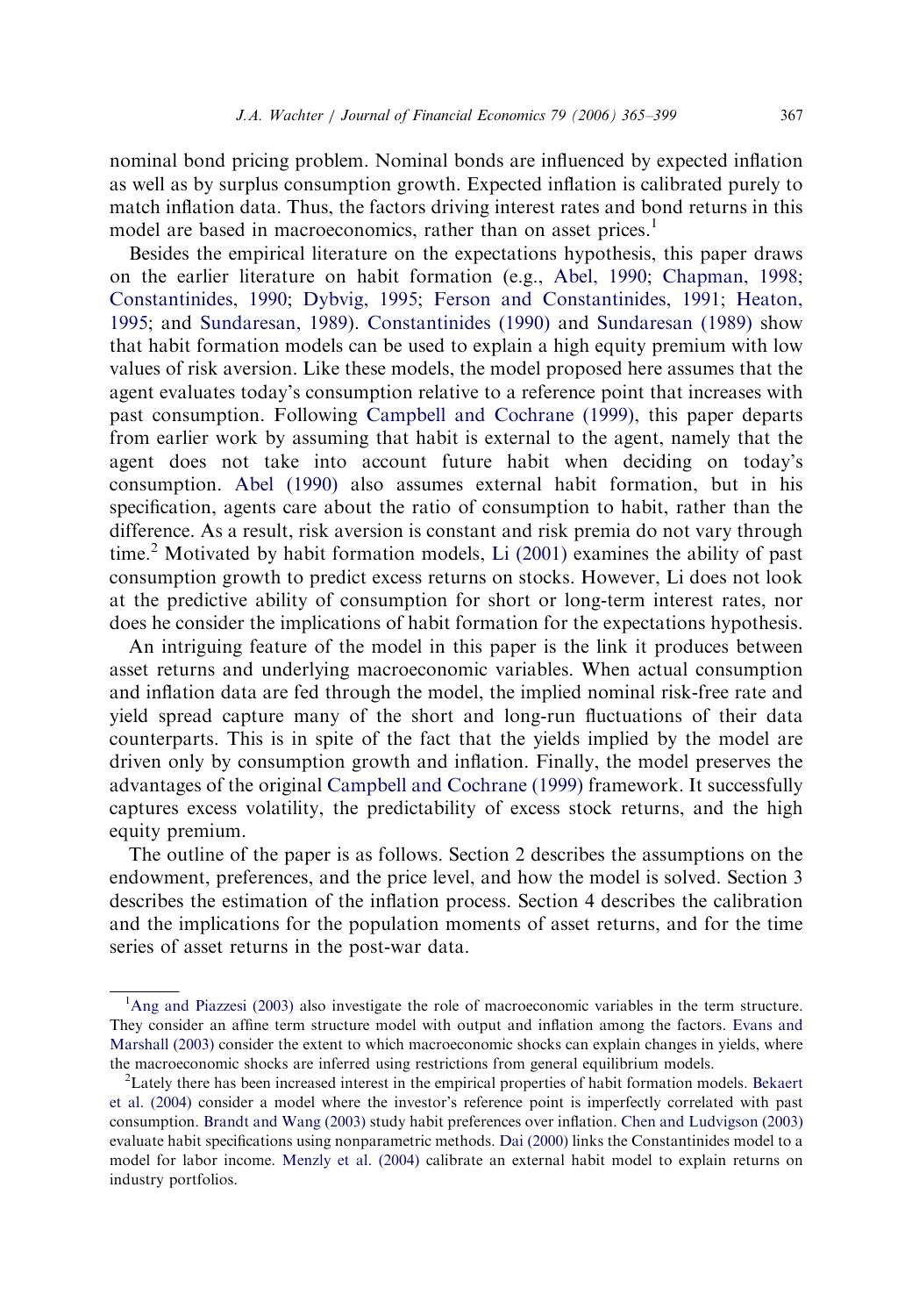nominal bond pricing problem. Nominal bonds are influenced by expected inflation as well as by surplus consumption growth. Expected inflation is calibrated purely to match inflation data. Thus, the factors driving interest rates and bond returns in this model are based in macroeconomics, rather than on asset prices.<sup>1</sup>

Besides the empirical literature on the expectations hypothesis, this paper draws on the earlier literature on habit formation (e.g., [Abel, 1990;](#page-33-0) [Chapman, 1998;](#page-33-0) [Constantinides, 1990;](#page-34-0) [Dybvig, 1995](#page-34-0); [Ferson and Constantinides, 1991;](#page-34-0) [Heaton,](#page-34-0) [1995;](#page-34-0) and [Sundaresan, 1989\)](#page-34-0). [Constantinides \(1990\)](#page-34-0) and [Sundaresan \(1989\)](#page-34-0) show that habit formation models can be used to explain a high equity premium with low values of risk aversion. Like these models, the model proposed here assumes that the agent evaluates today's consumption relative to a reference point that increases with past consumption. Following [Campbell and Cochrane \(1999\)](#page-33-0), this paper departs from earlier work by assuming that habit is external to the agent, namely that the agent does not take into account future habit when deciding on today's consumption. [Abel \(1990\)](#page-33-0) also assumes external habit formation, but in his specification, agents care about the ratio of consumption to habit, rather than the difference. As a result, risk aversion is constant and risk premia do not vary through time.<sup>2</sup> Motivated by habit formation models, Li  $(2001)$  examines the ability of past consumption growth to predict excess returns on stocks. However, Li does not look at the predictive ability of consumption for short or long-term interest rates, nor does he consider the implications of habit formation for the expectations hypothesis.

An intriguing feature of the model in this paper is the link it produces between asset returns and underlying macroeconomic variables. When actual consumption and inflation data are fed through the model, the implied nominal risk-free rate and yield spread capture many of the short and long-run fluctuations of their data counterparts. This is in spite of the fact that the yields implied by the model are driven only by consumption growth and inflation. Finally, the model preserves the advantages of the original [Campbell and Cochrane \(1999\)](#page-33-0) framework. It successfully captures excess volatility, the predictability of excess stock returns, and the high equity premium.

The outline of the paper is as follows. Section 2 describes the assumptions on the endowment, preferences, and the price level, and how the model is solved. Section 3 describes the estimation of the inflation process. Section 4 describes the calibration and the implications for the population moments of asset returns, and for the time series of asset returns in the post-war data.

<sup>&</sup>lt;sup>1</sup>[Ang and Piazzesi \(2003\)](#page-33-0) also investigate the role of macroeconomic variables in the term structure. They consider an affine term structure model with output and inflation among the factors. [Evans and](#page-34-0) [Marshall \(2003\)](#page-34-0) consider the extent to which macroeconomic shocks can explain changes in yields, where the macroeconomic shocks are inferred using restrictions from general equilibrium models. <sup>2</sup>

<sup>&</sup>lt;sup>2</sup> Lately there has been increased interest in the empirical properties of habit formation models. [Bekaert](#page-33-0) [et al. \(2004\)](#page-33-0) consider a model where the investor's reference point is imperfectly correlated with past consumption. [Brandt and Wang \(2003\)](#page-33-0) study habit preferences over inflation. [Chen and Ludvigson \(2003\)](#page-33-0) evaluate habit specifications using nonparametric methods. [Dai \(2000\)](#page-34-0) links the Constantinides model to a model for labor income. [Menzly et al. \(2004\)](#page-34-0) calibrate an external habit model to explain returns on industry portfolios.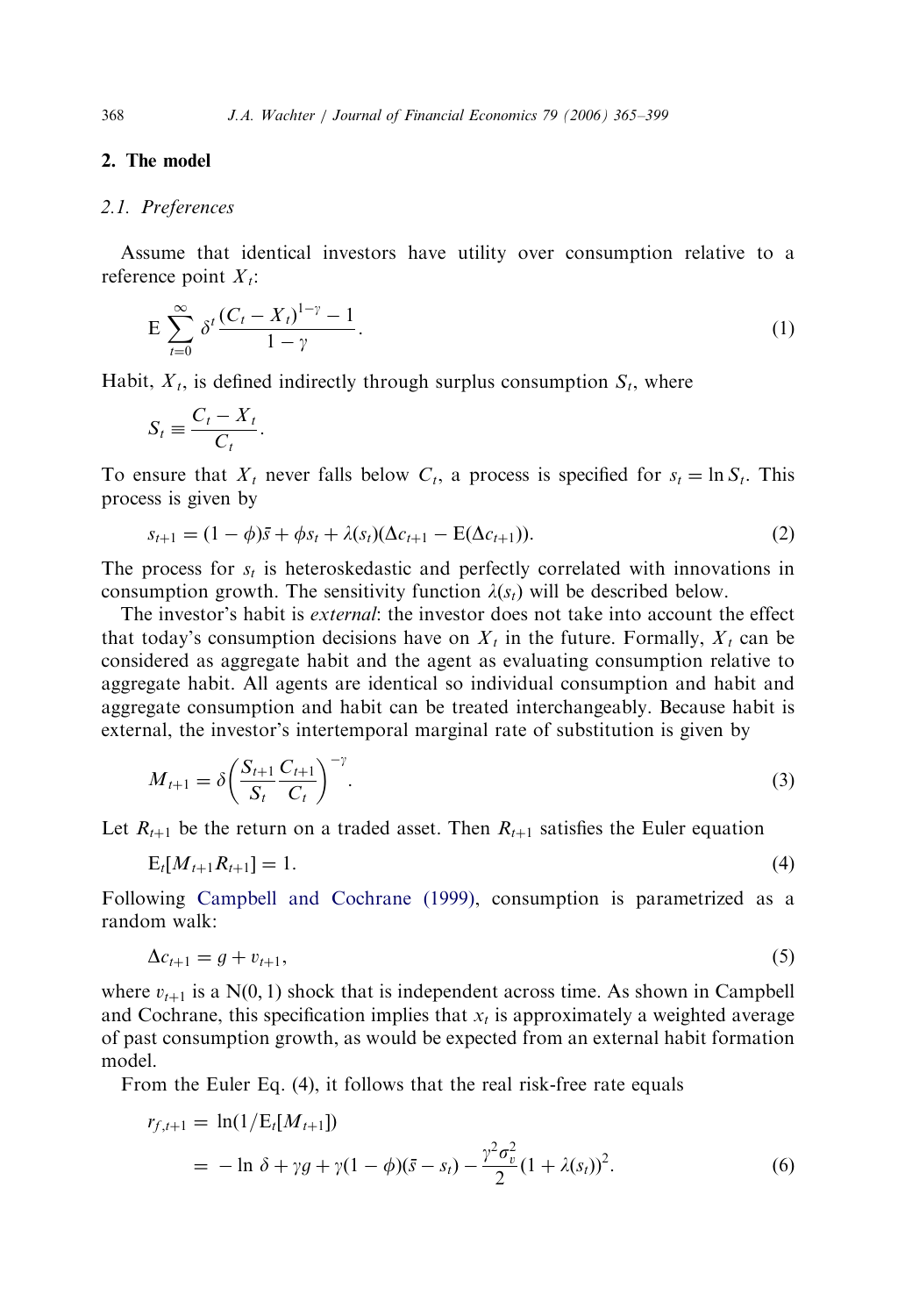# 2. The model

# 2.1. Preferences

Assume that identical investors have utility over consumption relative to a reference point  $X_t$ :

$$
E\sum_{t=0}^{\infty} \delta^{t} \frac{(C_{t} - X_{t})^{1-\gamma} - 1}{1 - \gamma}.
$$
\n(1)

Habit,  $X_t$ , is defined indirectly through surplus consumption  $S_t$ , where

$$
S_t \equiv \frac{C_t - X_t}{C_t}
$$

.

To ensure that  $X_t$  never falls below  $C_t$ , a process is specified for  $s_t = \ln S_t$ . This process is given by

$$
s_{t+1} = (1 - \phi)\bar{s} + \phi s_t + \lambda(s_t)(\Delta c_{t+1} - E(\Delta c_{t+1})).
$$
\n(2)

The process for  $s_t$  is heteroskedastic and perfectly correlated with innovations in consumption growth. The sensitivity function  $\lambda(s_t)$  will be described below.

The investor's habit is external: the investor does not take into account the effect that today's consumption decisions have on  $X_t$  in the future. Formally,  $X_t$  can be considered as aggregate habit and the agent as evaluating consumption relative to aggregate habit. All agents are identical so individual consumption and habit and aggregate consumption and habit can be treated interchangeably. Because habit is external, the investor's intertemporal marginal rate of substitution is given by

$$
M_{t+1} = \delta \left( \frac{S_{t+1}}{S_t} \frac{C_{t+1}}{C_t} \right)^{-\gamma}.
$$
 (3)

Let  $R_{t+1}$  be the return on a traded asset. Then  $R_{t+1}$  satisfies the Euler equation

$$
E_t[M_{t+1}R_{t+1}] = 1. \t\t(4)
$$

Following [Campbell and Cochrane \(1999\),](#page-33-0) consumption is parametrized as a random walk:

$$
\Delta c_{t+1} = g + v_{t+1},\tag{5}
$$

where  $v_{t+1}$  is a N(0, 1) shock that is independent across time. As shown in Campbell and Cochrane, this specification implies that  $x_t$  is approximately a weighted average of past consumption growth, as would be expected from an external habit formation model.

From the Euler Eq. (4), it follows that the real risk-free rate equals

$$
r_{f,t+1} = \ln(1/E_t[M_{t+1}])
$$
  
=  $-\ln \delta + \gamma g + \gamma (1 - \phi)(\bar{s} - s_t) - \frac{\gamma^2 \sigma_v^2}{2} (1 + \lambda(s_t))^2.$  (6)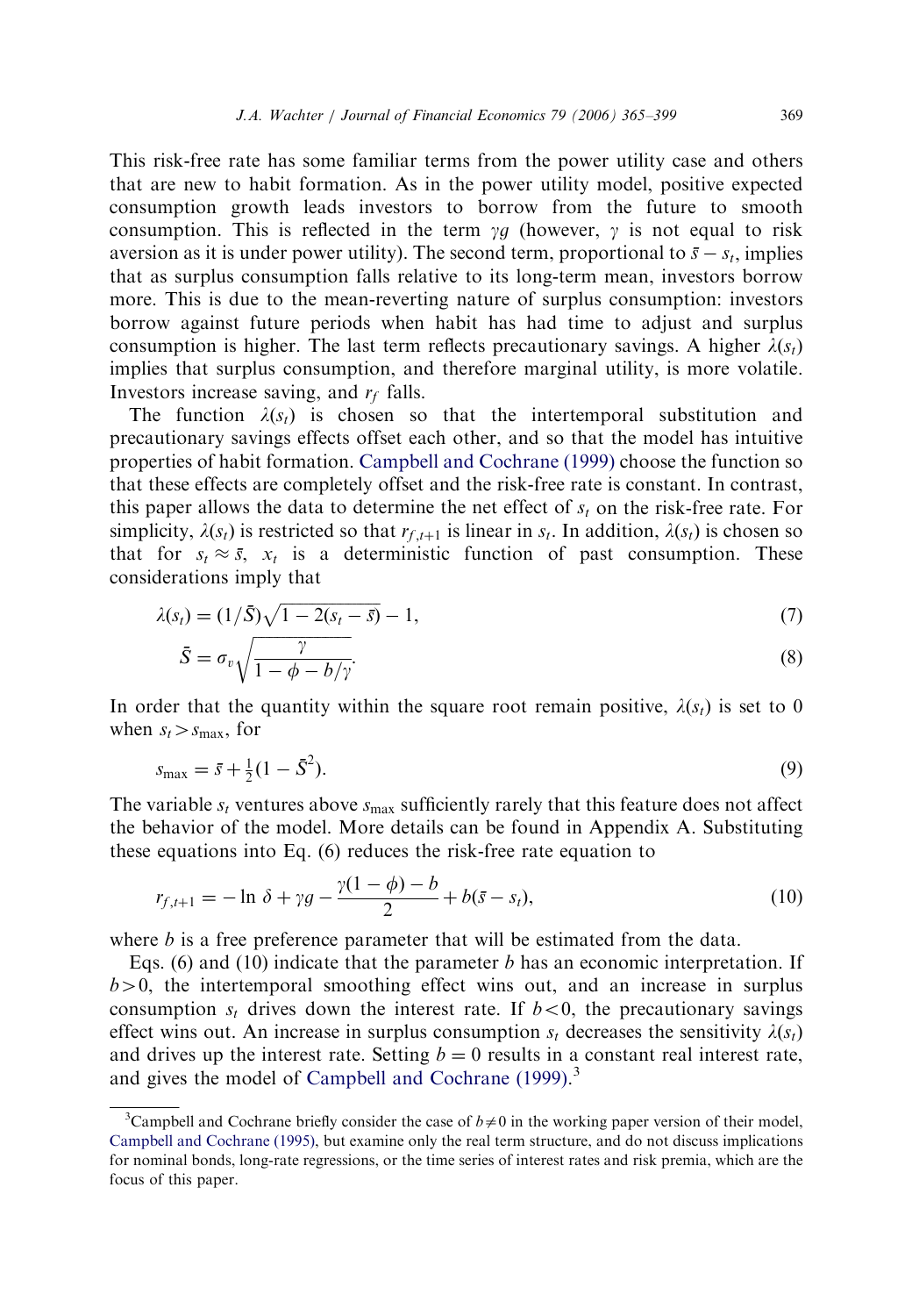This risk-free rate has some familiar terms from the power utility case and others that are new to habit formation. As in the power utility model, positive expected consumption growth leads investors to borrow from the future to smooth consumption. This is reflected in the term  $\gamma q$  (however,  $\gamma$  is not equal to risk aversion as it is under power utility). The second term, proportional to  $\bar{s} - s_t$ , implies that as surplus consumption falls relative to its long-term mean, investors borrow more. This is due to the mean-reverting nature of surplus consumption: investors borrow against future periods when habit has had time to adjust and surplus consumption is higher. The last term reflects precautionary savings. A higher  $\lambda(s_t)$ implies that surplus consumption, and therefore marginal utility, is more volatile. Investors increase saving, and  $r_f$  falls.

The function  $\lambda(s_t)$  is chosen so that the intertemporal substitution and precautionary savings effects offset each other, and so that the model has intuitive properties of habit formation. [Campbell and Cochrane \(1999\)](#page-33-0) choose the function so that these effects are completely offset and the risk-free rate is constant. In contrast, this paper allows the data to determine the net effect of  $s_t$  on the risk-free rate. For simplicity,  $\lambda(s_t)$  is restricted so that  $r_{t,t+1}$  is linear in  $s_t$ . In addition,  $\lambda(s_t)$  is chosen so that for  $s_t \approx \bar{s}$ ,  $x_t$  is a deterministic function of past consumption. These considerations imply that

$$
\lambda(s_t) = (1/\bar{S})\sqrt{1 - 2(s_t - \bar{s})} - 1,\tag{7}
$$

$$
\bar{S} = \sigma_v \sqrt{\frac{\gamma}{1 - \phi - b/\gamma}}.\tag{8}
$$

In order that the quantity within the square root remain positive,  $\lambda(s_i)$  is set to 0 when  $s_t > s_{\text{max}}$ , for

$$
s_{\max} = \bar{s} + \frac{1}{2}(1 - \bar{S}^2). \tag{9}
$$

The variable  $s_t$  ventures above  $s_{\text{max}}$  sufficiently rarely that this feature does not affect the behavior of the model. More details can be found in Appendix A. Substituting these equations into Eq. (6) reduces the risk-free rate equation to

$$
r_{f,t+1} = -\ln \delta + \gamma g - \frac{\gamma(1-\phi)-b}{2} + b(\bar{s}-s_t),
$$
\n(10)

where *b* is a free preference parameter that will be estimated from the data.

Eqs.  $(6)$  and  $(10)$  indicate that the parameter b has an economic interpretation. If  $b>0$ , the intertemporal smoothing effect wins out, and an increase in surplus consumption  $s_t$  drives down the interest rate. If  $b < 0$ , the precautionary savings effect wins out. An increase in surplus consumption  $s_t$  decreases the sensitivity  $\lambda(s_t)$ and drives up the interest rate. Setting  $b = 0$  results in a constant real interest rate, and gives the model of [Campbell and Cochrane \(1999\).](#page-33-0) 3

<sup>&</sup>lt;sup>3</sup>Campbell and Cochrane briefly consider the case of  $b \neq 0$  in the working paper version of their model, [Campbell and Cochrane \(1995\),](#page-33-0) but examine only the real term structure, and do not discuss implications for nominal bonds, long-rate regressions, or the time series of interest rates and risk premia, which are the focus of this paper.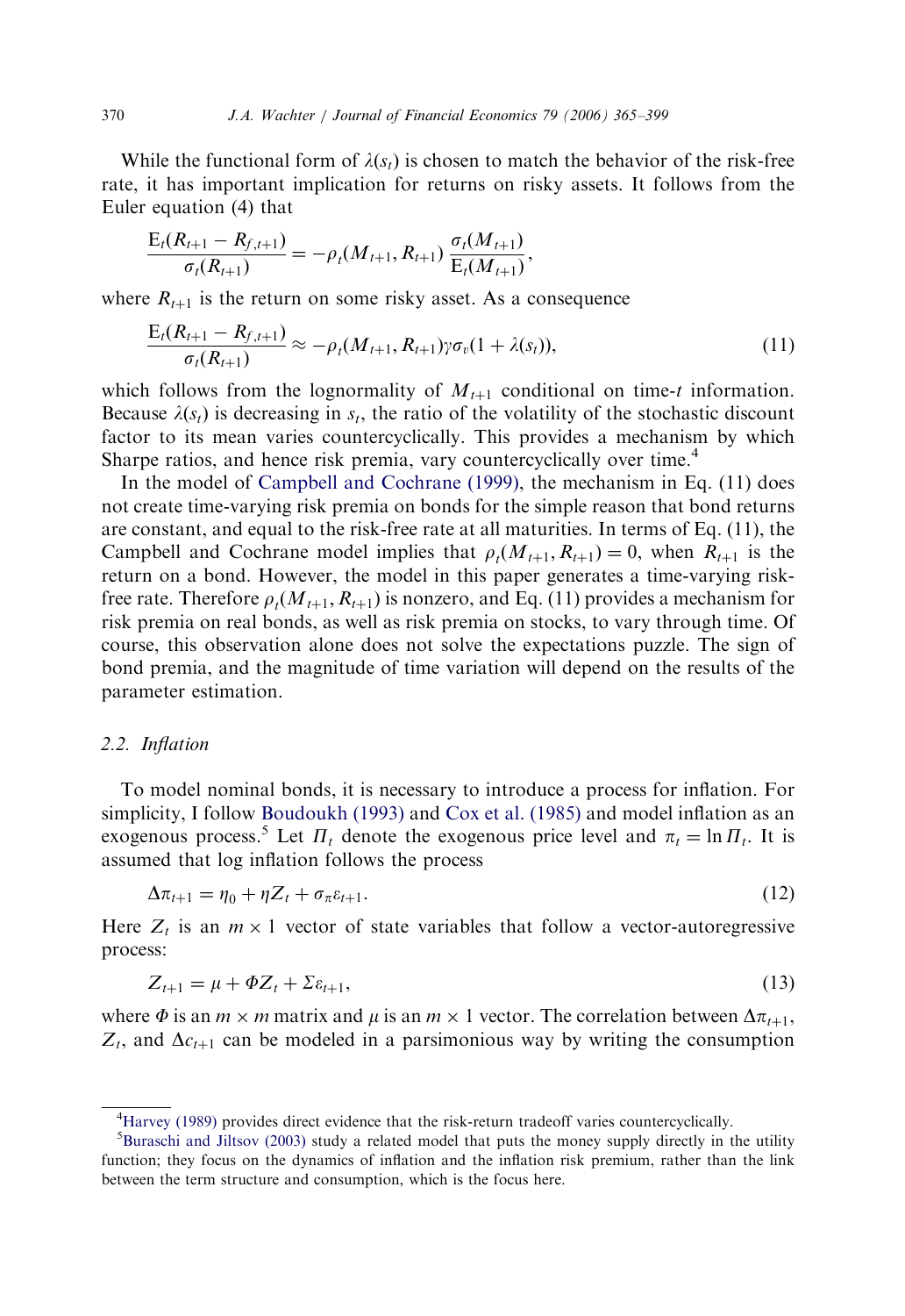While the functional form of  $\lambda(s_i)$  is chosen to match the behavior of the risk-free rate, it has important implication for returns on risky assets. It follows from the Euler equation (4) that

$$
\frac{E_t(R_{t+1}-R_{f,t+1})}{\sigma_t(R_{t+1})}=-\rho_t(M_{t+1},R_{t+1})\frac{\sigma_t(M_{t+1})}{E_t(M_{t+1})},
$$

where  $R_{t+1}$  is the return on some risky asset. As a consequence

$$
\frac{E_t(R_{t+1} - R_{f,t+1})}{\sigma_t(R_{t+1})} \approx -\rho_t(M_{t+1}, R_{t+1})\gamma\sigma_v(1 + \lambda(s_t)),
$$
\n(11)

which follows from the lognormality of  $M_{t+1}$  conditional on time-t information. Because  $\lambda(s_t)$  is decreasing in  $s_t$ , the ratio of the volatility of the stochastic discount factor to its mean varies countercyclically. This provides a mechanism by which Sharpe ratios, and hence risk premia, vary countercyclically over time.<sup>4</sup>

In the model of [Campbell and Cochrane \(1999\)](#page-33-0), the mechanism in Eq. (11) does not create time-varying risk premia on bonds for the simple reason that bond returns are constant, and equal to the risk-free rate at all maturities. In terms of Eq. (11), the Campbell and Cochrane model implies that  $\rho_l(M_{l+1}, R_{l+1}) = 0$ , when  $R_{l+1}$  is the return on a bond. However, the model in this paper generates a time-varying riskfree rate. Therefore  $\rho_l(M_{t+1}, R_{t+1})$  is nonzero, and Eq. (11) provides a mechanism for risk premia on real bonds, as well as risk premia on stocks, to vary through time. Of course, this observation alone does not solve the expectations puzzle. The sign of bond premia, and the magnitude of time variation will depend on the results of the parameter estimation.

## 2.2. Inflation

To model nominal bonds, it is necessary to introduce a process for inflation. For simplicity, I follow [Boudoukh \(1993\)](#page-33-0) and [Cox et al. \(1985\)](#page-34-0) and model inflation as an exogenous process.<sup>5</sup> Let  $\Pi_t$  denote the exogenous price level and  $\pi_t = \ln \Pi_t$ . It is assumed that log inflation follows the process

$$
\Delta \pi_{t+1} = \eta_0 + \eta Z_t + \sigma_\pi \varepsilon_{t+1}.
$$
\n(12)

Here  $Z_t$  is an  $m \times 1$  vector of state variables that follow a vector-autoregressive process:

$$
Z_{t+1} = \mu + \Phi Z_t + \Sigma \varepsilon_{t+1},
$$
\n(13)

where  $\Phi$  is an  $m \times m$  matrix and  $\mu$  is an  $m \times 1$  vector. The correlation between  $\Delta \pi_{t+1}$ ,  $Z_t$ , and  $\Delta c_{t+1}$  can be modeled in a parsimonious way by writing the consumption

<sup>&</sup>lt;sup>4</sup>[Harvey \(1989\)](#page-34-0) provides direct evidence that the risk-return tradeoff varies countercyclically.<br><sup>5</sup>Burgeobi and Jiltsov (2003) study a related model that puts the money supply directly in t

 ${}^{5}$ [Buraschi and Jiltsov \(2003\)](#page-33-0) study a related model that puts the money supply directly in the utility function; they focus on the dynamics of inflation and the inflation risk premium, rather than the link between the term structure and consumption, which is the focus here.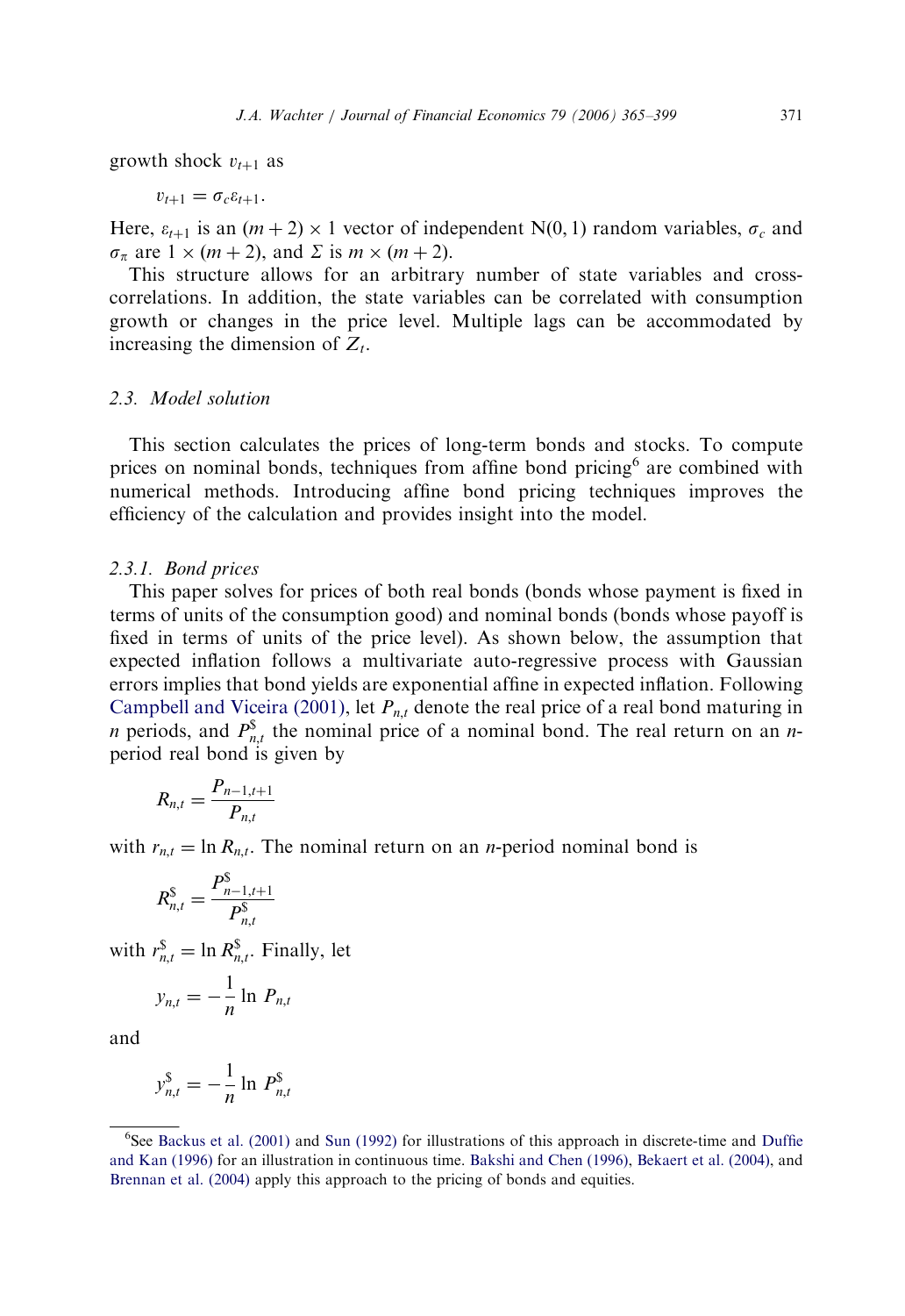growth shock  $v_{t+1}$  as

$$
v_{t+1} = \sigma_c \varepsilon_{t+1}.
$$

Here,  $\varepsilon_{t+1}$  is an  $(m+2) \times 1$  vector of independent N(0, 1) random variables,  $\sigma_c$  and  $\sigma_{\pi}$  are  $1 \times (m + 2)$ , and  $\Sigma$  is  $m \times (m + 2)$ .

This structure allows for an arbitrary number of state variables and crosscorrelations. In addition, the state variables can be correlated with consumption growth or changes in the price level. Multiple lags can be accommodated by increasing the dimension of  $Z_t$ .

## 2.3. Model solution

This section calculates the prices of long-term bonds and stocks. To compute prices on nominal bonds, techniques from affine bond pricing<sup>6</sup> are combined with numerical methods. Introducing affine bond pricing techniques improves the efficiency of the calculation and provides insight into the model.

## 2.3.1. Bond prices

This paper solves for prices of both real bonds (bonds whose payment is fixed in terms of units of the consumption good) and nominal bonds (bonds whose payoff is fixed in terms of units of the price level). As shown below, the assumption that expected inflation follows a multivariate auto-regressive process with Gaussian errors implies that bond yields are exponential affine in expected inflation. Following [Campbell and Viceira \(2001\),](#page-33-0) let  $P_{n,t}$  denote the real price of a real bond maturing in *n* periods, and  $P_{n,t}^{\$}$  the nominal price of a nominal bond. The real return on an *n*period real bond is given by

$$
R_{n,t}=\frac{P_{n-1,t+1}}{P_{n,t}}
$$

with  $r_{n,t} = \ln R_{n,t}$ . The nominal return on an *n*-period nominal bond is

$$
R_{n,t}^{\$} = \frac{P_{n-1,t+1}^{\$}}{P_{n,t}^{\$}}
$$

with  $r_{n,t}^{\$} = \ln R_{n,t}^{\$}$ . Finally, let

$$
y_{n,t} = -\frac{1}{n} \ln P_{n,t}
$$

and

$$
y_{n,t}^{\$} = -\frac{1}{n} \ln P_{n,t}^{\$}
$$

<sup>&</sup>lt;sup>6</sup>See [Backus et al. \(2001\)](#page-33-0) and [Sun \(1992\)](#page-34-0) for illustrations of this approach in discrete-time and [Duffie](#page-34-0) [and Kan \(1996\)](#page-34-0) for an illustration in continuous time. [Bakshi and Chen \(1996\),](#page-33-0) [Bekaert et al. \(2004\)](#page-33-0), and [Brennan et al. \(2004\)](#page-33-0) apply this approach to the pricing of bonds and equities.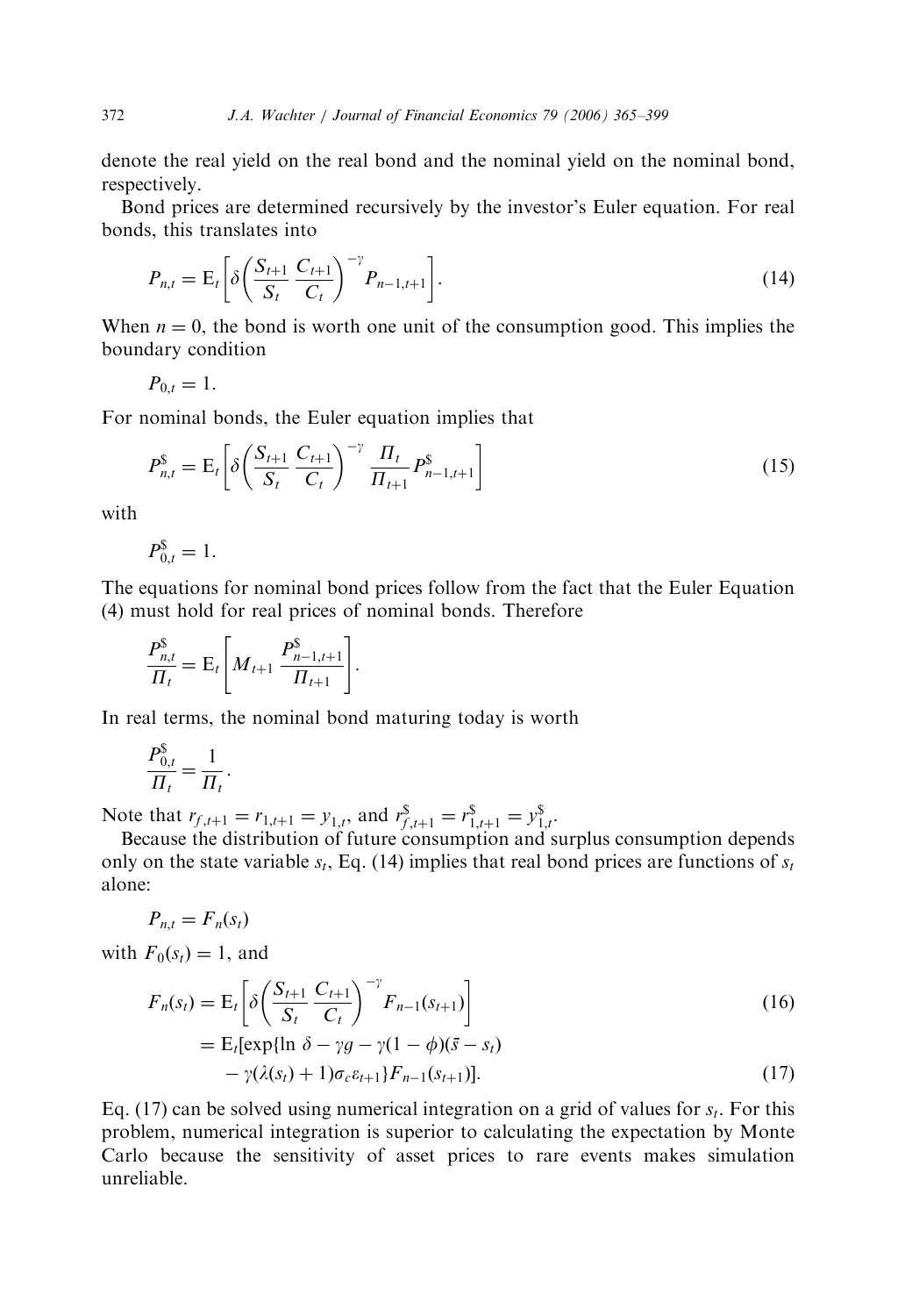denote the real yield on the real bond and the nominal yield on the nominal bond, respectively.

Bond prices are determined recursively by the investor's Euler equation. For real bonds, this translates into

$$
P_{n,t} = \mathcal{E}_t \left[ \delta \left( \frac{S_{t+1}}{S_t} \frac{C_{t+1}}{C_t} \right)^{-\gamma} P_{n-1,t+1} \right]. \tag{14}
$$

When  $n = 0$ , the bond is worth one unit of the consumption good. This implies the boundary condition

$$
P_{0,t}=1.
$$

For nominal bonds, the Euler equation implies that

$$
P_{n,t}^{\$} = \mathrm{E}_{t} \left[ \delta \left( \frac{S_{t+1}}{S_{t}} \frac{C_{t+1}}{C_{t}} \right)^{-\gamma} \frac{\Pi_{t}}{\Pi_{t+1}} P_{n-1,t+1}^{\$} \right] \tag{15}
$$

with

$$
P_{0,t}^{\$}=1.
$$

The equations for nominal bond prices follow from the fact that the Euler Equation (4) must hold for real prices of nominal bonds. Therefore

$$
\frac{P_{n,t}^{\$}}{\Pi_t} = \mathrm{E}_t \left[ M_{t+1} \frac{P_{n-1,t+1}^{\$}}{\Pi_{t+1}} \right].
$$

In real terms, the nominal bond maturing today is worth

$$
\frac{P_{0,t}^{\$}}{\Pi_t} = \frac{1}{\Pi_t}.
$$

Note that  $r_{f,t+1} = r_{1,t+1} = y_{1,t}$ , and  $r_{f,t+1}^s = r_{1,t+1}^s = y_{1,t}^s$ .

Because the distribution of future consumption and surplus consumption depends only on the state variable  $s_t$ , Eq. (14) implies that real bond prices are functions of  $s_t$ alone:

$$
P_{n,t}=F_n(s_t)
$$

with  $F_0(s_t) = 1$ , and

$$
F_n(s_t) = \mathcal{E}_t \left[ \delta \left( \frac{S_{t+1}}{S_t} \frac{C_{t+1}}{C_t} \right)^{-\gamma} F_{n-1}(s_{t+1}) \right]
$$
  
= 
$$
\mathcal{E}_t [\exp\{\ln \delta - \gamma g - \gamma (1 - \phi)(\bar{s} - s_t) \}]
$$
 (16)

$$
-\gamma(\lambda(s_t)+1)\sigma_c\varepsilon_{t+1}F_{n-1}(s_{t+1})].
$$
\n(17)

Eq. (17) can be solved using numerical integration on a grid of values for  $s_t$ . For this problem, numerical integration is superior to calculating the expectation by Monte Carlo because the sensitivity of asset prices to rare events makes simulation unreliable.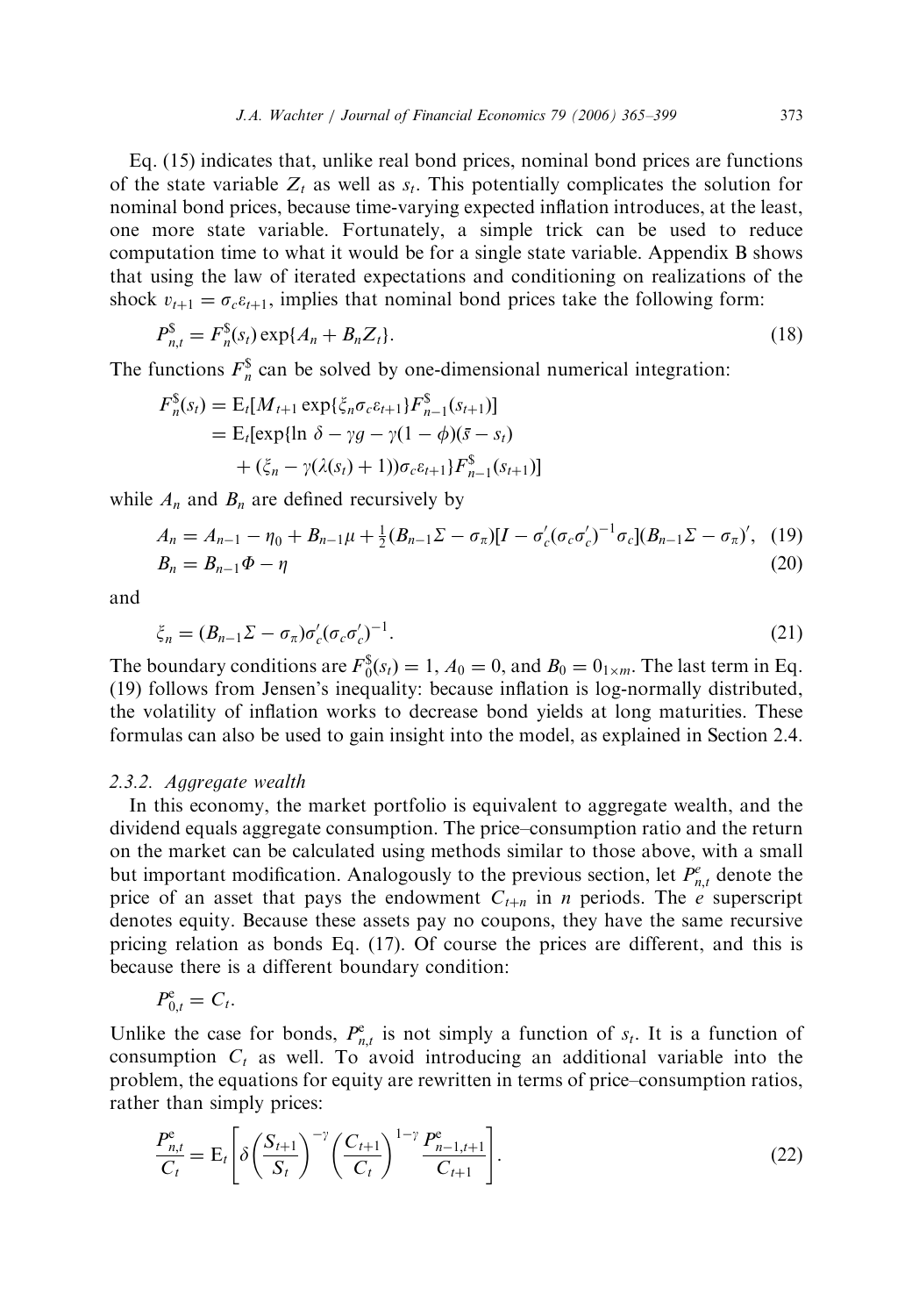Eq. (15) indicates that, unlike real bond prices, nominal bond prices are functions of the state variable  $Z_t$  as well as  $s_t$ . This potentially complicates the solution for nominal bond prices, because time-varying expected inflation introduces, at the least, one more state variable. Fortunately, a simple trick can be used to reduce computation time to what it would be for a single state variable. Appendix B shows that using the law of iterated expectations and conditioning on realizations of the shock  $v_{t+1} = \sigma_c \varepsilon_{t+1}$ , implies that nominal bond prices take the following form:

$$
P_{n,t}^{\$} = F_n^{\$}(s_t) \exp\{A_n + B_n Z_t\}.
$$
\n(18)

The functions  $F_n^{\$}$  can be solved by one-dimensional numerical integration:

$$
F_n^{\$}(s_t) = \mathcal{E}_t[M_{t+1} \exp{\{\xi_n \sigma_c \varepsilon_{t+1}\}} F_{n-1}^{\$}(s_{t+1})]
$$
  
= 
$$
\mathcal{E}_t[\exp{\ln \delta - \gamma g} - \gamma (1 - \phi)(\bar{s} - s_t)
$$
  
+ 
$$
(\xi_n - \gamma (\lambda(s_t) + 1)) \sigma_c \varepsilon_{t+1} \} F_{n-1}^{\$}(s_{t+1})]
$$

while  $A_n$  and  $B_n$  are defined recursively by

$$
A_n = A_{n-1} - \eta_0 + B_{n-1}\mu + \frac{1}{2}(B_{n-1}\Sigma - \sigma_\pi)[I - \sigma'_c(\sigma_c\sigma'_c)^{-1}\sigma_c](B_{n-1}\Sigma - \sigma_\pi)', \quad (19)
$$
  
\n
$$
B_n = B_{n-1}\Phi - \eta
$$
\n(20)

and

$$
\xi_n = (B_{n-1}\Sigma - \sigma_\pi)\sigma'_c(\sigma_c\sigma'_c)^{-1}.\tag{21}
$$

The boundary conditions are  $F_0^{\$}(s_t) = 1$ ,  $A_0 = 0$ , and  $B_0 = 0_{1 \times m}$ . The last term in Eq. (19) follows from Jensen's inequality: because inflation is log-normally distributed, the volatility of inflation works to decrease bond yields at long maturities. These formulas can also be used to gain insight into the model, as explained in Section 2.4.

## 2.3.2. Aggregate wealth

In this economy, the market portfolio is equivalent to aggregate wealth, and the dividend equals aggregate consumption. The price–consumption ratio and the return on the market can be calculated using methods similar to those above, with a small but important modification. Analogously to the previous section, let  $P_{n,t}^e$  denote the price of an asset that pays the endowment  $C_{t+n}$  in *n* periods. The *e* superscript denotes equity. Because these assets pay no coupons, they have the same recursive pricing relation as bonds Eq. (17). Of course the prices are different, and this is because there is a different boundary condition:

$$
P_{0,t}^{\rm e}=C_t.
$$

Unlike the case for bonds,  $P_{n,t}^e$  is not simply a function of  $s_t$ . It is a function of consumption  $C_t$  as well. To avoid introducing an additional variable into the problem, the equations for equity are rewritten in terms of price–consumption ratios, rather than simply prices:

$$
\frac{P_{n,t}^e}{C_t} = \mathcal{E}_t \left[ \delta \left( \frac{S_{t+1}}{S_t} \right)^{-\gamma} \left( \frac{C_{t+1}}{C_t} \right)^{1-\gamma} \frac{P_{n-1,t+1}^e}{C_{t+1}} \right].
$$
\n(22)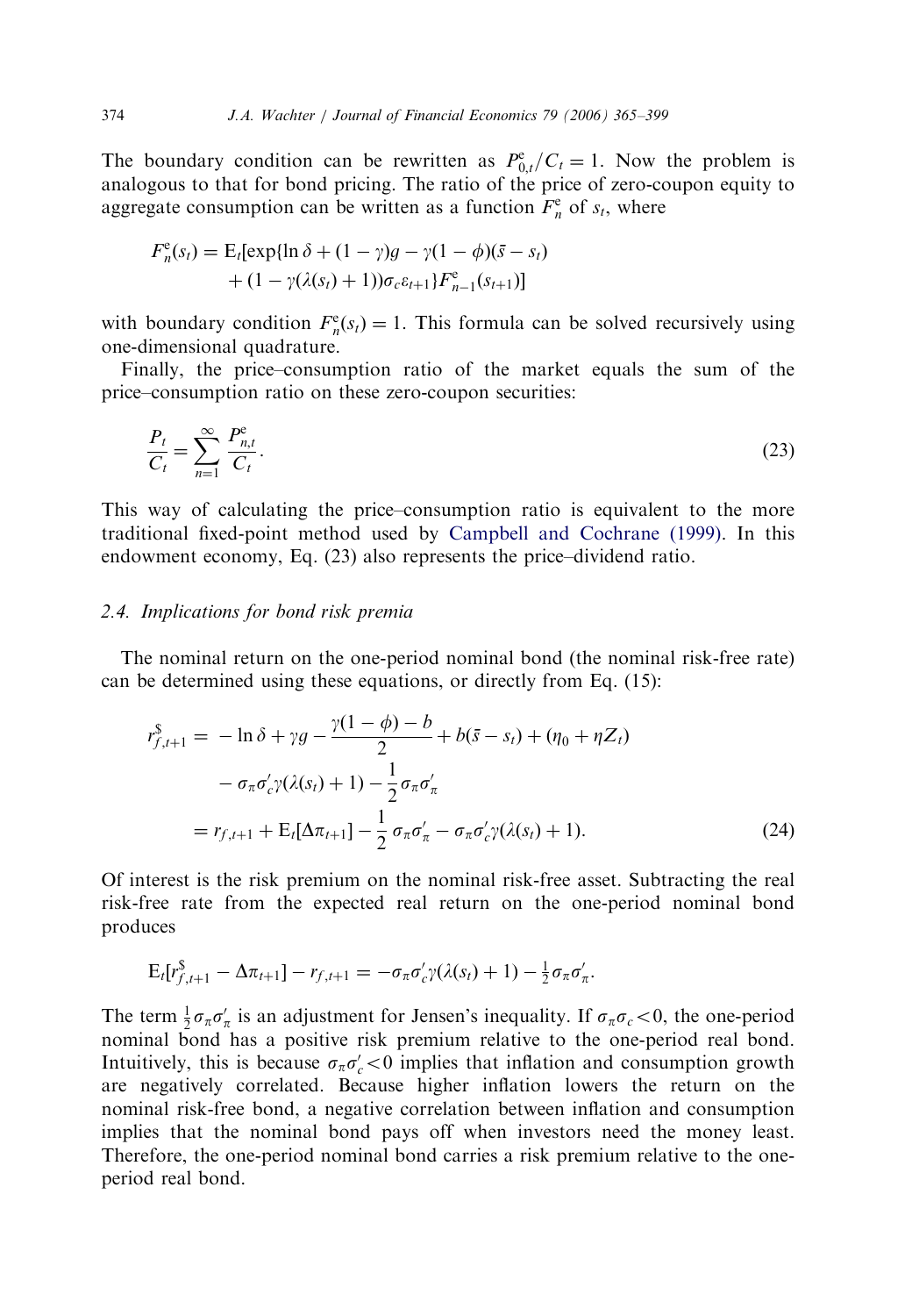The boundary condition can be rewritten as  $P_{0,t}^e/C_t = 1$ . Now the problem is analogous to that for bond pricing. The ratio of the price of zero-coupon equity to aggregate consumption can be written as a function  $F_n^e$  of  $s_t$ , where

$$
F_n^{\rm e}(s_t) = \mathbb{E}_t[\exp{\ln \delta + (1 - \gamma)g} - \gamma(1 - \phi)(\bar{s} - s_t) + (1 - \gamma(\lambda(s_t) + 1))\sigma_c \varepsilon_{t+1} \} F_{n-1}^{\rm e}(s_{t+1})]
$$

with boundary condition  $F_n^e(s) = 1$ . This formula can be solved recursively using one-dimensional quadrature.

Finally, the price–consumption ratio of the market equals the sum of the price–consumption ratio on these zero-coupon securities:

$$
\frac{P_t}{C_t} = \sum_{n=1}^{\infty} \frac{P_{n,t}^{\text{e}}}{C_t}.
$$
\n(23)

This way of calculating the price–consumption ratio is equivalent to the more traditional fixed-point method used by [Campbell and Cochrane \(1999\)](#page-33-0). In this endowment economy, Eq. (23) also represents the price–dividend ratio.

## 2.4. Implications for bond risk premia

The nominal return on the one-period nominal bond (the nominal risk-free rate) can be determined using these equations, or directly from Eq. (15):

$$
r_{f,t+1}^s = -\ln \delta + \gamma g - \frac{\gamma(1-\phi)-b}{2} + b(\bar{s} - s_t) + (\eta_0 + \eta Z_t) - \sigma_{\pi} \sigma_c' \gamma(\lambda(s_t) + 1) - \frac{1}{2} \sigma_{\pi} \sigma_{\pi}' = r_{f,t+1} + \mathcal{E}_t[\Delta \pi_{t+1}] - \frac{1}{2} \sigma_{\pi} \sigma_{\pi}' - \sigma_{\pi} \sigma_c' \gamma(\lambda(s_t) + 1).
$$
 (24)

Of interest is the risk premium on the nominal risk-free asset. Subtracting the real risk-free rate from the expected real return on the one-period nominal bond produces

$$
E_t[r_{f,t+1}^s - \Delta \pi_{t+1}] - r_{f,t+1} = -\sigma_\pi \sigma'_c \gamma(\lambda(s_t) + 1) - \frac{1}{2} \sigma_\pi \sigma'_\pi.
$$

The term  $\frac{1}{2}\sigma_{\pi}\sigma'_{\pi}$  is an adjustment for Jensen's inequality. If  $\sigma_{\pi}\sigma_c < 0$ , the one-period nominal bond has a positive risk premium relative to the one-period real bond. Intuitively, this is because  $\sigma_{\pi}\sigma'_{c} < 0$  implies that inflation and consumption growth are negatively correlated. Because higher inflation lowers the return on the nominal risk-free bond, a negative correlation between inflation and consumption implies that the nominal bond pays off when investors need the money least. Therefore, the one-period nominal bond carries a risk premium relative to the oneperiod real bond.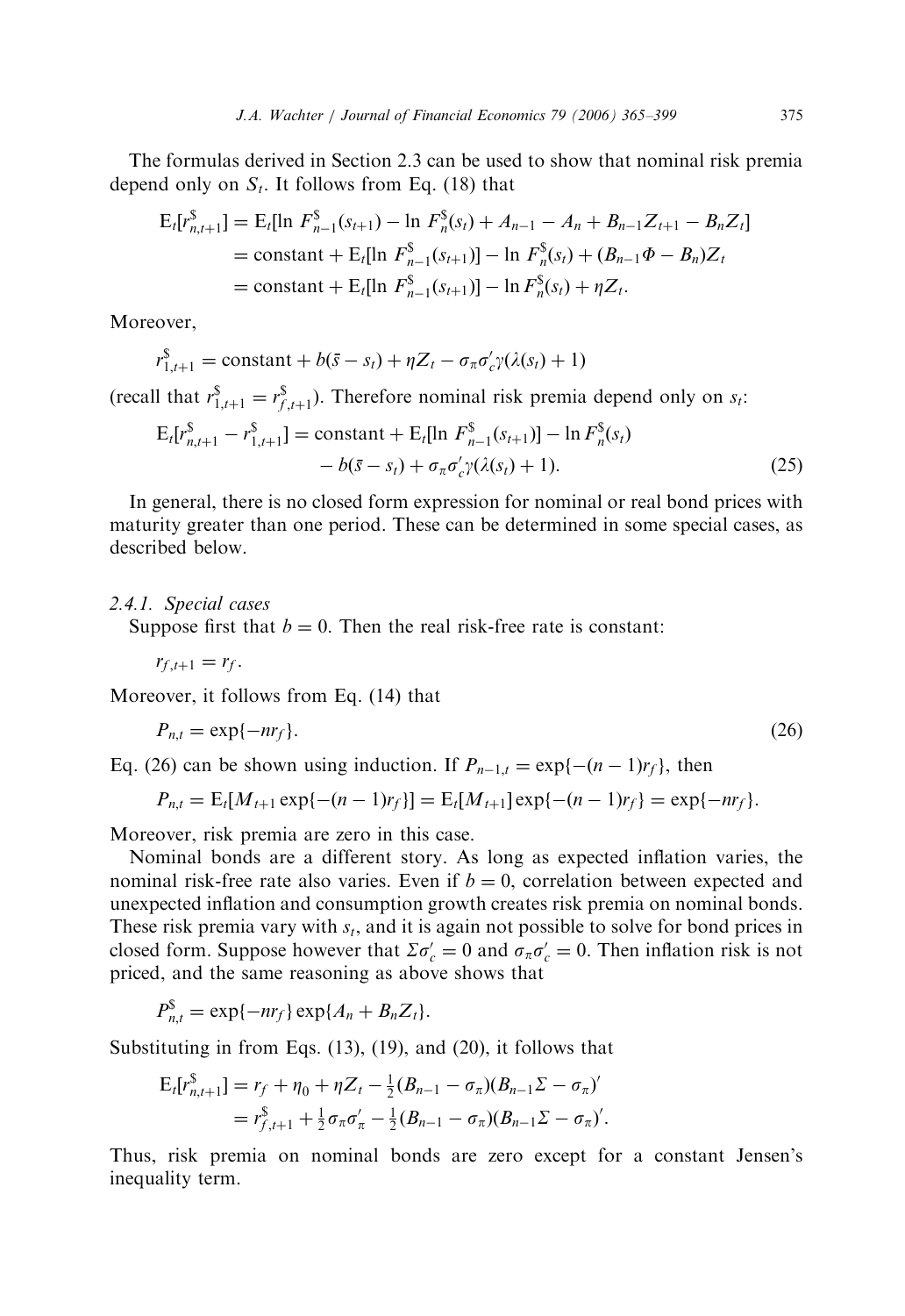The formulas derived in Section 2.3 can be used to show that nominal risk premia depend only on  $S_t$ . It follows from Eq. (18) that

$$
E_t[r_{n,t+1}^s] = E_t[\ln F_{n-1}^s(s_{t+1}) - \ln F_n^s(s_t) + A_{n-1} - A_n + B_{n-1}Z_{t+1} - B_nZ_t]
$$
  
= constant + E\_t[\ln F\_{n-1}^s(s\_{t+1})] - \ln F\_n^s(s\_t) + (B\_{n-1}\Phi - B\_n)Z\_t  
= constant + E\_t[\ln F\_{n-1}^s(s\_{t+1})] - \ln F\_n^s(s\_t) + \eta Z\_t.

Moreover,

$$
r_{1,t+1}^{\rm S} = \text{constant} + b(\bar{s} - s_t) + \eta Z_t - \sigma_{\pi} \sigma_c' \gamma (\lambda(s_t) + 1)
$$

(recall that  $r_{1,t+1}^{\$} = r_{f,t+1}^{\$}$ ). Therefore nominal risk premia depend only on  $s_t$ :

$$
E_t[r_{n,t+1}^S - r_{1,t+1}^S] = \text{constant} + E_t[\ln F_{n-1}^S(s_{t+1})] - \ln F_n^S(s_t) - b(\bar{s} - s_t) + \sigma_\pi \sigma_c' \gamma(\lambda(s_t) + 1). \tag{25}
$$

In general, there is no closed form expression for nominal or real bond prices with maturity greater than one period. These can be determined in some special cases, as described below.

# 2.4.1. Special cases

Suppose first that  $b = 0$ . Then the real risk-free rate is constant:

 $r_{f,t+1} = r_f.$ 

Moreover, it follows from Eq. (14) that

$$
P_{n,t} = \exp\{-nr_f\}.\tag{26}
$$

Eq. (26) can be shown using induction. If  $P_{n-1,t} = \exp\{- (n-1)r_f\}$ , then

$$
P_{n,t} = \mathrm{E}_t[M_{t+1} \exp\{-(n-1)r_f\}] = \mathrm{E}_t[M_{t+1}] \exp\{-(n-1)r_f\} = \exp\{-nr_f\}.
$$

Moreover, risk premia are zero in this case.

Nominal bonds are a different story. As long as expected inflation varies, the nominal risk-free rate also varies. Even if  $b = 0$ , correlation between expected and unexpected inflation and consumption growth creates risk premia on nominal bonds. These risk premia vary with  $s_t$ , and it is again not possible to solve for bond prices in closed form. Suppose however that  $\Sigma \sigma'_c = 0$  and  $\sigma_\pi \sigma'_c = 0$ . Then inflation risk is not priced, and the same reasoning as above shows that

$$
P_{n,t}^{\$} = \exp\{-nr_f\} \exp\{A_n + B_n Z_t\}.
$$

Substituting in from Eqs. (13), (19), and (20), it follows that

$$
E_t[r_{n,t+1}^{\mathcal{S}}] = r_f + \eta_0 + \eta Z_t - \frac{1}{2}(B_{n-1} - \sigma_\pi)(B_{n-1}\Sigma - \sigma_\pi)'
$$
  
=  $r_{f,t+1}^{\mathcal{S}} + \frac{1}{2}\sigma_\pi\sigma_\pi' - \frac{1}{2}(B_{n-1} - \sigma_\pi)(B_{n-1}\Sigma - \sigma_\pi)'$ .

Thus, risk premia on nominal bonds are zero except for a constant Jensen's inequality term.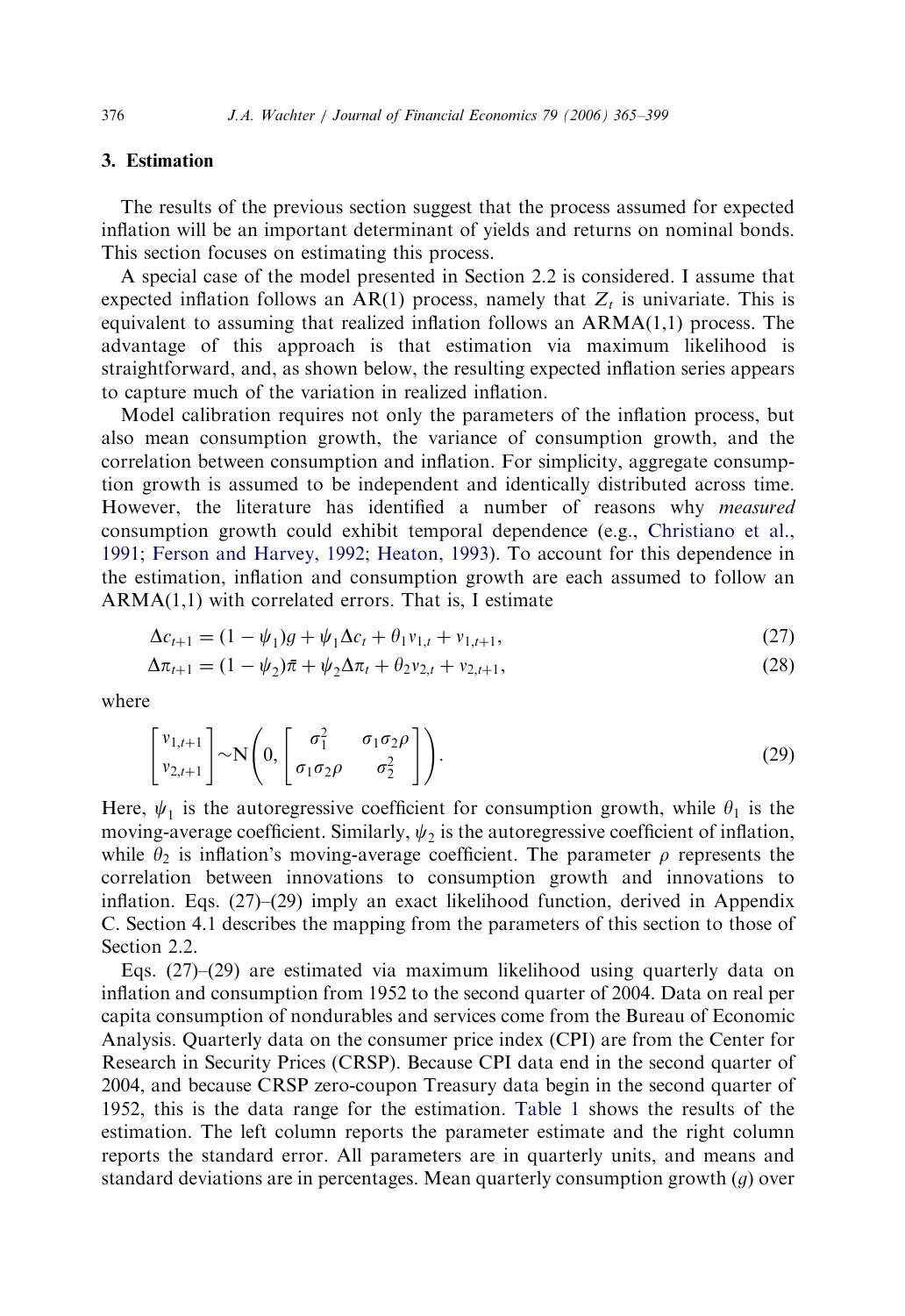# 3. Estimation

The results of the previous section suggest that the process assumed for expected inflation will be an important determinant of yields and returns on nominal bonds. This section focuses on estimating this process.

A special case of the model presented in Section 2.2 is considered. I assume that expected inflation follows an AR(1) process, namely that  $Z_t$  is univariate. This is equivalent to assuming that realized inflation follows an ARMA(1,1) process. The advantage of this approach is that estimation via maximum likelihood is straightforward, and, as shown below, the resulting expected inflation series appears to capture much of the variation in realized inflation.

Model calibration requires not only the parameters of the inflation process, but also mean consumption growth, the variance of consumption growth, and the correlation between consumption and inflation. For simplicity, aggregate consumption growth is assumed to be independent and identically distributed across time. However, the literature has identified a number of reasons why measured consumption growth could exhibit temporal dependence (e.g., [Christiano et al.,](#page-33-0) [1991](#page-33-0); [Ferson and Harvey, 1992;](#page-34-0) [Heaton, 1993\)](#page-34-0). To account for this dependence in the estimation, inflation and consumption growth are each assumed to follow an ARMA(1,1) with correlated errors. That is, I estimate

$$
\Delta c_{t+1} = (1 - \psi_1)g + \psi_1 \Delta c_t + \theta_1 v_{1,t} + v_{1,t+1},\tag{27}
$$

$$
\Delta \pi_{t+1} = (1 - \psi_2)\bar{\pi} + \psi_2 \Delta \pi_t + \theta_2 v_{2,t} + v_{2,t+1},
$$
\n(28)

where

$$
\begin{bmatrix} v_{1,t+1} \\ v_{2,t+1} \end{bmatrix} \sim N \left( 0, \begin{bmatrix} \sigma_1^2 & \sigma_1 \sigma_2 \rho \\ \sigma_1 \sigma_2 \rho & \sigma_2^2 \end{bmatrix} \right).
$$
 (29)

Here,  $\psi_1$  is the autoregressive coefficient for consumption growth, while  $\theta_1$  is the moving-average coefficient. Similarly,  $\psi_2$  is the autoregressive coefficient of inflation, while  $\theta_2$  is inflation's moving-average coefficient. The parameter  $\rho$  represents the correlation between innovations to consumption growth and innovations to inflation. Eqs. (27)–(29) imply an exact likelihood function, derived in Appendix C. Section 4.1 describes the mapping from the parameters of this section to those of Section 2.2.

Eqs. (27)–(29) are estimated via maximum likelihood using quarterly data on inflation and consumption from 1952 to the second quarter of 2004. Data on real per capita consumption of nondurables and services come from the Bureau of Economic Analysis. Quarterly data on the consumer price index (CPI) are from the Center for Research in Security Prices (CRSP). Because CPI data end in the second quarter of 2004, and because CRSP zero-coupon Treasury data begin in the second quarter of 1952, this is the data range for the estimation. [Table 1](#page-12-0) shows the results of the estimation. The left column reports the parameter estimate and the right column reports the standard error. All parameters are in quarterly units, and means and standard deviations are in percentages. Mean quarterly consumption growth  $(q)$  over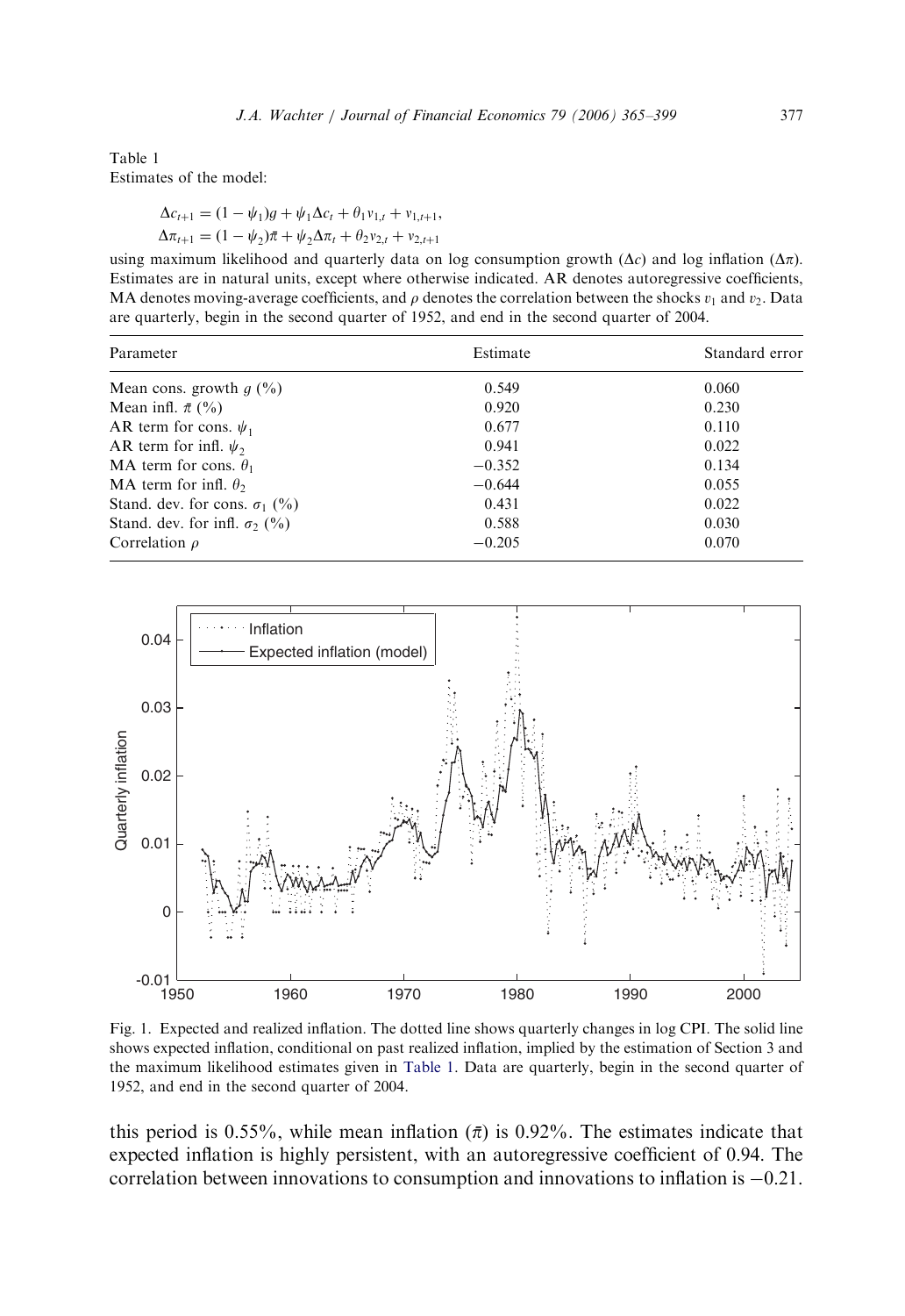<span id="page-12-0"></span>Table 1

Estimates of the model:

$$
\Delta c_{t+1} = (1 - \psi_1)g + \psi_1 \Delta c_t + \theta_1 v_{1,t} + v_{1,t+1},
$$
  

$$
\Delta \pi_{t+1} = (1 - \psi_2)\bar{\pi} + \psi_2 \Delta \pi_t + \theta_2 v_{2,t} + v_{2,t+1}
$$

using maximum likelihood and quarterly data on log consumption growth  $(\Delta c)$  and log inflation  $(\Delta \pi)$ . Estimates are in natural units, except where otherwise indicated. AR denotes autoregressive coefficients, MA denotes moving-average coefficients, and  $\rho$  denotes the correlation between the shocks  $v_1$  and  $v_2$ . Data are quarterly, begin in the second quarter of 1952, and end in the second quarter of 2004.

| Parameter                            | Estimate | Standard error |  |
|--------------------------------------|----------|----------------|--|
| Mean cons. growth $g(\%)$            | 0.549    | 0.060          |  |
| Mean infl. $\pi$ (%)                 | 0.920    | 0.230          |  |
| AR term for cons. $\psi_1$           | 0.677    | 0.110          |  |
| AR term for infl. $\psi_2$ .         | 0.941    | 0.022          |  |
| MA term for cons. $\theta_1$         | $-0.352$ | 0.134          |  |
| MA term for infl. $\theta_2$         | $-0.644$ | 0.055          |  |
| Stand. dev. for cons. $\sigma_1$ (%) | 0.431    | 0.022          |  |
| Stand. dev. for infl. $\sigma_2$ (%) | 0.588    | 0.030          |  |
| Correlation $\rho$                   | $-0.205$ | 0.070          |  |



Fig. 1. Expected and realized inflation. The dotted line shows quarterly changes in log CPI. The solid line shows expected inflation, conditional on past realized inflation, implied by the estimation of Section 3 and the maximum likelihood estimates given in Table 1. Data are quarterly, begin in the second quarter of 1952, and end in the second quarter of 2004.

this period is 0.55%, while mean inflation ( $\bar{\pi}$ ) is 0.92%. The estimates indicate that expected inflation is highly persistent, with an autoregressive coefficient of 0.94. The correlation between innovations to consumption and innovations to inflation is  $-0.21$ .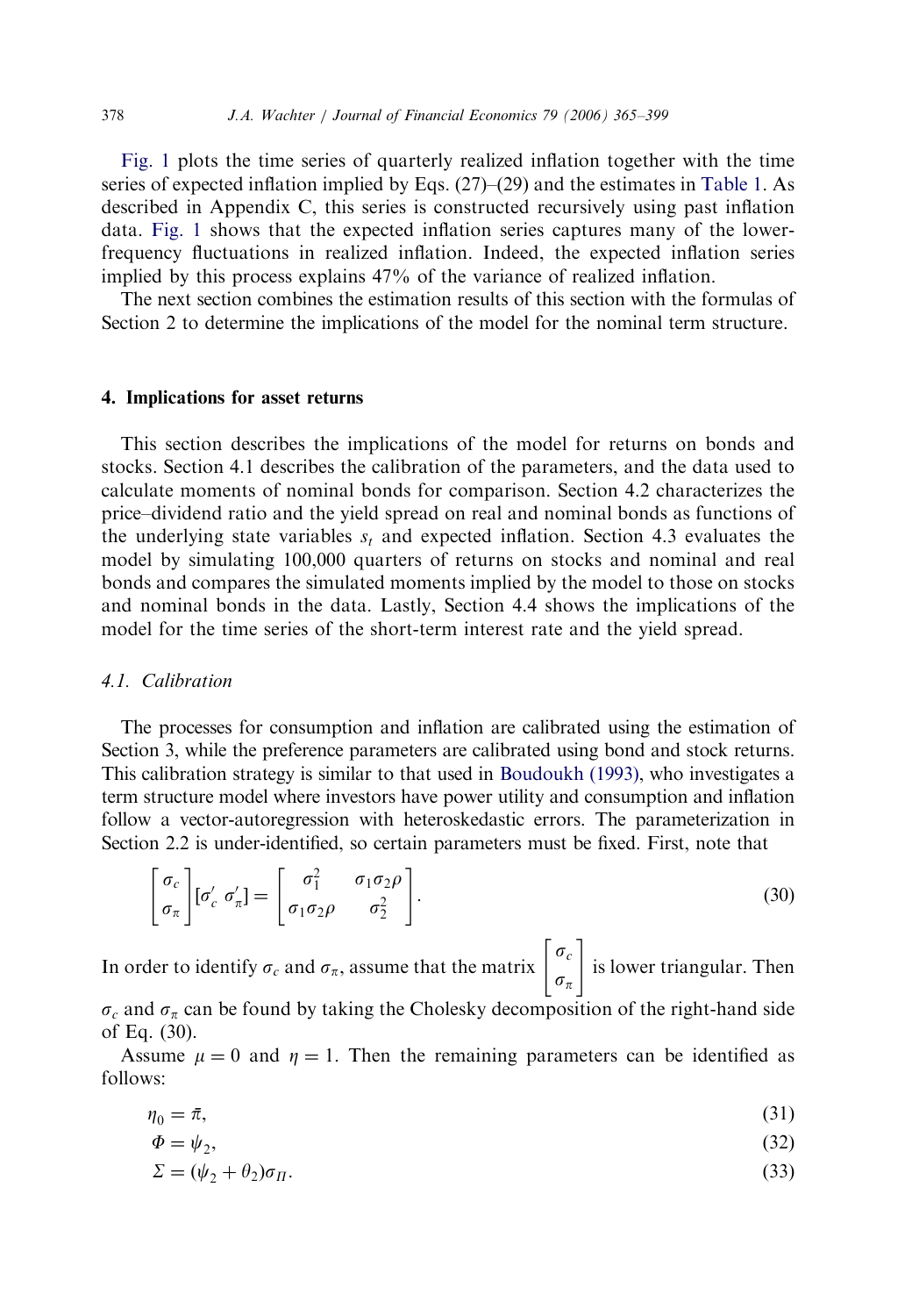[Fig. 1](#page-12-0) plots the time series of quarterly realized inflation together with the time series of expected inflation implied by Eqs.  $(27)$ – $(29)$  and the estimates in [Table 1](#page-12-0). As described in Appendix C, this series is constructed recursively using past inflation data. [Fig. 1](#page-12-0) shows that the expected inflation series captures many of the lowerfrequency fluctuations in realized inflation. Indeed, the expected inflation series implied by this process explains 47% of the variance of realized inflation.

The next section combines the estimation results of this section with the formulas of Section 2 to determine the implications of the model for the nominal term structure.

### 4. Implications for asset returns

This section describes the implications of the model for returns on bonds and stocks. Section 4.1 describes the calibration of the parameters, and the data used to calculate moments of nominal bonds for comparison. Section 4.2 characterizes the price–dividend ratio and the yield spread on real and nominal bonds as functions of the underlying state variables  $s_t$  and expected inflation. Section 4.3 evaluates the model by simulating 100,000 quarters of returns on stocks and nominal and real bonds and compares the simulated moments implied by the model to those on stocks and nominal bonds in the data. Lastly, Section 4.4 shows the implications of the model for the time series of the short-term interest rate and the yield spread.

## 4.1. Calibration

of Eq. (30).

The processes for consumption and inflation are calibrated using the estimation of Section 3, while the preference parameters are calibrated using bond and stock returns. This calibration strategy is similar to that used in [Boudoukh \(1993\)](#page-33-0), who investigates a term structure model where investors have power utility and consumption and inflation follow a vector-autoregression with heteroskedastic errors. The parameterization in Section 2.2 is under-identified, so certain parameters must be fixed. First, note that

$$
\begin{bmatrix} \sigma_c \\ \sigma_{\pi} \end{bmatrix} [\sigma'_c \ \sigma'_{\pi}] = \begin{bmatrix} \sigma_1^2 & \sigma_1 \sigma_2 \rho \\ \sigma_1 \sigma_2 \rho & \sigma_2^2 \end{bmatrix} . \tag{30}
$$

In order to identify  $\sigma_c$  and  $\sigma_{\pi}$ , assume that the matrix  $\sigma_c$  $\sigma_\pi$  $r = 1$ is lower triangular. Then  $\sigma_c$  and  $\sigma_{\pi}$  can be found by taking the Cholesky decomposition of the right-hand side

Assume  $\mu = 0$  and  $\eta = 1$ . Then the remaining parameters can be identified as follows:

$$
\eta_0 = \bar{\pi},\tag{31}
$$

$$
\Phi = \psi_2,\tag{32}
$$

$$
\Sigma = (\psi_2 + \theta_2)\sigma_{\Pi}.\tag{33}
$$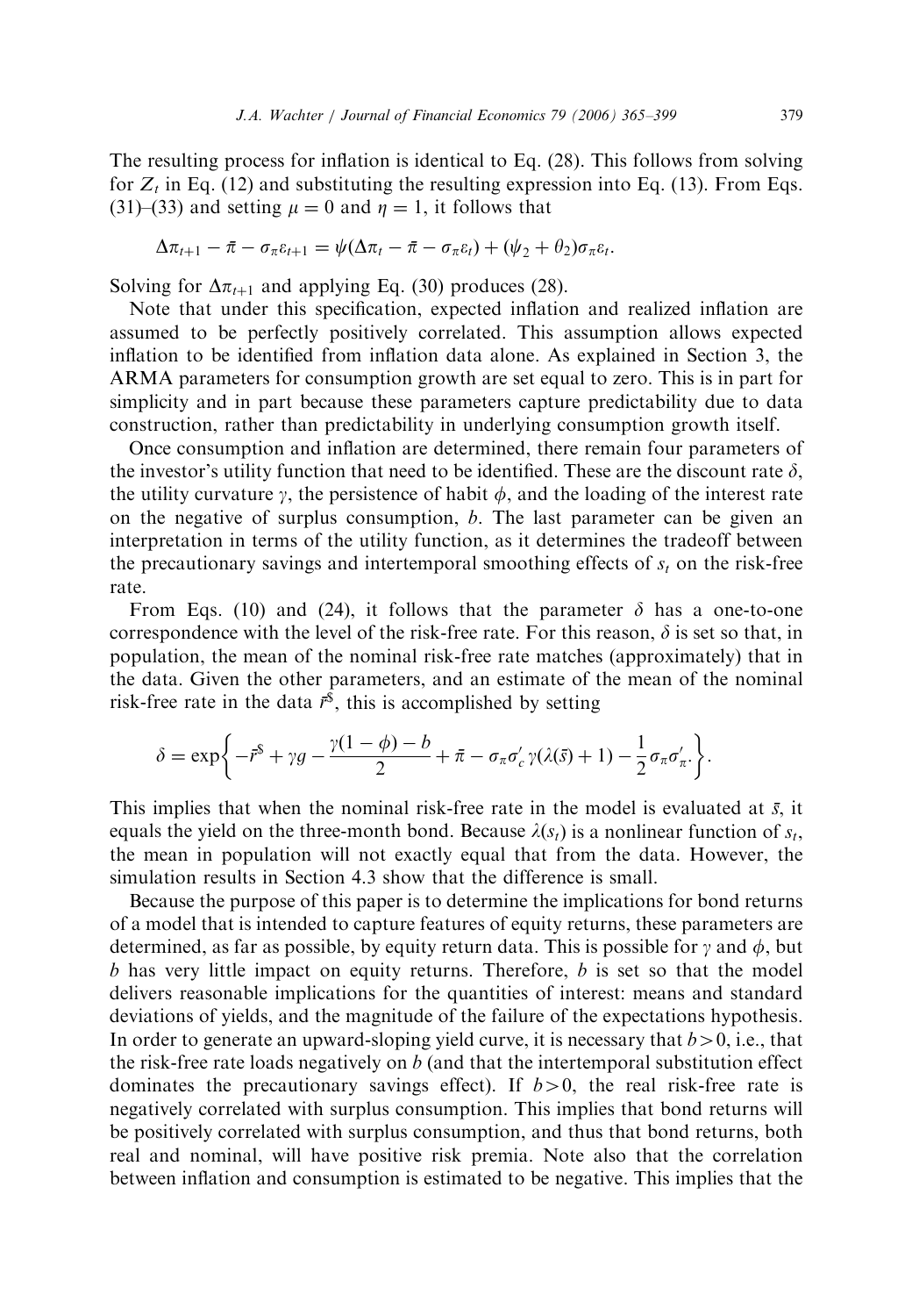The resulting process for inflation is identical to Eq. (28). This follows from solving for  $Z_t$  in Eq. (12) and substituting the resulting expression into Eq. (13). From Eqs. (31)–(33) and setting  $\mu = 0$  and  $\eta = 1$ , it follows that

$$
\Delta \pi_{t+1} - \bar{\pi} - \sigma_{\pi} \varepsilon_{t+1} = \psi(\Delta \pi_t - \bar{\pi} - \sigma_{\pi} \varepsilon_t) + (\psi_2 + \theta_2) \sigma_{\pi} \varepsilon_t.
$$

Solving for  $\Delta \pi_{t+1}$  and applying Eq. (30) produces (28).

Note that under this specification, expected inflation and realized inflation are assumed to be perfectly positively correlated. This assumption allows expected inflation to be identified from inflation data alone. As explained in Section 3, the ARMA parameters for consumption growth are set equal to zero. This is in part for simplicity and in part because these parameters capture predictability due to data construction, rather than predictability in underlying consumption growth itself.

Once consumption and inflation are determined, there remain four parameters of the investor's utility function that need to be identified. These are the discount rate  $\delta$ , the utility curvature y, the persistence of habit  $\phi$ , and the loading of the interest rate on the negative of surplus consumption,  $b$ . The last parameter can be given an interpretation in terms of the utility function, as it determines the tradeoff between the precautionary savings and intertemporal smoothing effects of  $s_t$  on the risk-free rate.

From Eqs. (10) and (24), it follows that the parameter  $\delta$  has a one-to-one correspondence with the level of the risk-free rate. For this reason,  $\delta$  is set so that, in population, the mean of the nominal risk-free rate matches (approximately) that in the data. Given the other parameters, and an estimate of the mean of the nominal risk-free rate in the data  $\bar{r}^{\$}$ , this is accomplished by setting

$$
\delta = \exp\bigg\{-\tilde{r}^{\$} + \gamma g - \frac{\gamma(1-\phi)-b}{2} + \bar{\pi} - \sigma_{\pi}\sigma'_{c}\gamma(\lambda(\bar{s})+1) - \frac{1}{2}\sigma_{\pi}\sigma'_{\pi}.\bigg\}.
$$

This implies that when the nominal risk-free rate in the model is evaluated at  $\bar{s}$ , it equals the yield on the three-month bond. Because  $\lambda(s_t)$  is a nonlinear function of  $s_t$ , the mean in population will not exactly equal that from the data. However, the simulation results in Section 4.3 show that the difference is small.

Because the purpose of this paper is to determine the implications for bond returns of a model that is intended to capture features of equity returns, these parameters are determined, as far as possible, by equity return data. This is possible for  $\gamma$  and  $\phi$ , but  $b$  has very little impact on equity returns. Therefore,  $b$  is set so that the model delivers reasonable implications for the quantities of interest: means and standard deviations of yields, and the magnitude of the failure of the expectations hypothesis. In order to generate an upward-sloping yield curve, it is necessary that  $b > 0$ , i.e., that the risk-free rate loads negatively on  $b$  (and that the intertemporal substitution effect dominates the precautionary savings effect). If  $b > 0$ , the real risk-free rate is negatively correlated with surplus consumption. This implies that bond returns will be positively correlated with surplus consumption, and thus that bond returns, both real and nominal, will have positive risk premia. Note also that the correlation between inflation and consumption is estimated to be negative. This implies that the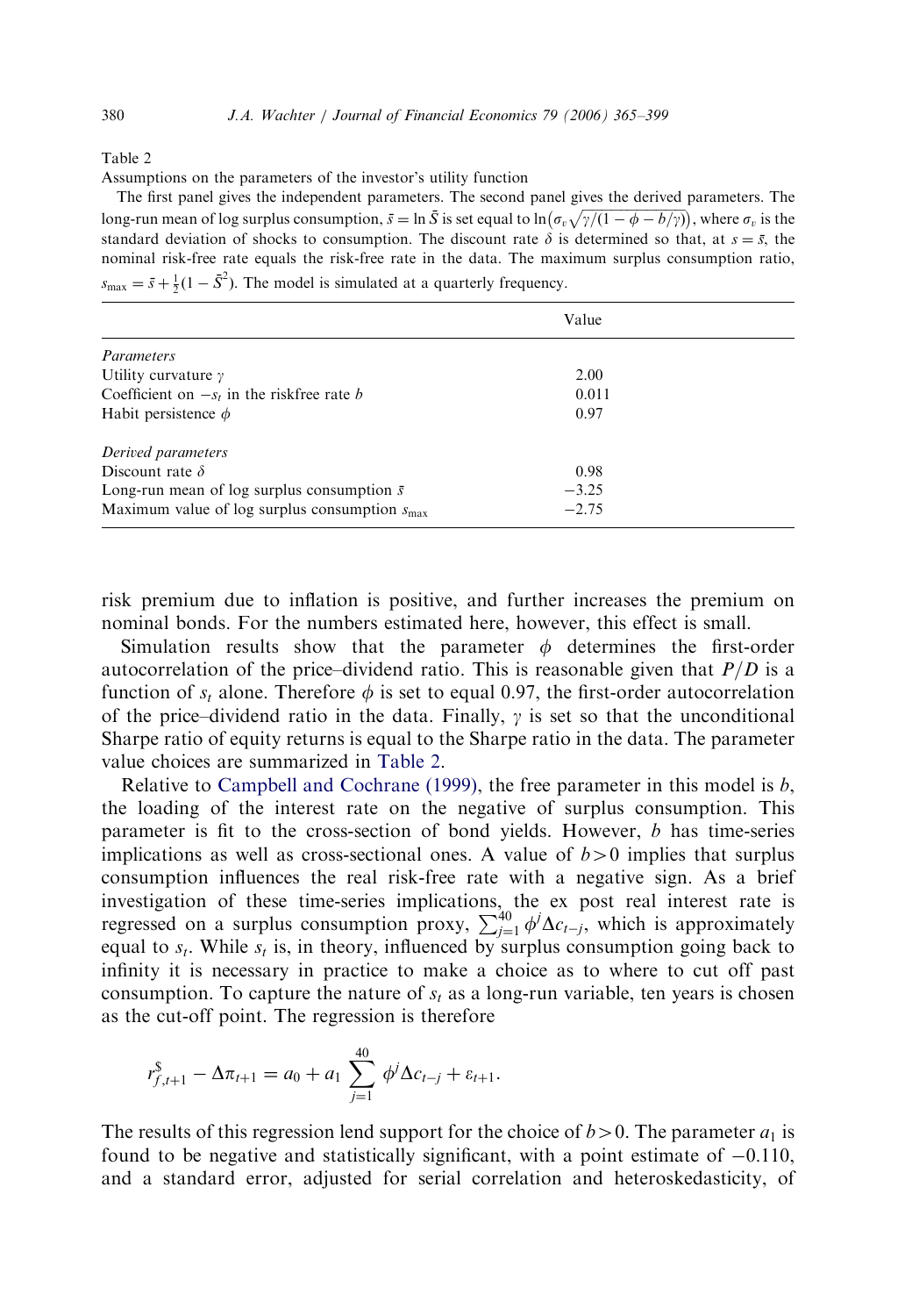Table 2

Assumptions on the parameters of the investor's utility function

The first panel gives the independent parameters. The second panel gives the derived parameters. The long-run mean of log surplus consumption,  $\bar{s} = \ln \bar{S}$  is set equal to  $\ln(\sigma_v \sqrt{\gamma/(1-\phi-b/\gamma)})$ , where  $\sigma_v$  is the standard deviation of shocks to consumption. The discount rate  $\delta$  is determined so that, at  $s = \overline{s}$ , the nominal risk-free rate equals the risk-free rate in the data. The maximum surplus consumption ratio,  $s_{\text{max}} = \bar{s} + \frac{1}{2}(1 - \bar{S}^2)$ . The model is simulated at a quarterly frequency.

|                                                           | Value   |  |
|-----------------------------------------------------------|---------|--|
| <i>Parameters</i>                                         |         |  |
| Utility curvature $\gamma$                                | 2.00    |  |
| Coefficient on $-s_t$ in the riskfree rate b              | 0.011   |  |
| Habit persistence $\phi$                                  | 0.97    |  |
| Derived parameters                                        |         |  |
| Discount rate $\delta$                                    | 0.98    |  |
| Long-run mean of log surplus consumption $\bar{s}$        | $-3.25$ |  |
| Maximum value of log surplus consumption $s_{\text{max}}$ | $-2.75$ |  |

risk premium due to inflation is positive, and further increases the premium on nominal bonds. For the numbers estimated here, however, this effect is small.

Simulation results show that the parameter  $\phi$  determines the first-order autocorrelation of the price–dividend ratio. This is reasonable given that  $P/D$  is a function of  $s_t$  alone. Therefore  $\phi$  is set to equal 0.97, the first-order autocorrelation of the price–dividend ratio in the data. Finally,  $\gamma$  is set so that the unconditional Sharpe ratio of equity returns is equal to the Sharpe ratio in the data. The parameter value choices are summarized in Table 2.

Relative to [Campbell and Cochrane \(1999\),](#page-33-0) the free parameter in this model is  $b$ , the loading of the interest rate on the negative of surplus consumption. This parameter is fit to the cross-section of bond yields. However,  $b$  has time-series implications as well as cross-sectional ones. A value of  $b > 0$  implies that surplus consumption influences the real risk-free rate with a negative sign. As a brief investigation of these time-series implications, the ex post real interest rate is regressed on a surplus consumption proxy,  $\sum_{j=1}^{40} \phi^j \Delta c_{t-j}$ , which is approximately equal to  $s_t$ . While  $s_t$  is, in theory, influenced by surplus consumption going back to infinity it is necessary in practice to make a choice as to where to cut off past consumption. To capture the nature of  $s_t$  as a long-run variable, ten years is chosen as the cut-off point. The regression is therefore

$$
r_{f,t+1}^{\$} - \Delta \pi_{t+1} = a_0 + a_1 \sum_{j=1}^{40} \phi^j \Delta c_{t-j} + \varepsilon_{t+1}.
$$

The results of this regression lend support for the choice of  $b > 0$ . The parameter  $a_1$  is found to be negative and statistically significant, with a point estimate of  $-0.110$ , and a standard error, adjusted for serial correlation and heteroskedasticity, of

<span id="page-15-0"></span>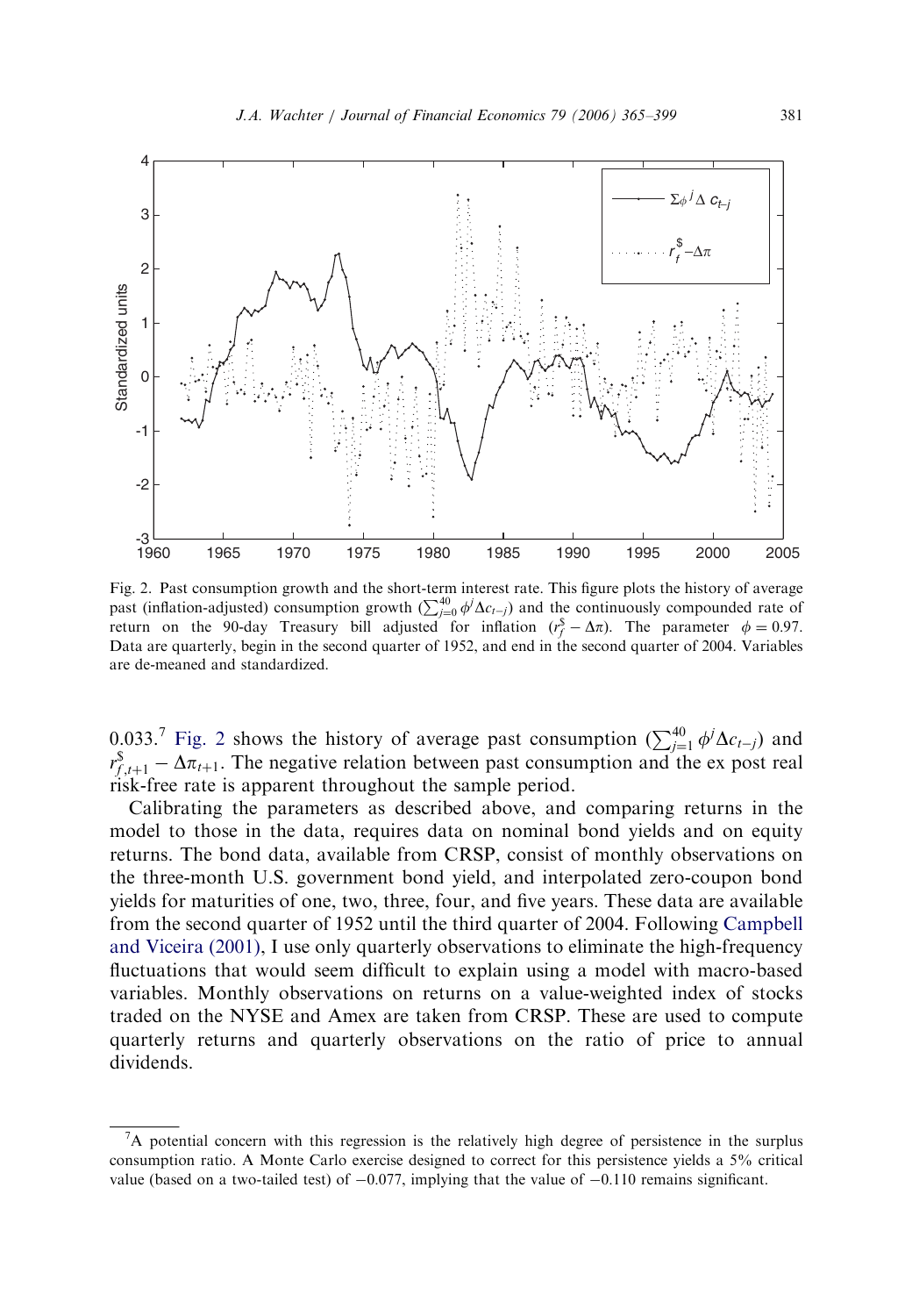

Fig. 2. Past consumption growth and the short-term interest rate. This figure plots the history of average past (inflation-adjusted) consumption growth  $(\sum_{j=0}^{40} \phi^j \Delta c_{t-j})$  and the continuously compounded rate of return on the 90-day Treasury bill adjusted for inflation  $(r_f^s - \Delta \pi)$ . The parameter  $\phi = 0.97$ . Data are quarterly, begin in the second quarter of 1952, and end in the second quarter of 2004. Variables are de-meaned and standardized.

0.033.<sup>7</sup> Fig. 2 shows the history of average past consumption  $(\sum_{j=1}^{40} \phi^j \Delta c_{t-j})$  and  $r_{f,t+1}^S - \Delta \pi_{t+1}$ . The negative relation between past consumption and the ex post real risk-free rate is apparent throughout the sample period.

Calibrating the parameters as described above, and comparing returns in the model to those in the data, requires data on nominal bond yields and on equity returns. The bond data, available from CRSP, consist of monthly observations on the three-month U.S. government bond yield, and interpolated zero-coupon bond yields for maturities of one, two, three, four, and five years. These data are available from the second quarter of 1952 until the third quarter of 2004. Following [Campbell](#page-33-0) [and Viceira \(2001\),](#page-33-0) I use only quarterly observations to eliminate the high-frequency fluctuations that would seem difficult to explain using a model with macro-based variables. Monthly observations on returns on a value-weighted index of stocks traded on the NYSE and Amex are taken from CRSP. These are used to compute quarterly returns and quarterly observations on the ratio of price to annual dividends.

 ${}^{7}$ A potential concern with this regression is the relatively high degree of persistence in the surplus consumption ratio. A Monte Carlo exercise designed to correct for this persistence yields a 5% critical value (based on a two-tailed test) of  $-0.077$ , implying that the value of  $-0.110$  remains significant.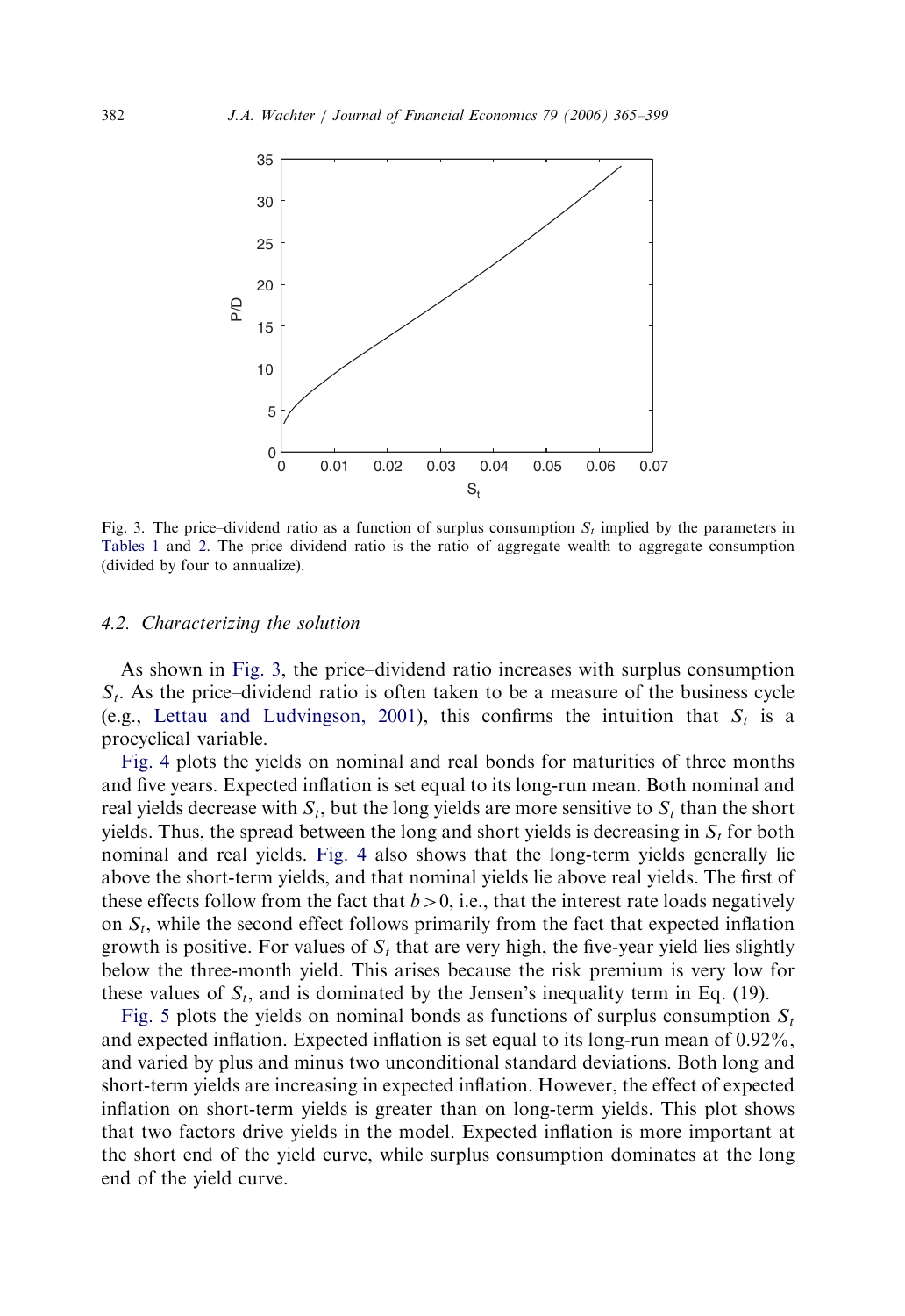

Fig. 3. The price–dividend ratio as a function of surplus consumption  $S<sub>i</sub>$  implied by the parameters in [Tables 1](#page-12-0) and [2.](#page-15-0) The price–dividend ratio is the ratio of aggregate wealth to aggregate consumption (divided by four to annualize).

#### 4.2. Characterizing the solution

As shown in Fig. 3, the price–dividend ratio increases with surplus consumption  $S_t$ . As the price–dividend ratio is often taken to be a measure of the business cycle (e.g., [Lettau and Ludvingson, 2001\)](#page-34-0), this confirms the intuition that  $S_t$  is a procyclical variable.

[Fig. 4](#page-18-0) plots the yields on nominal and real bonds for maturities of three months and five years. Expected inflation is set equal to its long-run mean. Both nominal and real yields decrease with  $S_t$ , but the long yields are more sensitive to  $S_t$  than the short yields. Thus, the spread between the long and short yields is decreasing in  $S_t$  for both nominal and real yields. [Fig. 4](#page-18-0) also shows that the long-term yields generally lie above the short-term yields, and that nominal yields lie above real yields. The first of these effects follow from the fact that  $b>0$ , i.e., that the interest rate loads negatively on  $S_t$ , while the second effect follows primarily from the fact that expected inflation growth is positive. For values of  $S_t$  that are very high, the five-year yield lies slightly below the three-month yield. This arises because the risk premium is very low for these values of  $S_t$ , and is dominated by the Jensen's inequality term in Eq. (19).

[Fig. 5](#page-19-0) plots the yields on nominal bonds as functions of surplus consumption  $S_t$ and expected inflation. Expected inflation is set equal to its long-run mean of 0.92%, and varied by plus and minus two unconditional standard deviations. Both long and short-term yields are increasing in expected inflation. However, the effect of expected inflation on short-term yields is greater than on long-term yields. This plot shows that two factors drive yields in the model. Expected inflation is more important at the short end of the yield curve, while surplus consumption dominates at the long end of the yield curve.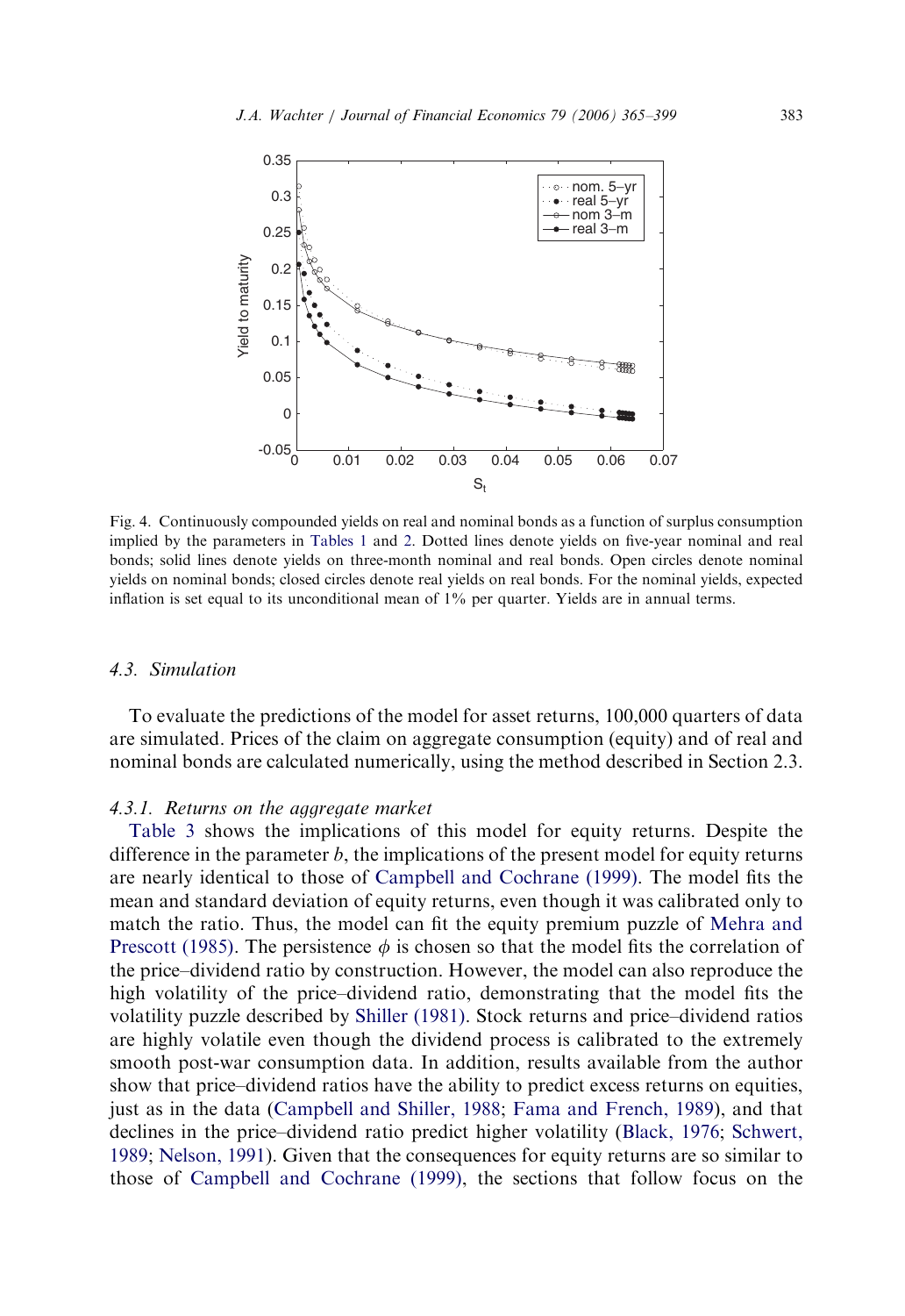<span id="page-18-0"></span>

Fig. 4. Continuously compounded yields on real and nominal bonds as a function of surplus consumption implied by the parameters in [Tables 1](#page-12-0) and [2.](#page-15-0) Dotted lines denote yields on five-year nominal and real bonds; solid lines denote yields on three-month nominal and real bonds. Open circles denote nominal yields on nominal bonds; closed circles denote real yields on real bonds. For the nominal yields, expected inflation is set equal to its unconditional mean of 1% per quarter. Yields are in annual terms.

## 4.3. Simulation

To evaluate the predictions of the model for asset returns, 100,000 quarters of data are simulated. Prices of the claim on aggregate consumption (equity) and of real and nominal bonds are calculated numerically, using the method described in Section 2.3.

#### 4.3.1. Returns on the aggregate market

[Table 3](#page-20-0) shows the implications of this model for equity returns. Despite the difference in the parameter  $b$ , the implications of the present model for equity returns are nearly identical to those of [Campbell and Cochrane \(1999\).](#page-33-0) The model fits the mean and standard deviation of equity returns, even though it was calibrated only to match the ratio. Thus, the model can fit the equity premium puzzle of [Mehra and](#page-34-0) [Prescott \(1985\).](#page-34-0) The persistence  $\phi$  is chosen so that the model fits the correlation of the price–dividend ratio by construction. However, the model can also reproduce the high volatility of the price–dividend ratio, demonstrating that the model fits the volatility puzzle described by [Shiller \(1981\).](#page-34-0) Stock returns and price–dividend ratios are highly volatile even though the dividend process is calibrated to the extremely smooth post-war consumption data. In addition, results available from the author show that price–dividend ratios have the ability to predict excess returns on equities, just as in the data ([Campbell and Shiller, 1988](#page-33-0); [Fama and French, 1989](#page-34-0)), and that declines in the price–dividend ratio predict higher volatility ([Black, 1976](#page-33-0); [Schwert,](#page-34-0) [1989;](#page-34-0) [Nelson, 1991](#page-34-0)). Given that the consequences for equity returns are so similar to those of [Campbell and Cochrane \(1999\),](#page-33-0) the sections that follow focus on the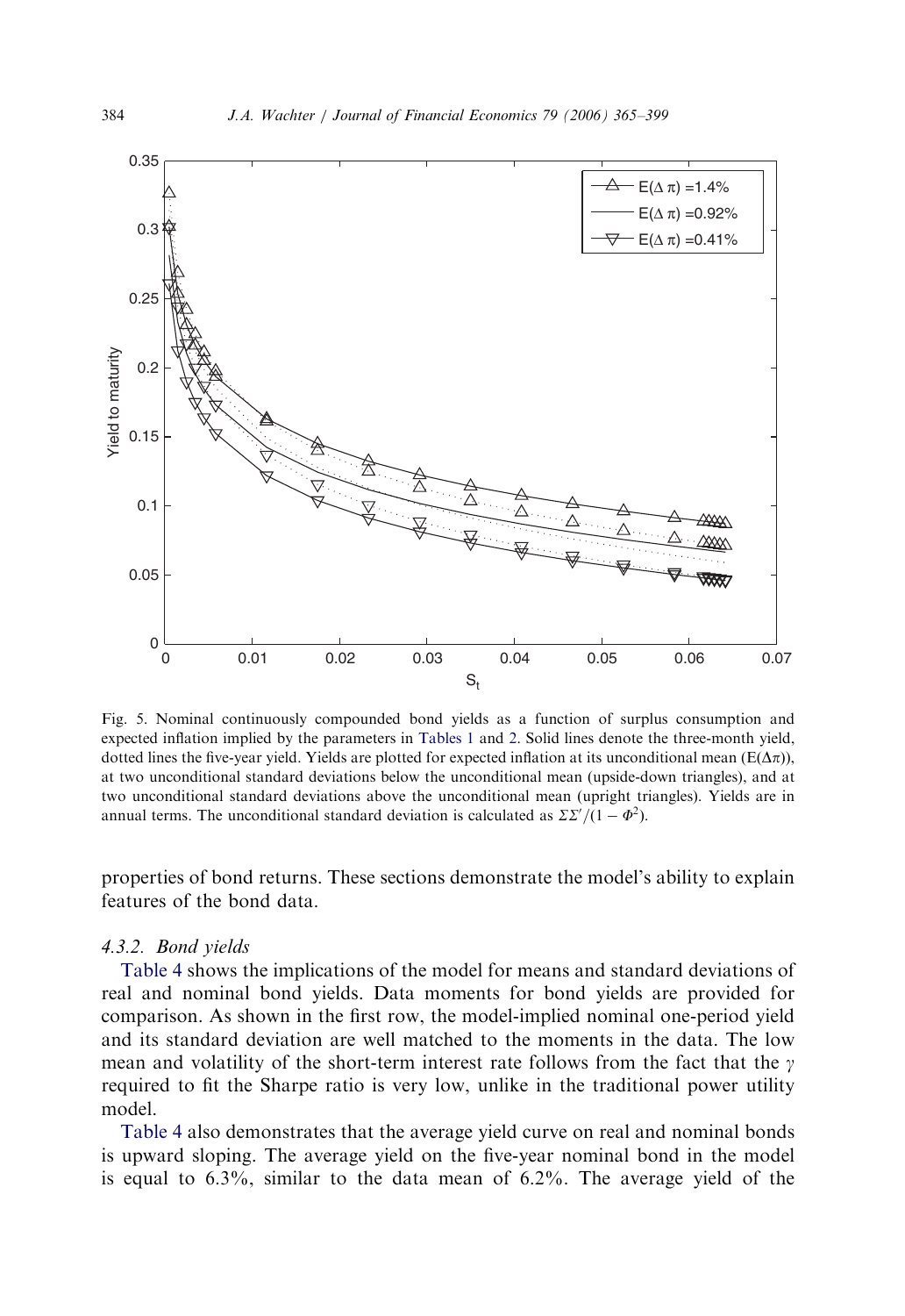<span id="page-19-0"></span>

Fig. 5. Nominal continuously compounded bond yields as a function of surplus consumption and expected inflation implied by the parameters in [Tables 1](#page-12-0) and [2](#page-15-0). Solid lines denote the three-month yield, dotted lines the five-year yield. Yields are plotted for expected inflation at its unconditional mean ( $E(\Delta \pi)$ ), at two unconditional standard deviations below the unconditional mean (upside-down triangles), and at two unconditional standard deviations above the unconditional mean (upright triangles). Yields are in annual terms. The unconditional standard deviation is calculated as  $\Sigma \Sigma'/(1 - \Phi^2)$ .

properties of bond returns. These sections demonstrate the model's ability to explain features of the bond data.

### 4.3.2. Bond yields

[Table 4](#page-20-0) shows the implications of the model for means and standard deviations of real and nominal bond yields. Data moments for bond yields are provided for comparison. As shown in the first row, the model-implied nominal one-period yield and its standard deviation are well matched to the moments in the data. The low mean and volatility of the short-term interest rate follows from the fact that the  $\gamma$ required to fit the Sharpe ratio is very low, unlike in the traditional power utility model.

[Table 4](#page-20-0) also demonstrates that the average yield curve on real and nominal bonds is upward sloping. The average yield on the five-year nominal bond in the model is equal to 6.3%, similar to the data mean of 6.2%. The average yield of the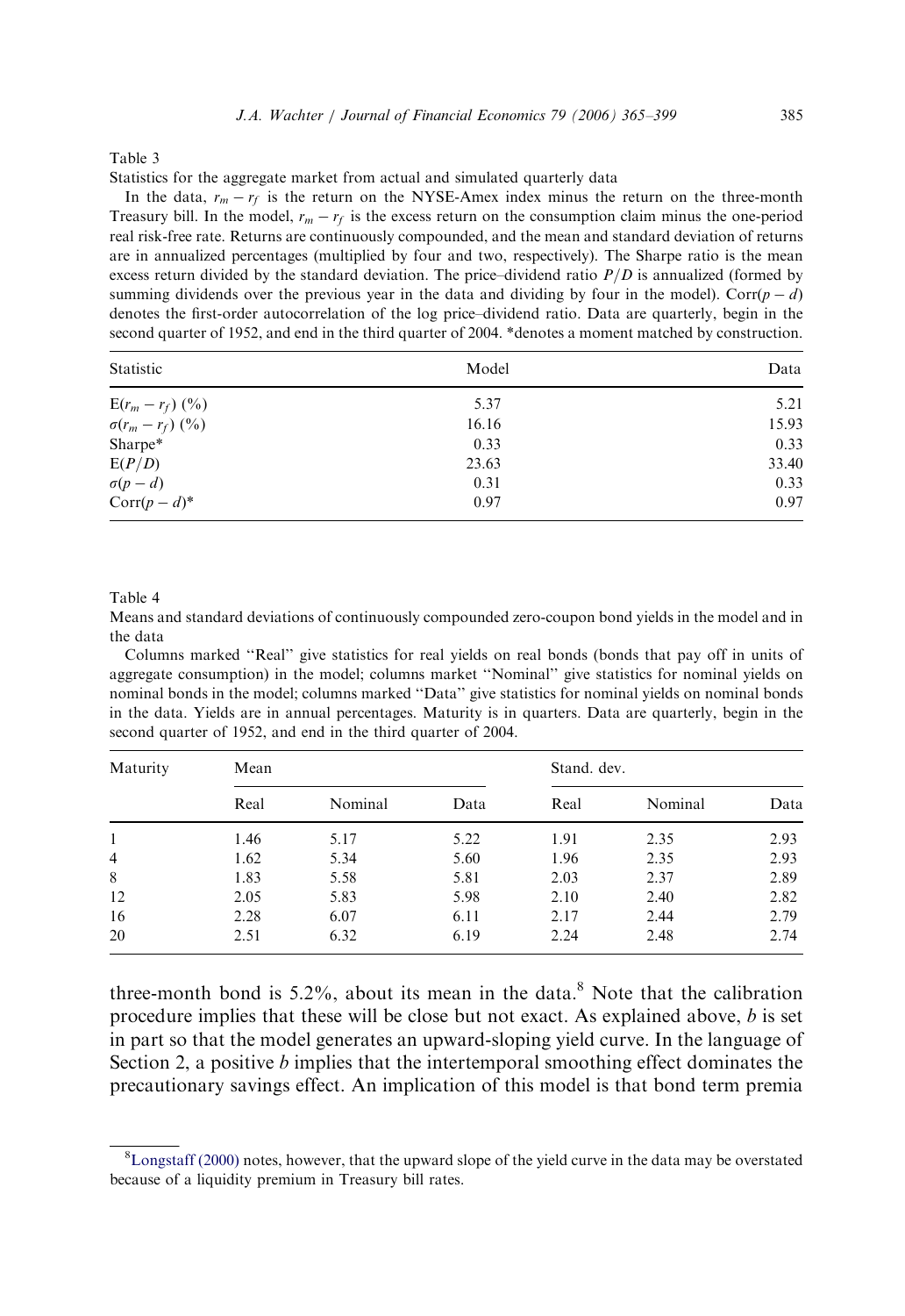<span id="page-20-0"></span>Statistics for the aggregate market from actual and simulated quarterly data

In the data,  $r_m - r_f$  is the return on the NYSE-Amex index minus the return on the three-month Treasury bill. In the model,  $r_m - r_f$  is the excess return on the consumption claim minus the one-period real risk-free rate. Returns are continuously compounded, and the mean and standard deviation of returns are in annualized percentages (multiplied by four and two, respectively). The Sharpe ratio is the mean excess return divided by the standard deviation. The price–dividend ratio  $P/D$  is annualized (formed by summing dividends over the previous year in the data and dividing by four in the model). Corr $(p - d)$ denotes the first-order autocorrelation of the log price–dividend ratio. Data are quarterly, begin in the second quarter of 1952, and end in the third quarter of 2004. \*denotes a moment matched by construction.

| Statistic             | Model | Data  |  |
|-----------------------|-------|-------|--|
| $E(r_m - r_f)$ (%)    | 5.37  | 5.21  |  |
| $\sigma(r_m-r_f)$ (%) | 16.16 | 15.93 |  |
| Sharpe*               | 0.33  | 0.33  |  |
| E(P/D)                | 23.63 | 33.40 |  |
| $\sigma(p-d)$         | 0.31  | 0.33  |  |
| $Corr(p-d)^*$         | 0.97  | 0.97  |  |

#### Table 4

Means and standard deviations of continuously compounded zero-coupon bond yields in the model and in the data

Columns marked ''Real'' give statistics for real yields on real bonds (bonds that pay off in units of aggregate consumption) in the model; columns market ''Nominal'' give statistics for nominal yields on nominal bonds in the model; columns marked ''Data'' give statistics for nominal yields on nominal bonds in the data. Yields are in annual percentages. Maturity is in quarters. Data are quarterly, begin in the second quarter of 1952, and end in the third quarter of 2004.

| Maturity       | Mean |         | Stand, dev. |      |         |      |
|----------------|------|---------|-------------|------|---------|------|
|                | Real | Nominal | Data        | Real | Nominal | Data |
| 1              | 1.46 | 5.17    | 5.22        | 1.91 | 2.35    | 2.93 |
| $\overline{4}$ | 1.62 | 5.34    | 5.60        | 1.96 | 2.35    | 2.93 |
| 8              | 1.83 | 5.58    | 5.81        | 2.03 | 2.37    | 2.89 |
| 12             | 2.05 | 5.83    | 5.98        | 2.10 | 2.40    | 2.82 |
| 16             | 2.28 | 6.07    | 6.11        | 2.17 | 2.44    | 2.79 |
| 20             | 2.51 | 6.32    | 6.19        | 2.24 | 2.48    | 2.74 |

three-month bond is  $5.2\%$ , about its mean in the data.<sup>8</sup> Note that the calibration procedure implies that these will be close but not exact. As explained above,  $b$  is set in part so that the model generates an upward-sloping yield curve. In the language of Section 2, a positive b implies that the intertemporal smoothing effect dominates the precautionary savings effect. An implication of this model is that bond term premia

<sup>&</sup>lt;sup>8</sup>[Longstaff \(2000\)](#page-34-0) notes, however, that the upward slope of the yield curve in the data may be overstated because of a liquidity premium in Treasury bill rates.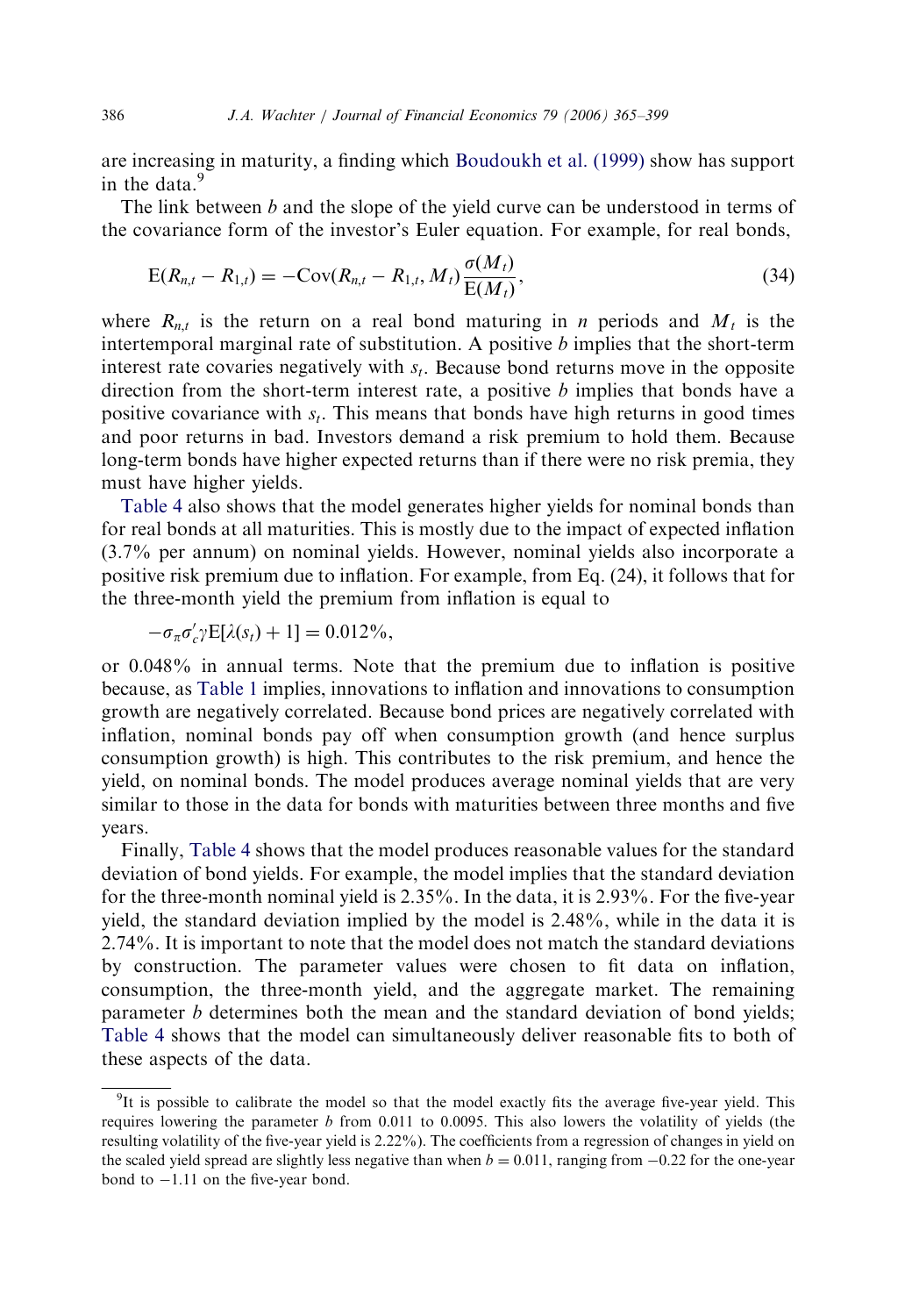are increasing in maturity, a finding which [Boudoukh et al. \(1999\)](#page-33-0) show has support in the data  $9$ 

The link between b and the slope of the yield curve can be understood in terms of the covariance form of the investor's Euler equation. For example, for real bonds,

$$
E(R_{n,t} - R_{1,t}) = -\text{Cov}(R_{n,t} - R_{1,t}, M_t) \frac{\sigma(M_t)}{E(M_t)},
$$
\n(34)

where  $R_{n,t}$  is the return on a real bond maturing in *n* periods and  $M_t$  is the intertemporal marginal rate of substitution. A positive b implies that the short-term interest rate covaries negatively with  $s_t$ . Because bond returns move in the opposite direction from the short-term interest rate, a positive b implies that bonds have a positive covariance with  $s_t$ . This means that bonds have high returns in good times and poor returns in bad. Investors demand a risk premium to hold them. Because long-term bonds have higher expected returns than if there were no risk premia, they must have higher yields.

[Table 4](#page-20-0) also shows that the model generates higher yields for nominal bonds than for real bonds at all maturities. This is mostly due to the impact of expected inflation (3.7% per annum) on nominal yields. However, nominal yields also incorporate a positive risk premium due to inflation. For example, from Eq. (24), it follows that for the three-month yield the premium from inflation is equal to

$$
-\sigma_{\pi}\sigma'_{c}\gamma E[\lambda(s_t)+1]=0.012\%,
$$

or 0.048% in annual terms. Note that the premium due to inflation is positive because, as [Table 1](#page-12-0) implies, innovations to inflation and innovations to consumption growth are negatively correlated. Because bond prices are negatively correlated with inflation, nominal bonds pay off when consumption growth (and hence surplus consumption growth) is high. This contributes to the risk premium, and hence the yield, on nominal bonds. The model produces average nominal yields that are very similar to those in the data for bonds with maturities between three months and five years.

Finally, [Table 4](#page-20-0) shows that the model produces reasonable values for the standard deviation of bond yields. For example, the model implies that the standard deviation for the three-month nominal yield is 2.35%. In the data, it is 2.93%. For the five-year yield, the standard deviation implied by the model is 2.48%, while in the data it is 2.74%. It is important to note that the model does not match the standard deviations by construction. The parameter values were chosen to fit data on inflation, consumption, the three-month yield, and the aggregate market. The remaining parameter b determines both the mean and the standard deviation of bond yields; [Table 4](#page-20-0) shows that the model can simultaneously deliver reasonable fits to both of these aspects of the data.

 $9$ It is possible to calibrate the model so that the model exactly fits the average five-year yield. This requires lowering the parameter  $b$  from 0.011 to 0.0095. This also lowers the volatility of yields (the resulting volatility of the five-year yield is 2.22%). The coefficients from a regression of changes in yield on the scaled yield spread are slightly less negative than when  $b = 0.011$ , ranging from  $-0.22$  for the one-year bond to  $-1.11$  on the five-year bond.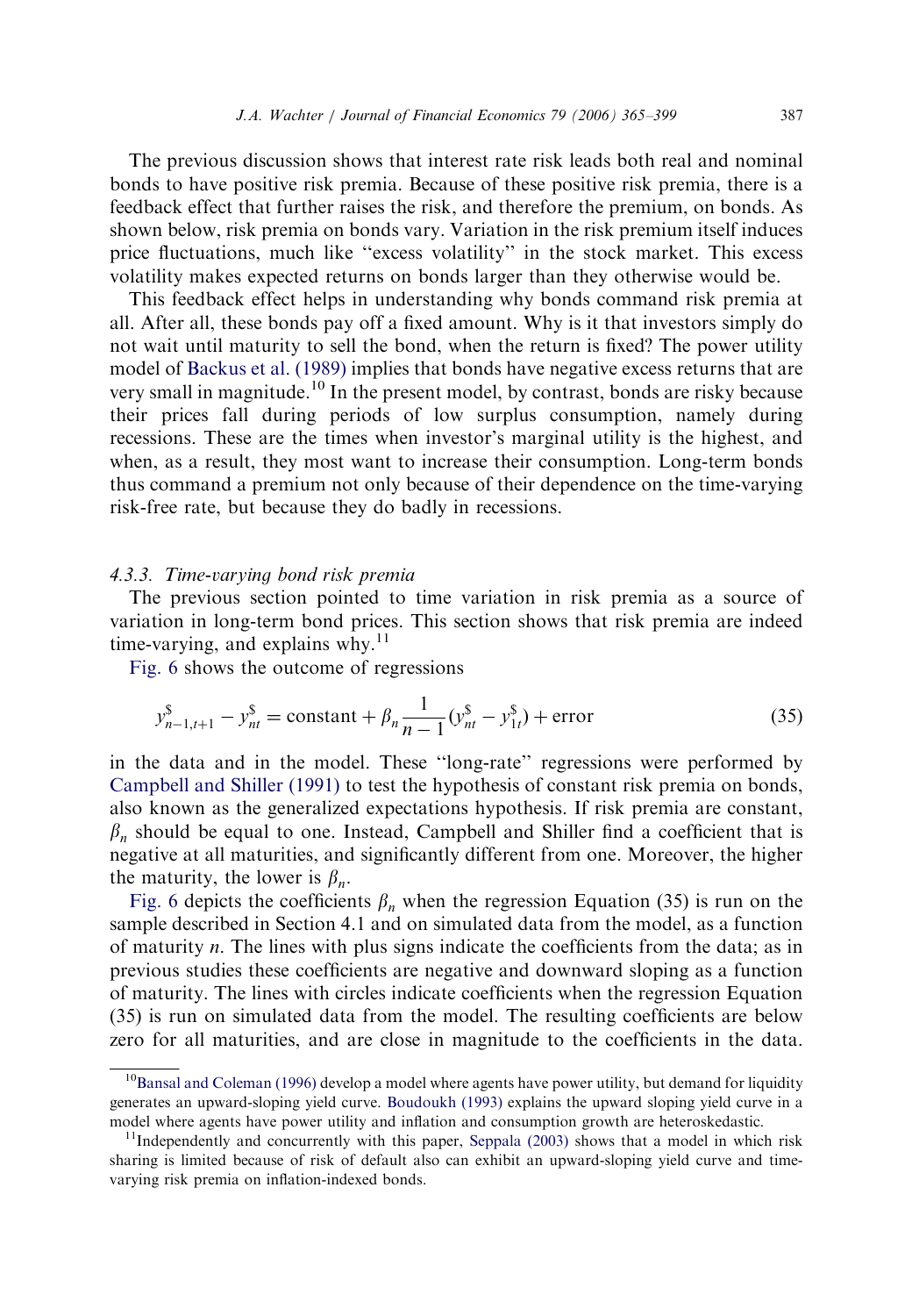The previous discussion shows that interest rate risk leads both real and nominal bonds to have positive risk premia. Because of these positive risk premia, there is a feedback effect that further raises the risk, and therefore the premium, on bonds. As shown below, risk premia on bonds vary. Variation in the risk premium itself induces price fluctuations, much like ''excess volatility'' in the stock market. This excess volatility makes expected returns on bonds larger than they otherwise would be.

This feedback effect helps in understanding why bonds command risk premia at all. After all, these bonds pay off a fixed amount. Why is it that investors simply do not wait until maturity to sell the bond, when the return is fixed? The power utility model of [Backus et al. \(1989\)](#page-33-0) implies that bonds have negative excess returns that are very small in magnitude.<sup>10</sup> In the present model, by contrast, bonds are risky because their prices fall during periods of low surplus consumption, namely during recessions. These are the times when investor's marginal utility is the highest, and when, as a result, they most want to increase their consumption. Long-term bonds thus command a premium not only because of their dependence on the time-varying risk-free rate, but because they do badly in recessions.

# 4.3.3. Time-varying bond risk premia

The previous section pointed to time variation in risk premia as a source of variation in long-term bond prices. This section shows that risk premia are indeed time-varying, and explains why. $11$ 

[Fig. 6](#page-23-0) shows the outcome of regressions

$$
y_{n-1,t+1}^s - y_{nt}^s = \text{constant} + \beta_n \frac{1}{n-1} (y_{nt}^s - y_{1t}^s) + \text{error}
$$
 (35)

in the data and in the model. These ''long-rate'' regressions were performed by [Campbell and Shiller \(1991\)](#page-33-0) to test the hypothesis of constant risk premia on bonds, also known as the generalized expectations hypothesis. If risk premia are constant,  $\beta_n$  should be equal to one. Instead, Campbell and Shiller find a coefficient that is negative at all maturities, and significantly different from one. Moreover, the higher the maturity, the lower is  $\beta_n$ .

[Fig. 6](#page-23-0) depicts the coefficients  $\beta_n$  when the regression Equation (35) is run on the sample described in Section 4.1 and on simulated data from the model, as a function of maturity  $n$ . The lines with plus signs indicate the coefficients from the data; as in previous studies these coefficients are negative and downward sloping as a function of maturity. The lines with circles indicate coefficients when the regression Equation (35) is run on simulated data from the model. The resulting coefficients are below zero for all maturities, and are close in magnitude to the coefficients in the data.

<sup>&</sup>lt;sup>10</sup>[Bansal and Coleman \(1996\)](#page-33-0) develop a model where agents have power utility, but demand for liquidity generates an upward-sloping yield curve. [Boudoukh \(1993\)](#page-33-0) explains the upward sloping yield curve in a model where agents have power utility and inflation and consumption growth are heteroskedastic.<br><sup>11</sup>Independently and concurrently with this paper, [Seppala \(2003\)](#page-34-0) shows that a model in which risk

sharing is limited because of risk of default also can exhibit an upward-sloping yield curve and timevarying risk premia on inflation-indexed bonds.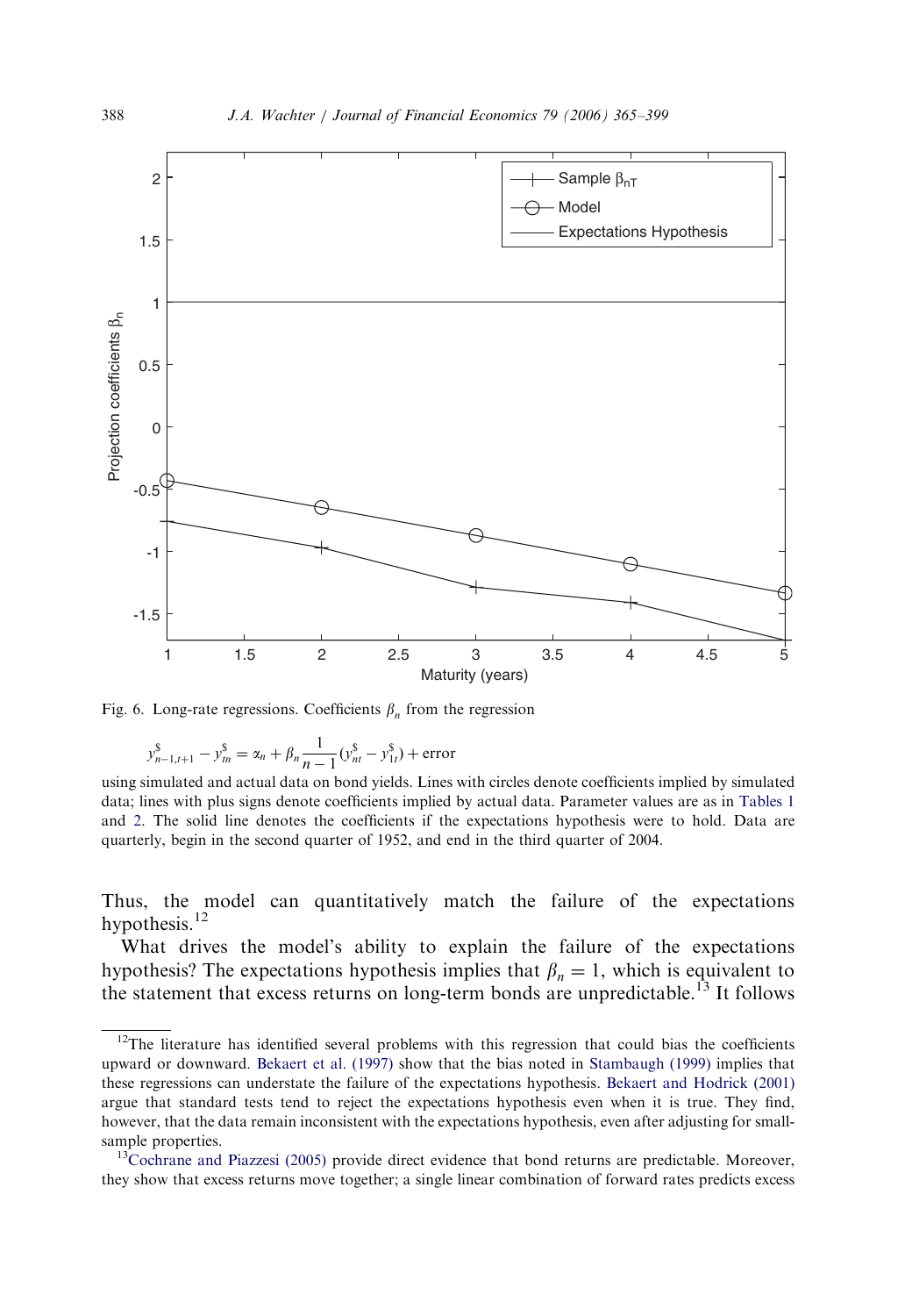<span id="page-23-0"></span>

Fig. 6. Long-rate regressions. Coefficients  $\beta_n$  from the regression

$$
y_{n-1,t+1}^s - y_{tn}^s = \alpha_n + \beta_n \frac{1}{n-1} (y_{nt}^s - y_{1t}^s) + \text{error}
$$

using simulated and actual data on bond yields. Lines with circles denote coefficients implied by simulated data; lines with plus signs denote coefficients implied by actual data. Parameter values are as in [Tables 1](#page-12-0) and [2](#page-15-0). The solid line denotes the coefficients if the expectations hypothesis were to hold. Data are quarterly, begin in the second quarter of 1952, and end in the third quarter of 2004.

Thus, the model can quantitatively match the failure of the expectations hypothesis.<sup>12</sup>

What drives the model's ability to explain the failure of the expectations hypothesis? The expectations hypothesis implies that  $\beta_n = 1$ , which is equivalent to the statement that excess returns on long-term bonds are unpredictable.<sup>13</sup> It follows

 $12$ The literature has identified several problems with this regression that could bias the coefficients upward or downward. [Bekaert et al. \(1997\)](#page-33-0) show that the bias noted in [Stambaugh \(1999\)](#page-34-0) implies that these regressions can understate the failure of the expectations hypothesis. [Bekaert and Hodrick \(2001\)](#page-33-0) argue that standard tests tend to reject the expectations hypothesis even when it is true. They find, however, that the data remain inconsistent with the expectations hypothesis, even after adjusting for smallsample properties.<br><sup>13</sup>Cochrane and Piazzesi (2005) provide direct evidence that bond returns are predictable. Moreover,

they show that excess returns move together; a single linear combination of forward rates predicts excess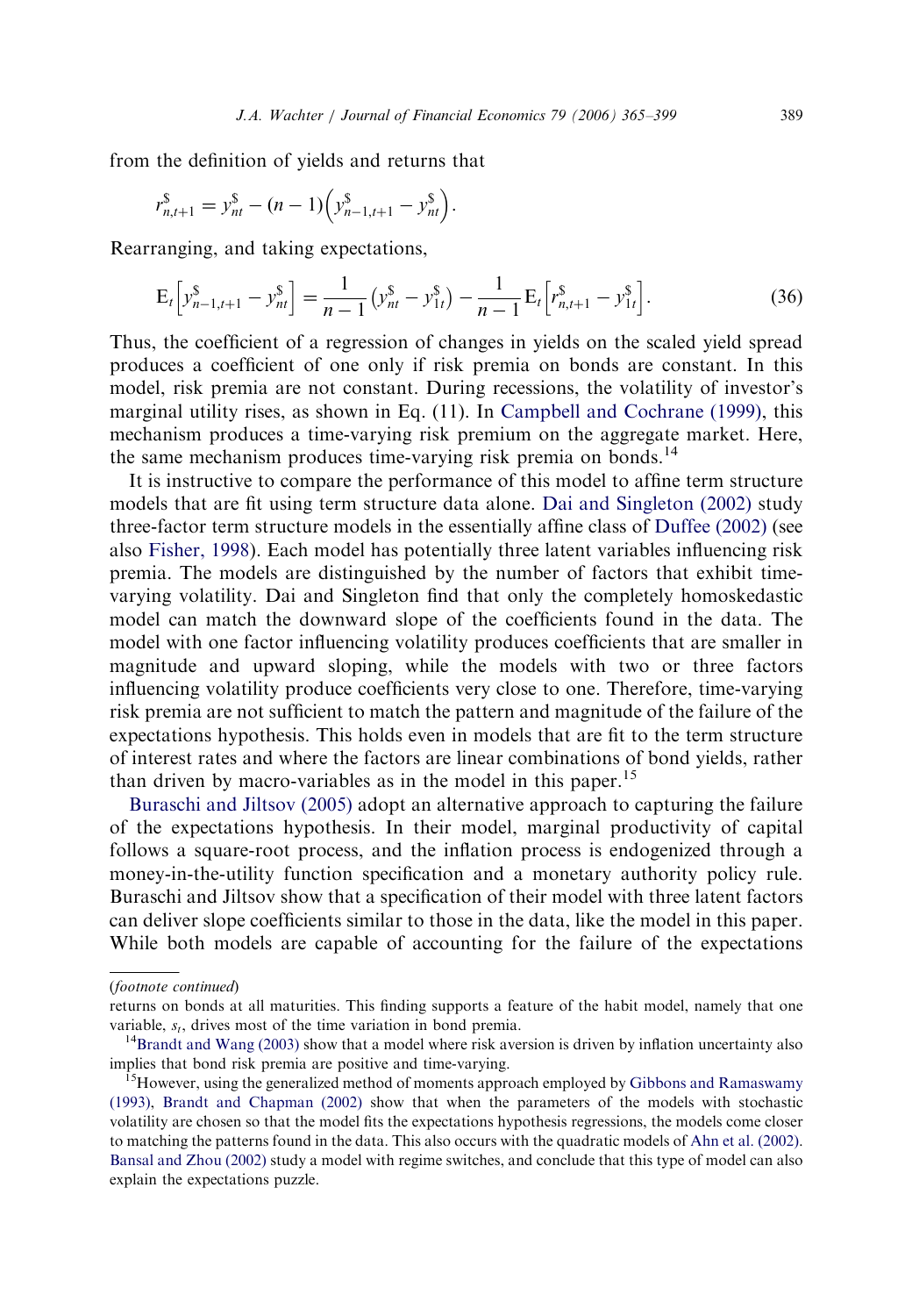from the definition of yields and returns that

$$
r_{n,t+1}^{\$} = y_{nt}^{\$} - (n-1) \left( y_{n-1,t+1}^{\$} - y_{nt}^{\$} \right).
$$

Rearranging, and taking expectations,

$$
E_t \left[ y_{n-1,t+1}^S - y_{nt}^S \right] = \frac{1}{n-1} \left( y_{nt}^S - y_{1t}^S \right) - \frac{1}{n-1} E_t \left[ r_{n,t+1}^S - y_{1t}^S \right]. \tag{36}
$$

Thus, the coefficient of a regression of changes in yields on the scaled yield spread produces a coefficient of one only if risk premia on bonds are constant. In this model, risk premia are not constant. During recessions, the volatility of investor's marginal utility rises, as shown in Eq. (11). In [Campbell and Cochrane \(1999\),](#page-33-0) this mechanism produces a time-varying risk premium on the aggregate market. Here, the same mechanism produces time-varying risk premia on bonds.<sup>14</sup>

It is instructive to compare the performance of this model to affine term structure models that are fit using term structure data alone. [Dai and Singleton \(2002\)](#page-34-0) study three-factor term structure models in the essentially affine class of [Duffee \(2002\)](#page-34-0) (see also [Fisher, 1998](#page-34-0)). Each model has potentially three latent variables influencing risk premia. The models are distinguished by the number of factors that exhibit timevarying volatility. Dai and Singleton find that only the completely homoskedastic model can match the downward slope of the coefficients found in the data. The model with one factor influencing volatility produces coefficients that are smaller in magnitude and upward sloping, while the models with two or three factors influencing volatility produce coefficients very close to one. Therefore, time-varying risk premia are not sufficient to match the pattern and magnitude of the failure of the expectations hypothesis. This holds even in models that are fit to the term structure of interest rates and where the factors are linear combinations of bond yields, rather than driven by macro-variables as in the model in this paper.<sup>15</sup>

[Buraschi and Jiltsov \(2005\)](#page-33-0) adopt an alternative approach to capturing the failure of the expectations hypothesis. In their model, marginal productivity of capital follows a square-root process, and the inflation process is endogenized through a money-in-the-utility function specification and a monetary authority policy rule. Buraschi and Jiltsov show that a specification of their model with three latent factors can deliver slope coefficients similar to those in the data, like the model in this paper. While both models are capable of accounting for the failure of the expectations

<sup>(</sup>footnote continued)

returns on bonds at all maturities. This finding supports a feature of the habit model, namely that one variable,  $s_t$ , drives most of the time variation in bond premia.<br><sup>14</sup>[Brandt and Wang \(2003\)](#page-33-0) show that a model where risk aversion is driven by inflation uncertainty also

implies that bond risk premia are positive and time-varying.<br><sup>15</sup>However, using the generalized method of moments approach employed by [Gibbons and Ramaswamy](#page-34-0)

[<sup>\(1993\),</sup>](#page-34-0) [Brandt and Chapman \(2002\)](#page-33-0) show that when the parameters of the models with stochastic volatility are chosen so that the model fits the expectations hypothesis regressions, the models come closer to matching the patterns found in the data. This also occurs with the quadratic models of [Ahn et al. \(2002\)](#page-33-0). [Bansal and Zhou \(2002\)](#page-33-0) study a model with regime switches, and conclude that this type of model can also explain the expectations puzzle.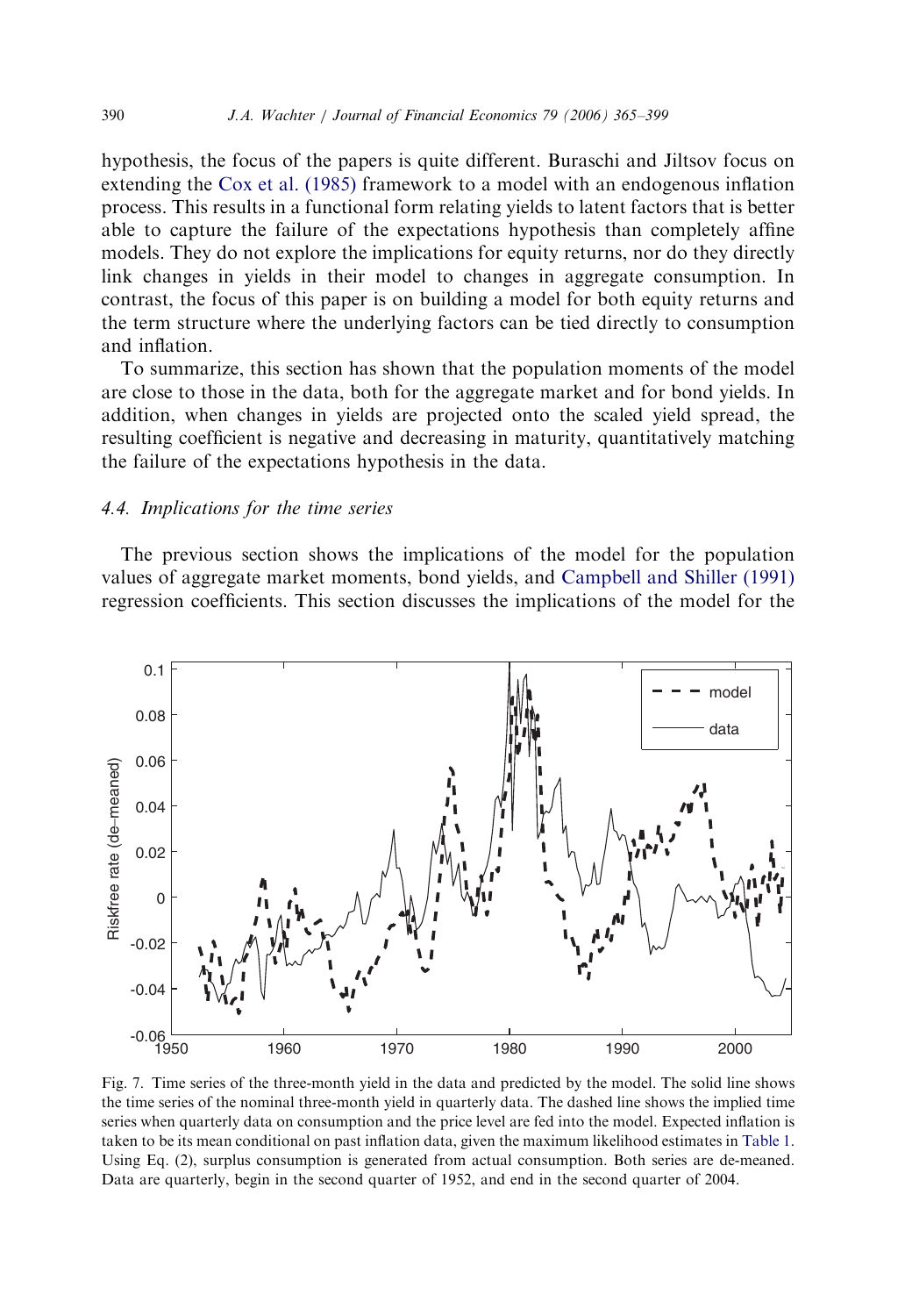<span id="page-25-0"></span>hypothesis, the focus of the papers is quite different. Buraschi and Jiltsov focus on extending the [Cox et al. \(1985\)](#page-34-0) framework to a model with an endogenous inflation process. This results in a functional form relating yields to latent factors that is better able to capture the failure of the expectations hypothesis than completely affine models. They do not explore the implications for equity returns, nor do they directly link changes in yields in their model to changes in aggregate consumption. In contrast, the focus of this paper is on building a model for both equity returns and the term structure where the underlying factors can be tied directly to consumption and inflation.

To summarize, this section has shown that the population moments of the model are close to those in the data, both for the aggregate market and for bond yields. In addition, when changes in yields are projected onto the scaled yield spread, the resulting coefficient is negative and decreasing in maturity, quantitatively matching the failure of the expectations hypothesis in the data.

# 4.4. Implications for the time series

The previous section shows the implications of the model for the population values of aggregate market moments, bond yields, and [Campbell and Shiller \(1991\)](#page-33-0) regression coefficients. This section discusses the implications of the model for the



Fig. 7. Time series of the three-month yield in the data and predicted by the model. The solid line shows the time series of the nominal three-month yield in quarterly data. The dashed line shows the implied time series when quarterly data on consumption and the price level are fed into the model. Expected inflation is taken to be its mean conditional on past inflation data, given the maximum likelihood estimates in [Table 1.](#page-12-0) Using Eq. (2), surplus consumption is generated from actual consumption. Both series are de-meaned. Data are quarterly, begin in the second quarter of 1952, and end in the second quarter of 2004.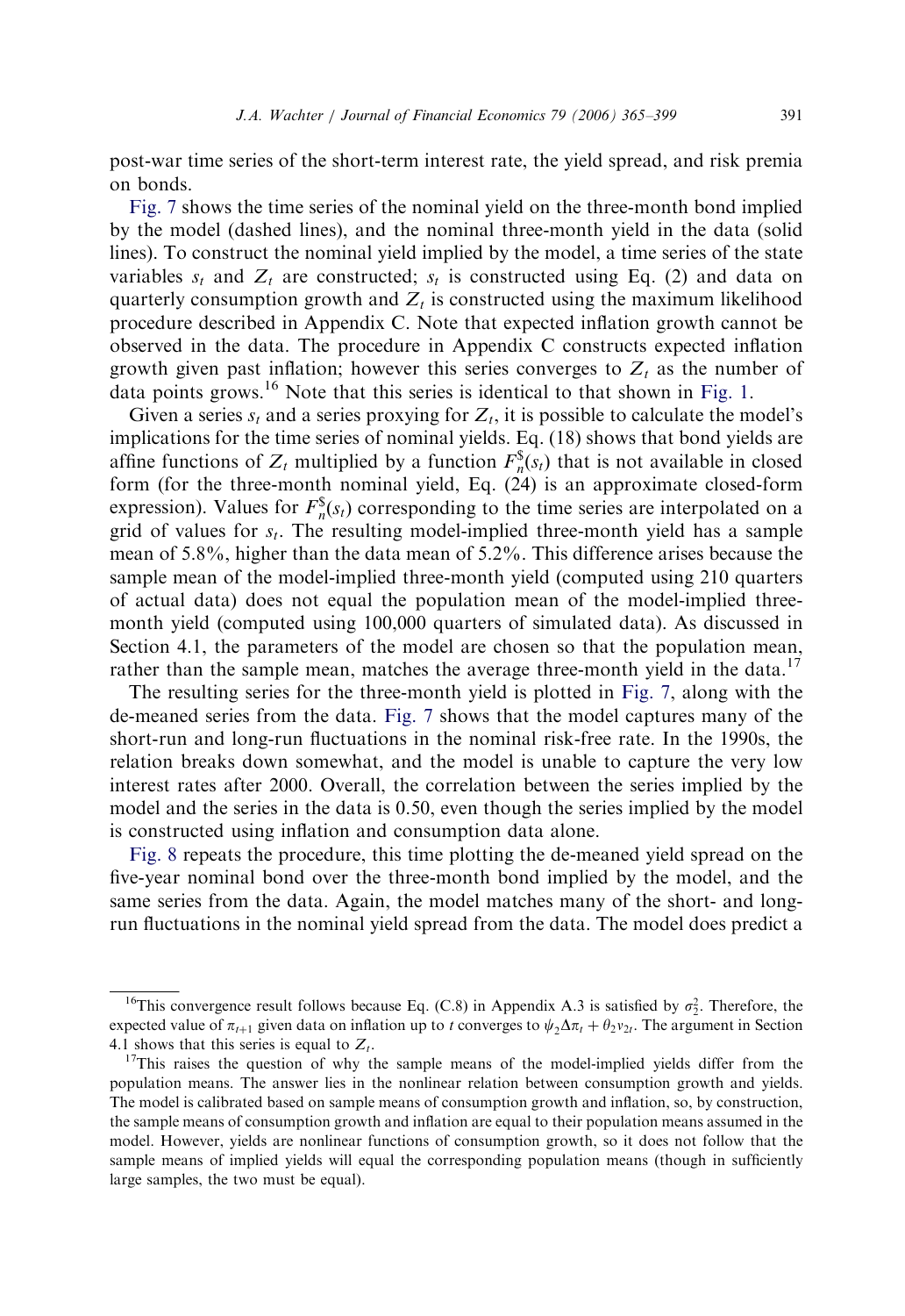post-war time series of the short-term interest rate, the yield spread, and risk premia on bonds.

[Fig. 7](#page-25-0) shows the time series of the nominal yield on the three-month bond implied by the model (dashed lines), and the nominal three-month yield in the data (solid lines). To construct the nominal yield implied by the model, a time series of the state variables  $s_t$  and  $Z_t$  are constructed;  $s_t$  is constructed using Eq. (2) and data on quarterly consumption growth and  $Z_t$  is constructed using the maximum likelihood procedure described in Appendix C. Note that expected inflation growth cannot be observed in the data. The procedure in Appendix C constructs expected inflation growth given past inflation; however this series converges to  $Z_t$  as the number of data points grows.<sup>16</sup> Note that this series is identical to that shown in [Fig. 1](#page-12-0).

Given a series  $s_t$  and a series proxying for  $Z_t$ , it is possible to calculate the model's implications for the time series of nominal yields. Eq. (18) shows that bond yields are affine functions of  $Z_t$  multiplied by a function  $F_n^{\$}(s_t)$  that is not available in closed form (for the three-month nominal yield, Eq. (24) is an approximate closed-form expression). Values for  $F_n^{\$}(s_t)$  corresponding to the time series are interpolated on a grid of values for  $s_t$ . The resulting model-implied three-month yield has a sample mean of 5.8%, higher than the data mean of 5.2%. This difference arises because the sample mean of the model-implied three-month yield (computed using 210 quarters of actual data) does not equal the population mean of the model-implied threemonth yield (computed using 100,000 quarters of simulated data). As discussed in Section 4.1, the parameters of the model are chosen so that the population mean, rather than the sample mean, matches the average three-month yield in the data.<sup>17</sup>

The resulting series for the three-month yield is plotted in [Fig. 7,](#page-25-0) along with the de-meaned series from the data. [Fig. 7](#page-25-0) shows that the model captures many of the short-run and long-run fluctuations in the nominal risk-free rate. In the 1990s, the relation breaks down somewhat, and the model is unable to capture the very low interest rates after 2000. Overall, the correlation between the series implied by the model and the series in the data is 0.50, even though the series implied by the model is constructed using inflation and consumption data alone.

[Fig. 8](#page-27-0) repeats the procedure, this time plotting the de-meaned yield spread on the five-year nominal bond over the three-month bond implied by the model, and the same series from the data. Again, the model matches many of the short- and longrun fluctuations in the nominal yield spread from the data. The model does predict a

<sup>&</sup>lt;sup>16</sup>This convergence result follows because Eq. (C.8) in Appendix A.3 is satisfied by  $\sigma_2^2$ . Therefore, the expected value of  $\pi_{t+1}$  given data on inflation up to t converges to  $\psi_2\Delta\pi_t + \theta_2v_{2t}$ . The argument in Section 4.1 shows that this series is equal to  $Z_t$ .

 $17$ This raises the question of why the sample means of the model-implied yields differ from the population means. The answer lies in the nonlinear relation between consumption growth and yields. The model is calibrated based on sample means of consumption growth and inflation, so, by construction, the sample means of consumption growth and inflation are equal to their population means assumed in the model. However, yields are nonlinear functions of consumption growth, so it does not follow that the sample means of implied yields will equal the corresponding population means (though in sufficiently large samples, the two must be equal).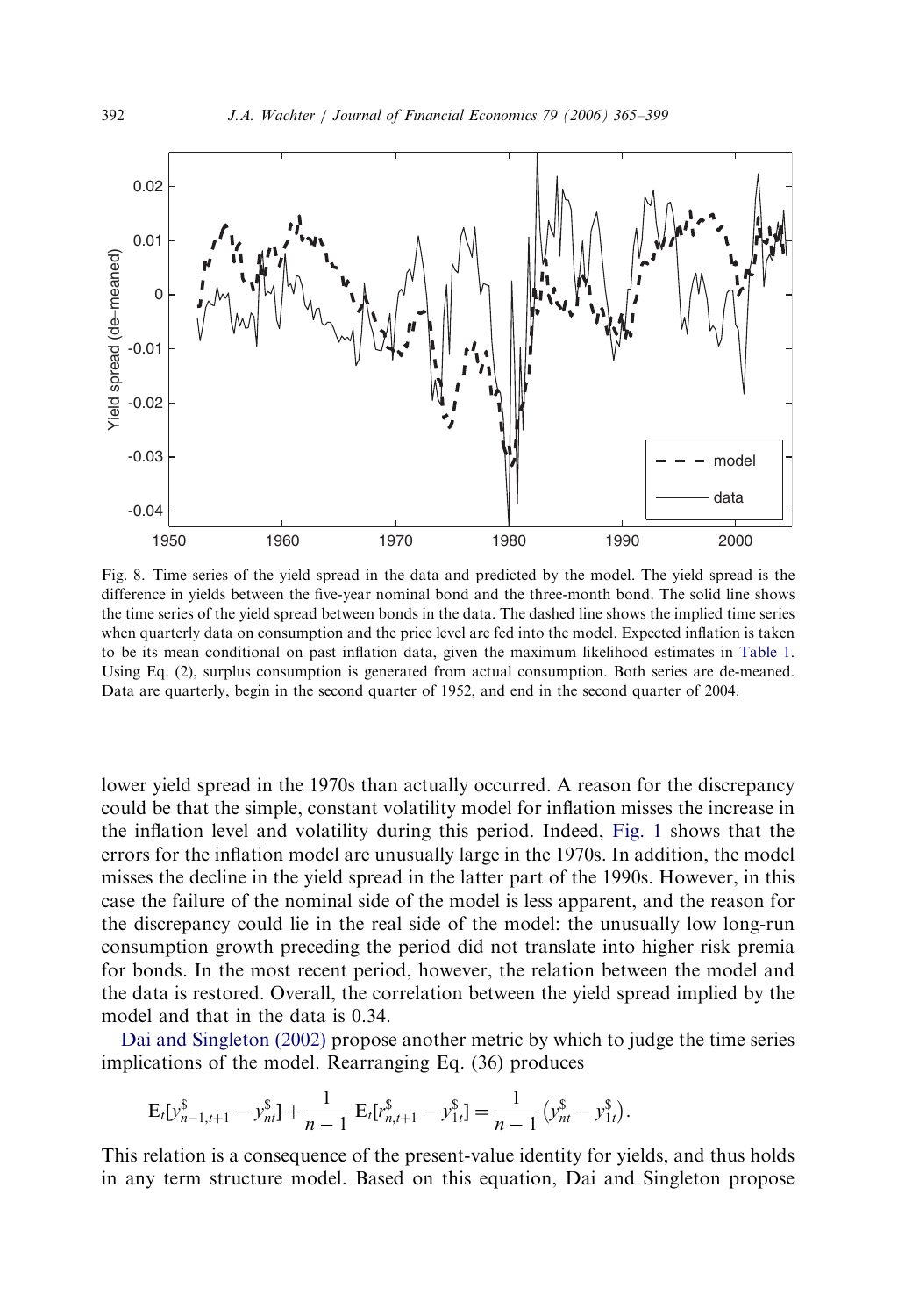<span id="page-27-0"></span>

Fig. 8. Time series of the yield spread in the data and predicted by the model. The yield spread is the difference in yields between the five-year nominal bond and the three-month bond. The solid line shows the time series of the yield spread between bonds in the data. The dashed line shows the implied time series when quarterly data on consumption and the price level are fed into the model. Expected inflation is taken to be its mean conditional on past inflation data, given the maximum likelihood estimates in [Table 1.](#page-12-0) Using Eq. (2), surplus consumption is generated from actual consumption. Both series are de-meaned. Data are quarterly, begin in the second quarter of 1952, and end in the second quarter of 2004.

lower yield spread in the 1970s than actually occurred. A reason for the discrepancy could be that the simple, constant volatility model for inflation misses the increase in the inflation level and volatility during this period. Indeed, [Fig. 1](#page-12-0) shows that the errors for the inflation model are unusually large in the 1970s. In addition, the model misses the decline in the yield spread in the latter part of the 1990s. However, in this case the failure of the nominal side of the model is less apparent, and the reason for the discrepancy could lie in the real side of the model: the unusually low long-run consumption growth preceding the period did not translate into higher risk premia for bonds. In the most recent period, however, the relation between the model and the data is restored. Overall, the correlation between the yield spread implied by the model and that in the data is 0.34.

[Dai and Singleton \(2002\)](#page-34-0) propose another metric by which to judge the time series implications of the model. Rearranging Eq. (36) produces

$$
E_t[y_{n-1,t+1}^s - y_{nt}^s] + \frac{1}{n-1} E_t[r_{n,t+1}^s - y_{1t}^s] = \frac{1}{n-1} (y_{nt}^s - y_{1t}^s).
$$

This relation is a consequence of the present-value identity for yields, and thus holds in any term structure model. Based on this equation, Dai and Singleton propose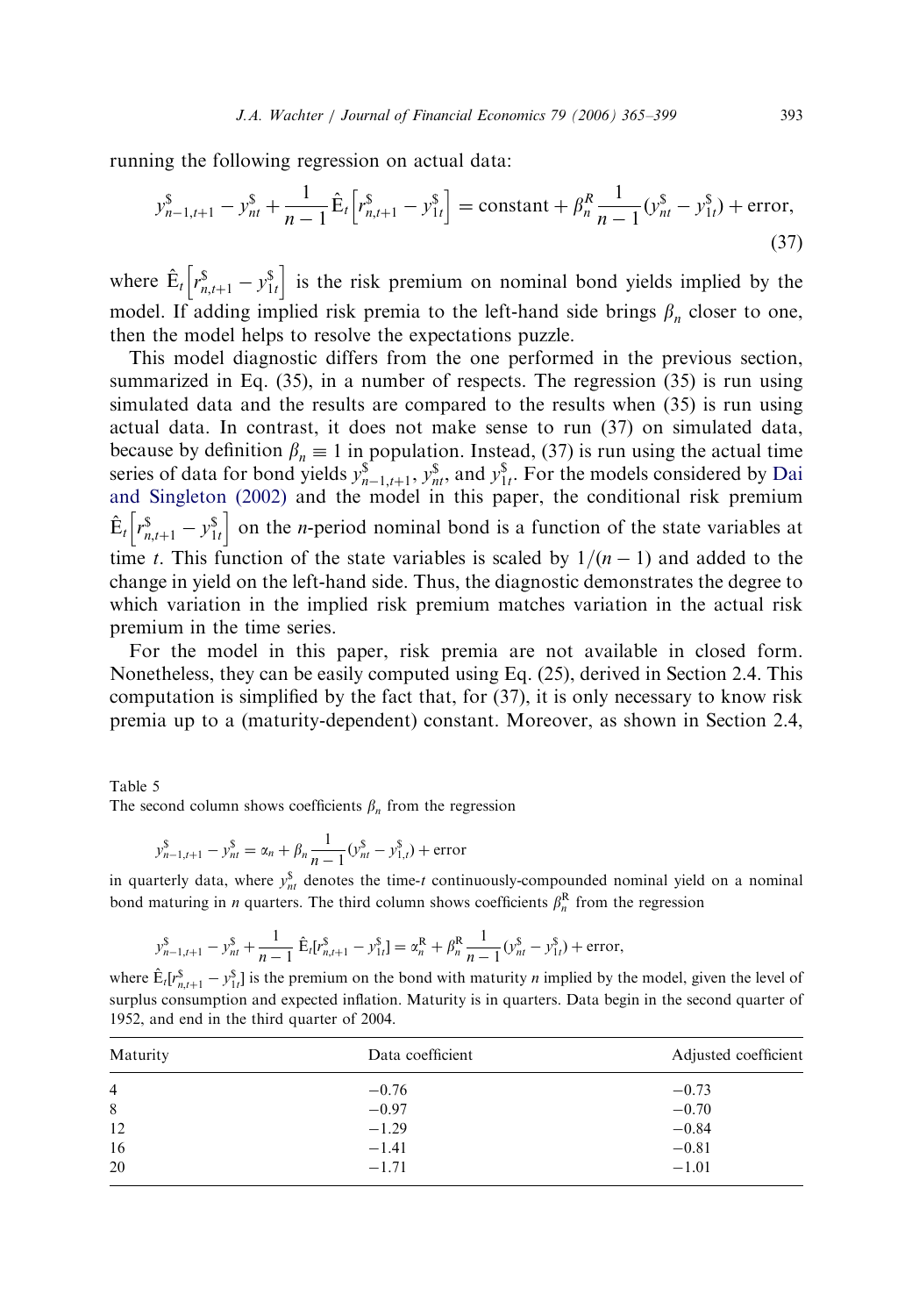<span id="page-28-0"></span>running the following regression on actual data:

$$
y_{n-1,t+1}^s - y_{nt}^s + \frac{1}{n-1} \hat{E}_t \Big[ r_{n,t+1}^s - y_{1t}^s \Big] = \text{constant} + \beta_n^R \frac{1}{n-1} (y_{nt}^s - y_{1t}^s) + \text{error},\tag{37}
$$

where  $\hat{E}_t \left[ r_{n,t+1}^s - y_{1t}^s \right]$  is the risk premium on nominal bond yields implied by the model. If adding implied risk premia to the left-hand side brings  $\beta_n$  closer to one, then the model helps to resolve the expectations puzzle.

This model diagnostic differs from the one performed in the previous section, summarized in Eq. (35), in a number of respects. The regression (35) is run using simulated data and the results are compared to the results when (35) is run using actual data. In contrast, it does not make sense to run (37) on simulated data, because by definition  $\beta_n \equiv 1$  in population. Instead, (37) is run using the actual time series of data for bond yields  $y_{n-1,t+1}^s$ ,  $y_{nt}^s$ , and  $y_{1t}^s$ . For the models considered by [Dai](#page-34-0) [and Singleton \(2002\)](#page-34-0) and the model in this paper, the conditional risk premium  $\hat{E}_t \left[ r_{n,t+1}^s - y_{1t}^s \right]$  on the *n*-period nominal bond is a function of the state variables at time t. This function of the state variables is scaled by  $1/(n - 1)$  and added to the change in yield on the left-hand side. Thus, the diagnostic demonstrates the degree to which variation in the implied risk premium matches variation in the actual risk premium in the time series.

For the model in this paper, risk premia are not available in closed form. Nonetheless, they can be easily computed using Eq. (25), derived in Section 2.4. This computation is simplified by the fact that, for (37), it is only necessary to know risk premia up to a (maturity-dependent) constant. Moreover, as shown in Section 2.4,

Table 5

The second column shows coefficients  $\beta_n$  from the regression

$$
y_{n-1,t+1}^s - y_{nt}^s = \alpha_n + \beta_n \frac{1}{n-1} (y_{nt}^s - y_{1,t}^s) + \text{error}
$$

in quarterly data, where  $y_{nt}^s$  denotes the time-t continuously-compounded nominal yield on a nominal bond maturing in *n* quarters. The third column shows coefficients  $\beta_n^R$  from the regression

$$
y_{n-1,t+1}^s - y_{nt}^s + \frac{1}{n-1} \hat{E}_t[r_{n,t+1}^s - y_{1t}^s] = \alpha_n^R + \beta_n^R \frac{1}{n-1} (y_{nt}^s - y_{1t}^s) + \text{error},
$$

where  $\hat{E}_t[r_{n,t+1}^s - y_{1t}^s]$  is the premium on the bond with maturity *n* implied by the model, given the level of surplus consumption and expected inflation. Maturity is in quarters. Data begin in the second quarter of 1952, and end in the third quarter of 2004.

| Maturity | Data coefficient | Adjusted coefficient |
|----------|------------------|----------------------|
| 4        | $-0.76$          | $-0.73$              |
| 8        | $-0.97$          | $-0.70$              |
| 12       | $-1.29$          | $-0.84$              |
| 16       | $-1.41$          | $-0.81$              |
| 20       | $-1.71$          | $-1.01$              |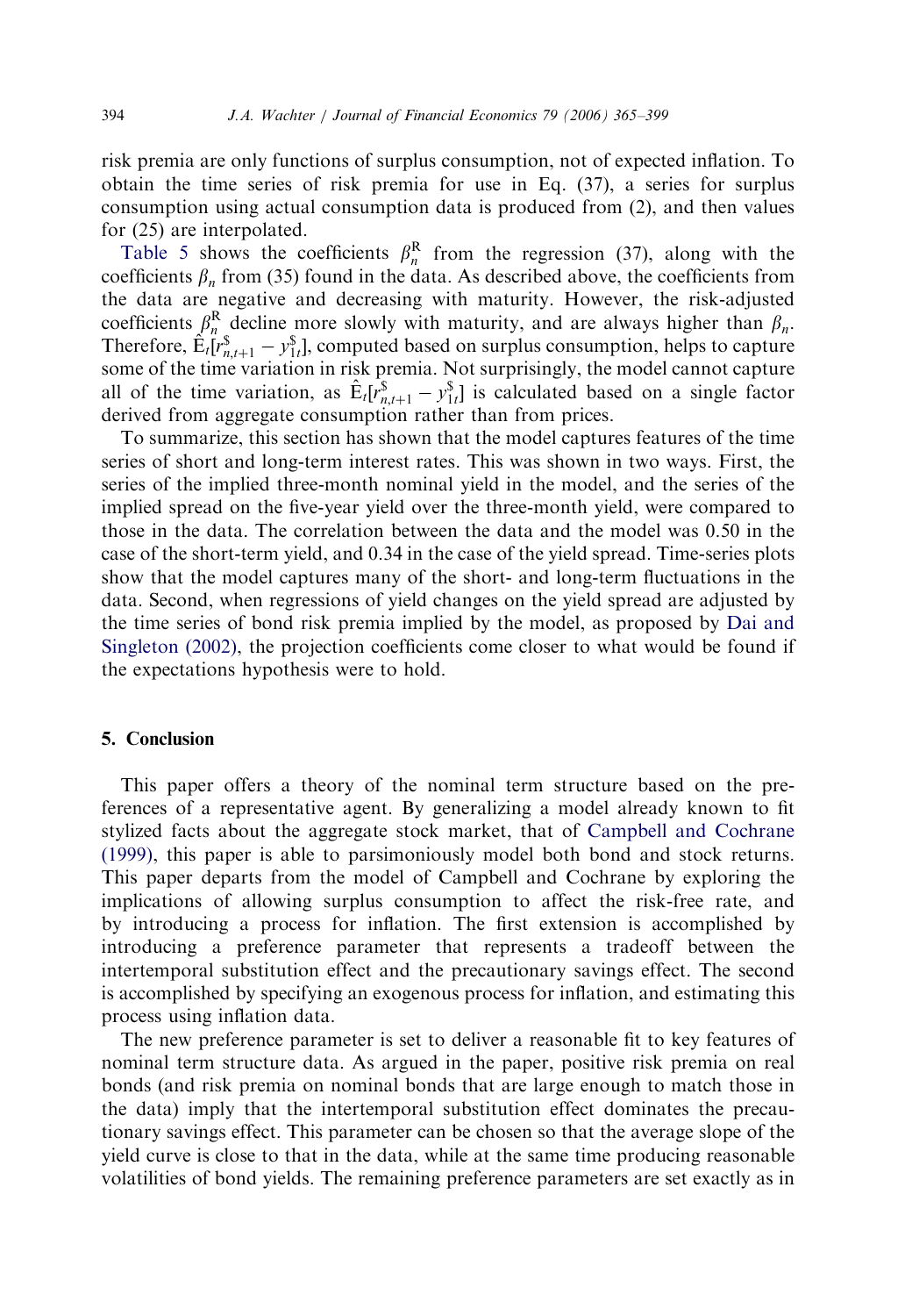risk premia are only functions of surplus consumption, not of expected inflation. To obtain the time series of risk premia for use in Eq. (37), a series for surplus consumption using actual consumption data is produced from (2), and then values for (25) are interpolated.

[Table 5](#page-28-0) shows the coefficients  $\beta_n^R$  from the regression (37), along with the coefficients  $\beta_n$  from (35) found in the data. As described above, the coefficients from the data are negative and decreasing with maturity. However, the risk-adjusted coefficients  $\beta_n^R$  decline more slowly with maturity, and are always higher than  $\beta_n$ . Therefore,  $\hat{E}_t[\mathbf{r}_{n,t+1}^{\$} - \mathbf{y}_{1t}^{\$}]$ , computed based on surplus consumption, helps to capture some of the time variation in risk premia. Not surprisingly, the model cannot capture all of the time variation, as  $\hat{E}_t[\bar{r}_{n,t+1}^{\bar{S}} - y_{1t}^{\bar{S}}]$  is calculated based on a single factor derived from aggregate consumption rather than from prices.

To summarize, this section has shown that the model captures features of the time series of short and long-term interest rates. This was shown in two ways. First, the series of the implied three-month nominal yield in the model, and the series of the implied spread on the five-year yield over the three-month yield, were compared to those in the data. The correlation between the data and the model was 0.50 in the case of the short-term yield, and 0.34 in the case of the yield spread. Time-series plots show that the model captures many of the short- and long-term fluctuations in the data. Second, when regressions of yield changes on the yield spread are adjusted by the time series of bond risk premia implied by the model, as proposed by [Dai and](#page-34-0) [Singleton \(2002\),](#page-34-0) the projection coefficients come closer to what would be found if the expectations hypothesis were to hold.

# 5. Conclusion

This paper offers a theory of the nominal term structure based on the preferences of a representative agent. By generalizing a model already known to fit stylized facts about the aggregate stock market, that of [Campbell and Cochrane](#page-33-0) [\(1999\)](#page-33-0), this paper is able to parsimoniously model both bond and stock returns. This paper departs from the model of Campbell and Cochrane by exploring the implications of allowing surplus consumption to affect the risk-free rate, and by introducing a process for inflation. The first extension is accomplished by introducing a preference parameter that represents a tradeoff between the intertemporal substitution effect and the precautionary savings effect. The second is accomplished by specifying an exogenous process for inflation, and estimating this process using inflation data.

The new preference parameter is set to deliver a reasonable fit to key features of nominal term structure data. As argued in the paper, positive risk premia on real bonds (and risk premia on nominal bonds that are large enough to match those in the data) imply that the intertemporal substitution effect dominates the precautionary savings effect. This parameter can be chosen so that the average slope of the yield curve is close to that in the data, while at the same time producing reasonable volatilities of bond yields. The remaining preference parameters are set exactly as in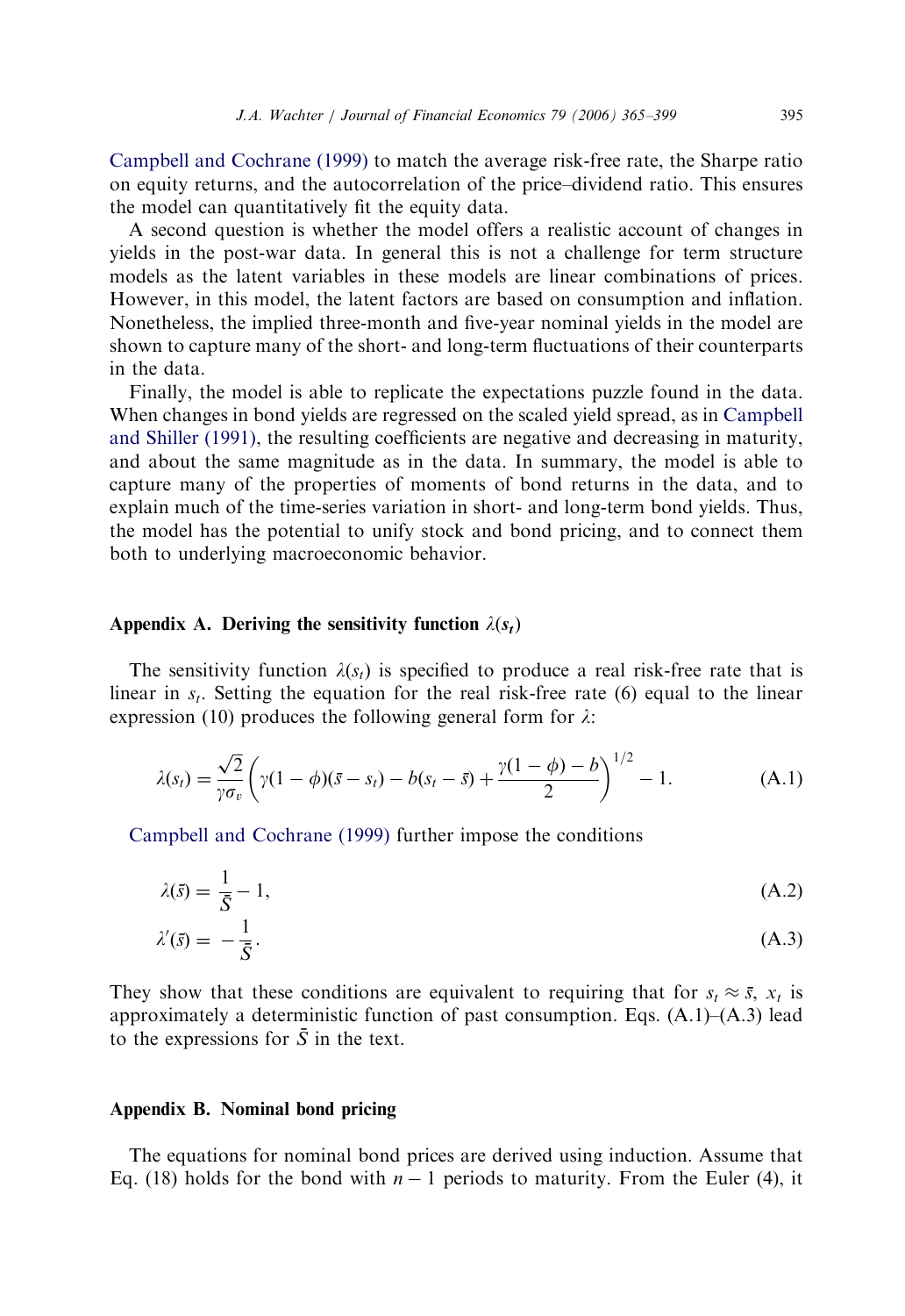[Campbell and Cochrane \(1999\)](#page-33-0) to match the average risk-free rate, the Sharpe ratio on equity returns, and the autocorrelation of the price–dividend ratio. This ensures the model can quantitatively fit the equity data.

A second question is whether the model offers a realistic account of changes in yields in the post-war data. In general this is not a challenge for term structure models as the latent variables in these models are linear combinations of prices. However, in this model, the latent factors are based on consumption and inflation. Nonetheless, the implied three-month and five-year nominal yields in the model are shown to capture many of the short- and long-term fluctuations of their counterparts in the data.

Finally, the model is able to replicate the expectations puzzle found in the data. When changes in bond yields are regressed on the scaled yield spread, as in [Campbell](#page-33-0) [and Shiller \(1991\)](#page-33-0), the resulting coefficients are negative and decreasing in maturity, and about the same magnitude as in the data. In summary, the model is able to capture many of the properties of moments of bond returns in the data, and to explain much of the time-series variation in short- and long-term bond yields. Thus, the model has the potential to unify stock and bond pricing, and to connect them both to underlying macroeconomic behavior.

## Appendix A. Deriving the sensitivity function  $\lambda(s_t)$

The sensitivity function  $\lambda(s_i)$  is specified to produce a real risk-free rate that is linear in  $s_t$ . Setting the equation for the real risk-free rate (6) equal to the linear expression (10) produces the following general form for  $\lambda$ :

$$
\lambda(s_t) = \frac{\sqrt{2}}{\gamma \sigma_v} \left( \gamma (1 - \phi)(\bar{s} - s_t) - b(s_t - \bar{s}) + \frac{\gamma (1 - \phi) - b}{2} \right)^{1/2} - 1.
$$
 (A.1)

[Campbell and Cochrane \(1999\)](#page-33-0) further impose the conditions

$$
\lambda(\bar{s}) = \frac{1}{\bar{S}} - 1,\tag{A.2}
$$

$$
\lambda'(\bar{s}) = -\frac{1}{\bar{S}}.\tag{A.3}
$$

They show that these conditions are equivalent to requiring that for  $s_t \approx \bar{s}$ ,  $x_t$  is approximately a deterministic function of past consumption. Eqs.  $(A.1)$ – $(A.3)$  lead to the expressions for  $\bar{S}$  in the text.

## Appendix B. Nominal bond pricing

The equations for nominal bond prices are derived using induction. Assume that Eq. (18) holds for the bond with  $n - 1$  periods to maturity. From the Euler (4), it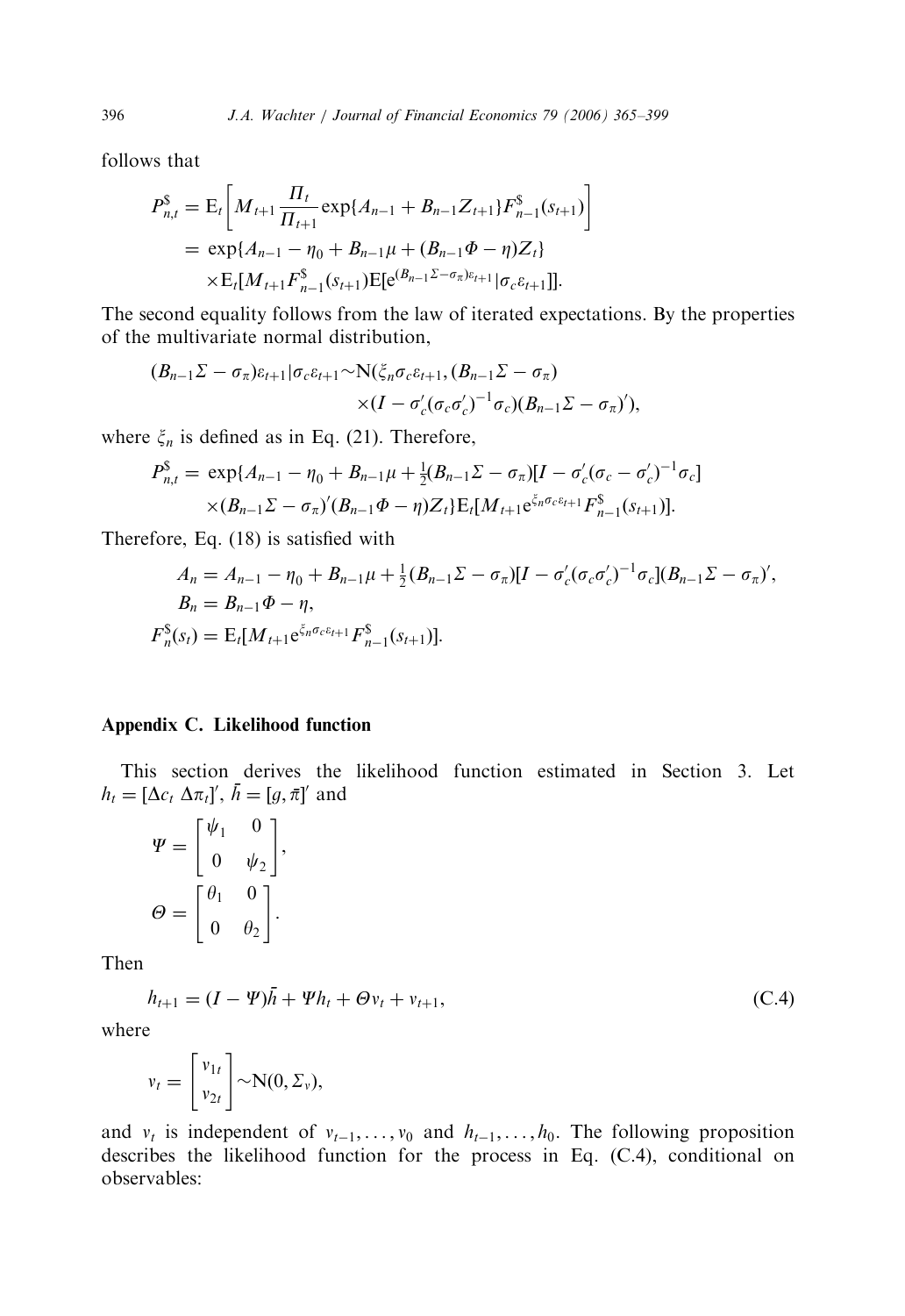follows that

$$
P_{n,t}^{\$} = \mathrm{E}_{t} \bigg[ M_{t+1} \frac{\Pi_{t}}{\Pi_{t+1}} \exp\{A_{n-1} + B_{n-1} Z_{t+1}\} F_{n-1}^{\$}(s_{t+1}) \bigg] = \exp\{A_{n-1} - \eta_{0} + B_{n-1} \mu + (B_{n-1} \Phi - \eta) Z_{t} \} \times \mathrm{E}_{t} [M_{t+1} F_{n-1}^{\$}(s_{t+1}) \mathrm{E}[e^{(B_{n-1} \Sigma - \sigma_{n}) \varepsilon_{t+1}} | \sigma_{c} \varepsilon_{t+1}]].
$$

The second equality follows from the law of iterated expectations. By the properties of the multivariate normal distribution,

$$
(B_{n-1}\Sigma-\sigma_{\pi})\varepsilon_{t+1}|\sigma_{c}\varepsilon_{t+1}\sim N(\xi_{n}\sigma_{c}\varepsilon_{t+1},(B_{n-1}\Sigma-\sigma_{\pi})\times (I-\sigma'_{c}(\sigma_{c}\sigma'_{c})^{-1}\sigma_{c})(B_{n-1}\Sigma-\sigma_{\pi})'),
$$

where  $\xi_n$  is defined as in Eq. (21). Therefore,

$$
P_{n,t}^{\$} = \exp\{A_{n-1} - \eta_0 + B_{n-1}\mu + \frac{1}{2}(B_{n-1}\Sigma - \sigma_\pi)[I - \sigma_c'(\sigma_c - \sigma_c')^{-1}\sigma_c] \times (B_{n-1}\Sigma - \sigma_\pi)'(B_{n-1}\Phi - \eta)Z_t\}E_t[M_{t+1}e^{\xi_n\sigma_c\epsilon_{t+1}}F_{n-1}^{\$}(s_{t+1})].
$$

Therefore, Eq. (18) is satisfied with

$$
A_n = A_{n-1} - \eta_0 + B_{n-1}\mu + \frac{1}{2}(B_{n-1}\Sigma - \sigma_\pi)[I - \sigma'_c(\sigma_c\sigma'_c)^{-1}\sigma_c](B_{n-1}\Sigma - \sigma_\pi)',
$$
  
\n
$$
B_n = B_{n-1}\Phi - \eta,
$$
  
\n
$$
F_n^{\$}(s_i) = E_i[M_{i+1}e^{\xi_n\sigma_c\epsilon_{i+1}}F_{n-1}^{\$}(s_{i+1})].
$$

# Appendix C. Likelihood function

This section derives the likelihood function estimated in Section 3. Let  $h_t = [\Delta c_t \; \Delta \pi_t]'$ ,  $\bar{h} = [g, \bar{\pi}]'$  and

$$
\Psi = \begin{bmatrix} \psi_1 & 0 \\ 0 & \psi_2 \end{bmatrix},
$$

$$
\Theta = \begin{bmatrix} \theta_1 & 0 \\ 0 & \theta_2 \end{bmatrix}.
$$

Then

$$
h_{t+1} = (I - \Psi)\bar{h} + \Psi h_t + \Theta v_t + v_{t+1},
$$
\n(C.4)

where

$$
v_t = \begin{bmatrix} v_{1t} \\ v_{2t} \end{bmatrix} \sim N(0, \Sigma_v),
$$

and  $v_t$  is independent of  $v_{t-1}, \ldots, v_0$  and  $h_{t-1}, \ldots, h_0$ . The following proposition describes the likelihood function for the process in Eq. (C.4), conditional on observables: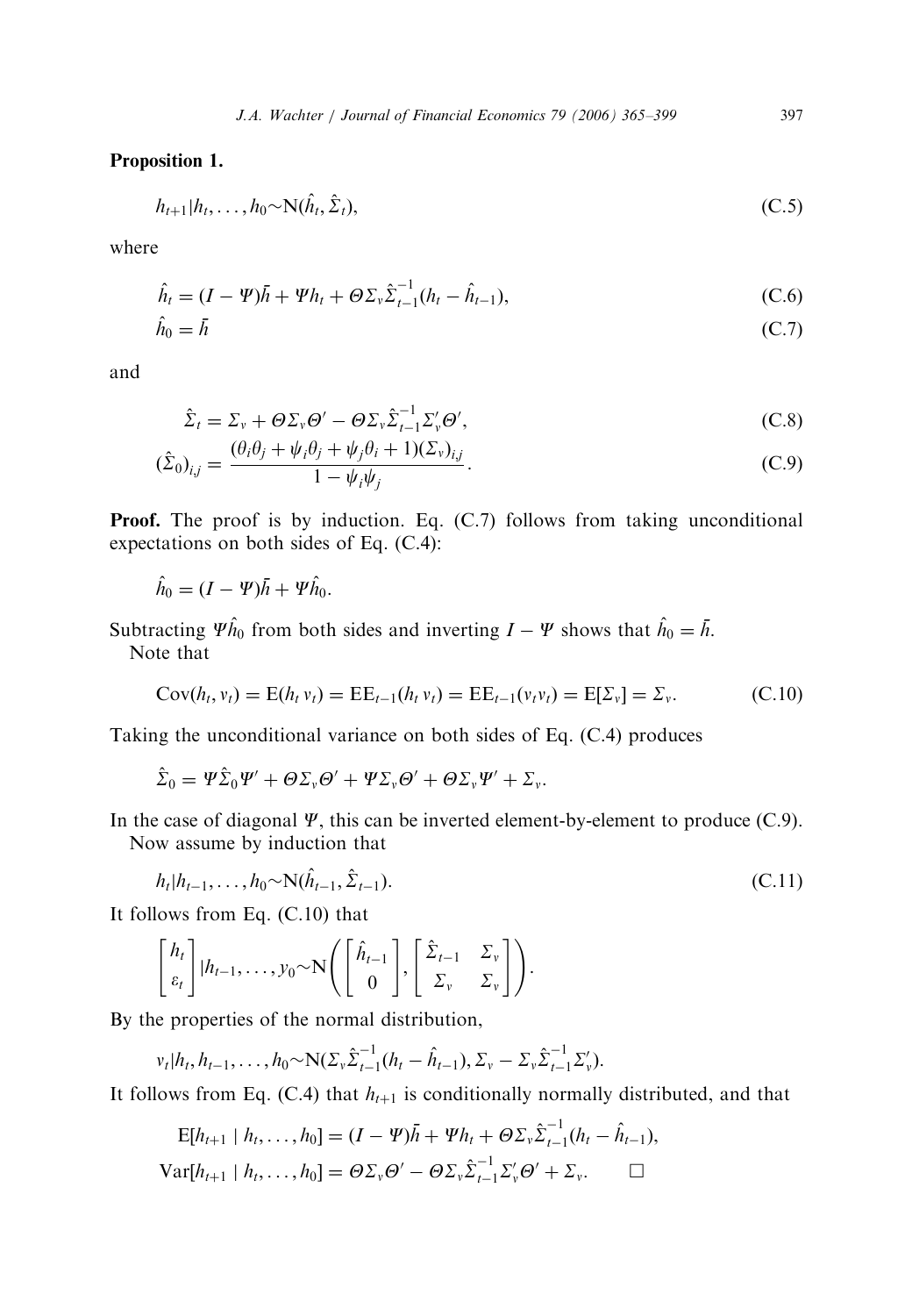Proposition 1.

$$
h_{t+1}|h_t, \dots, h_0 \sim N(\hat{h}_t, \hat{\Sigma}_t), \tag{C.5}
$$

where

$$
\hat{h}_t = (I - \Psi)\bar{h} + \Psi h_t + \Theta \Sigma_v \hat{\Sigma}_{t-1}^{-1} (h_t - \hat{h}_{t-1}),
$$
\n(C.6)

$$
\hat{h}_0 = \bar{h} \tag{C.7}
$$

and

$$
\hat{\Sigma}_t = \Sigma_v + \Theta \Sigma_v \Theta' - \Theta \Sigma_v \hat{\Sigma}_{t-1}^{-1} \Sigma_v' \Theta', \tag{C.8}
$$

$$
(\hat{\Sigma}_0)_{i,j} = \frac{(\theta_i \theta_j + \psi_i \theta_i + \psi_j \theta_i + 1)(\Sigma_v)_{i,j}}{1 - \psi_i \psi_j}.
$$
\n(C.9)

Proof. The proof is by induction. Eq. (C.7) follows from taking unconditional expectations on both sides of Eq. (C.4):

$$
\hat{h}_0 = (I - \Psi)\bar{h} + \Psi\hat{h}_0.
$$

Subtracting  $\Psi \hat{h}_0$  from both sides and inverting  $I - \Psi$  shows that  $\hat{h}_0 = \bar{h}$ .

Note that

$$
Cov(h_t, v_t) = E(h_t v_t) = EE_{t-1}(h_t v_t) = EE_{t-1}(v_t v_t) = E[\Sigma_v] = \Sigma_v.
$$
 (C.10)

Taking the unconditional variance on both sides of Eq. (C.4) produces

$$
\hat{\Sigma}_0 = \Psi \hat{\Sigma}_0 \Psi' + \Theta \Sigma_{\nu} \Theta' + \Psi \Sigma_{\nu} \Theta' + \Theta \Sigma_{\nu} \Psi' + \Sigma_{\nu}.
$$

In the case of diagonal  $\Psi$ , this can be inverted element-by-element to produce (C.9). Now assume by induction that

$$
h_t|h_{t-1},\ldots,h_0 \sim N(\hat{h}_{t-1},\hat{\Sigma}_{t-1}).
$$
\n(C.11)

It follows from Eq. (C.10) that

$$
\begin{bmatrix} h_t \\ \varepsilon_t \end{bmatrix} | h_{t-1}, \ldots, y_0 \sim \mathbf{N} \left( \begin{bmatrix} \hat{h}_{t-1} \\ 0 \end{bmatrix}, \begin{bmatrix} \hat{\Sigma}_{t-1} & \Sigma_{\nu} \\ \Sigma_{\nu} & \Sigma_{\nu} \end{bmatrix} \right).
$$

By the properties of the normal distribution,

$$
v_t|h_t, h_{t-1}, \ldots, h_0 \sim N(\Sigma_v \hat{\Sigma}_{t-1}^{-1} (h_t - \hat{h}_{t-1}), \Sigma_v - \Sigma_v \hat{\Sigma}_{t-1}^{-1} \Sigma_v').
$$

It follows from Eq. (C.4) that  $h_{t+1}$  is conditionally normally distributed, and that

$$
E[h_{t+1} | h_t, ..., h_0] = (I - \Psi)\bar{h} + \Psi h_t + \Theta \Sigma_v \hat{\Sigma}_{t-1}^{-1} (h_t - \hat{h}_{t-1}),
$$
  
Var[h\_{t+1} | h\_t, ..., h\_0] =  $\Theta \Sigma_v \Theta' - \Theta \Sigma_v \hat{\Sigma}_{t-1}^{-1} \Sigma_v' \Theta' + \Sigma_v.$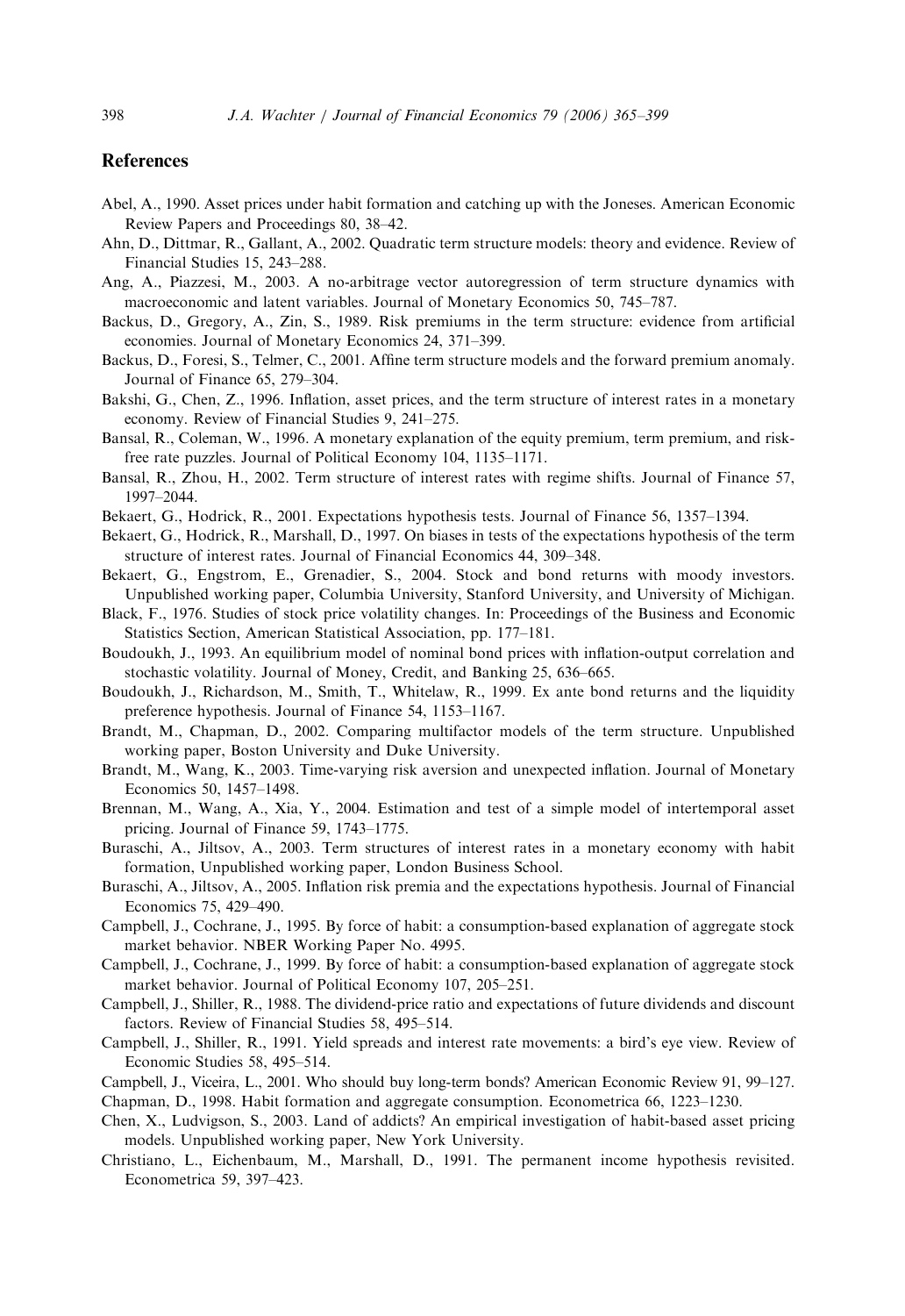# <span id="page-33-0"></span>References

- Abel, A., 1990. Asset prices under habit formation and catching up with the Joneses. American Economic Review Papers and Proceedings 80, 38–42.
- Ahn, D., Dittmar, R., Gallant, A., 2002. Quadratic term structure models: theory and evidence. Review of Financial Studies 15, 243–288.
- Ang, A., Piazzesi, M., 2003. A no-arbitrage vector autoregression of term structure dynamics with macroeconomic and latent variables. Journal of Monetary Economics 50, 745–787.
- Backus, D., Gregory, A., Zin, S., 1989. Risk premiums in the term structure: evidence from artificial economies. Journal of Monetary Economics 24, 371–399.
- Backus, D., Foresi, S., Telmer, C., 2001. Affine term structure models and the forward premium anomaly. Journal of Finance 65, 279–304.
- Bakshi, G., Chen, Z., 1996. Inflation, asset prices, and the term structure of interest rates in a monetary economy. Review of Financial Studies 9, 241–275.
- Bansal, R., Coleman, W., 1996. A monetary explanation of the equity premium, term premium, and riskfree rate puzzles. Journal of Political Economy 104, 1135–1171.
- Bansal, R., Zhou, H., 2002. Term structure of interest rates with regime shifts. Journal of Finance 57, 1997–2044.
- Bekaert, G., Hodrick, R., 2001. Expectations hypothesis tests. Journal of Finance 56, 1357–1394.
- Bekaert, G., Hodrick, R., Marshall, D., 1997. On biases in tests of the expectations hypothesis of the term structure of interest rates. Journal of Financial Economics 44, 309–348.
- Bekaert, G., Engstrom, E., Grenadier, S., 2004. Stock and bond returns with moody investors. Unpublished working paper, Columbia University, Stanford University, and University of Michigan.
- Black, F., 1976. Studies of stock price volatility changes. In: Proceedings of the Business and Economic Statistics Section, American Statistical Association, pp. 177–181.
- Boudoukh, J., 1993. An equilibrium model of nominal bond prices with inflation-output correlation and stochastic volatility. Journal of Money, Credit, and Banking 25, 636–665.
- Boudoukh, J., Richardson, M., Smith, T., Whitelaw, R., 1999. Ex ante bond returns and the liquidity preference hypothesis. Journal of Finance 54, 1153–1167.
- Brandt, M., Chapman, D., 2002. Comparing multifactor models of the term structure. Unpublished working paper, Boston University and Duke University.
- Brandt, M., Wang, K., 2003. Time-varying risk aversion and unexpected inflation. Journal of Monetary Economics 50, 1457–1498.
- Brennan, M., Wang, A., Xia, Y., 2004. Estimation and test of a simple model of intertemporal asset pricing. Journal of Finance 59, 1743–1775.
- Buraschi, A., Jiltsov, A., 2003. Term structures of interest rates in a monetary economy with habit formation, Unpublished working paper, London Business School.
- Buraschi, A., Jiltsov, A., 2005. Inflation risk premia and the expectations hypothesis. Journal of Financial Economics 75, 429–490.
- Campbell, J., Cochrane, J., 1995. By force of habit: a consumption-based explanation of aggregate stock market behavior. NBER Working Paper No. 4995.
- Campbell, J., Cochrane, J., 1999. By force of habit: a consumption-based explanation of aggregate stock market behavior. Journal of Political Economy 107, 205–251.
- Campbell, J., Shiller, R., 1988. The dividend-price ratio and expectations of future dividends and discount factors. Review of Financial Studies 58, 495–514.
- Campbell, J., Shiller, R., 1991. Yield spreads and interest rate movements: a bird's eye view. Review of Economic Studies 58, 495–514.
- Campbell, J., Viceira, L., 2001. Who should buy long-term bonds? American Economic Review 91, 99–127.
- Chapman, D., 1998. Habit formation and aggregate consumption. Econometrica 66, 1223–1230.
- Chen, X., Ludvigson, S., 2003. Land of addicts? An empirical investigation of habit-based asset pricing models. Unpublished working paper, New York University.
- Christiano, L., Eichenbaum, M., Marshall, D., 1991. The permanent income hypothesis revisited. Econometrica 59, 397–423.